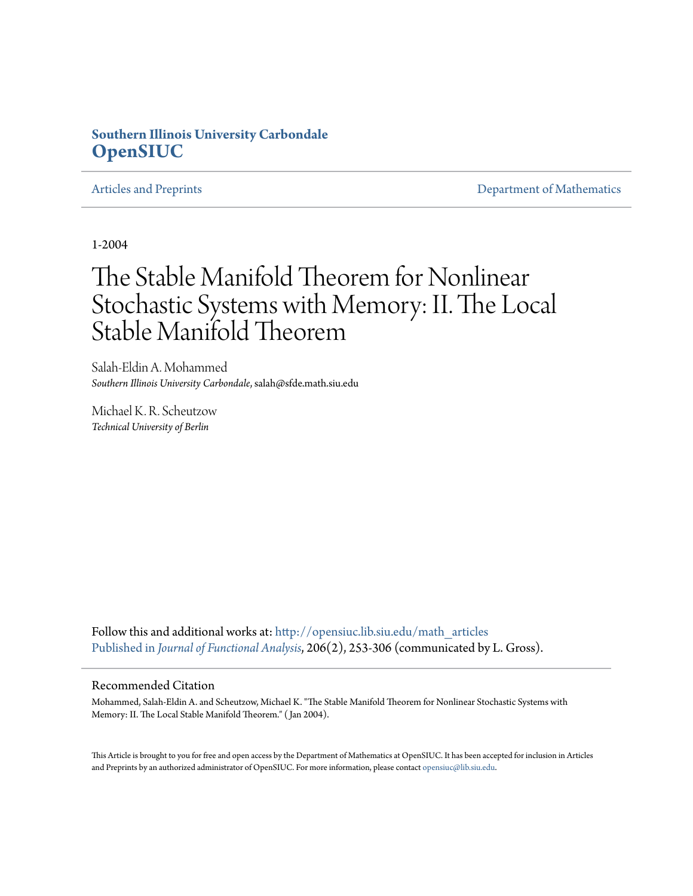## **Southern Illinois University Carbondale [OpenSIUC](http://opensiuc.lib.siu.edu?utm_source=opensiuc.lib.siu.edu%2Fmath_articles%2F52&utm_medium=PDF&utm_campaign=PDFCoverPages)**

[Articles and Preprints](http://opensiuc.lib.siu.edu/math_articles?utm_source=opensiuc.lib.siu.edu%2Fmath_articles%2F52&utm_medium=PDF&utm_campaign=PDFCoverPages) **[Department of Mathematics](http://opensiuc.lib.siu.edu/math?utm_source=opensiuc.lib.siu.edu%2Fmath_articles%2F52&utm_medium=PDF&utm_campaign=PDFCoverPages)** 

1-2004

# The Stable Manifold Theorem for Nonlinear Stochastic Systems with Memory: II. The Local Stable Manifold Theorem

Salah-Eldin A. Mohammed *Southern Illinois University Carbondale*, salah@sfde.math.siu.edu

Michael K. R. Scheutzow *Technical University of Berlin*

Follow this and additional works at: [http://opensiuc.lib.siu.edu/math\\_articles](http://opensiuc.lib.siu.edu/math_articles?utm_source=opensiuc.lib.siu.edu%2Fmath_articles%2F52&utm_medium=PDF&utm_campaign=PDFCoverPages) [Published in](http://dx.doi.org/10.1016/j.jfa.2003.06.002) *[Journal of Functional Analysis](http://www.sciencedirect.com/science/journal/00221236)*, 206(2), 253-306 (communicated by L. Gross).

#### Recommended Citation

Mohammed, Salah-Eldin A. and Scheutzow, Michael K. "The Stable Manifold Theorem for Nonlinear Stochastic Systems with Memory: II. The Local Stable Manifold Theorem." ( Jan 2004).

This Article is brought to you for free and open access by the Department of Mathematics at OpenSIUC. It has been accepted for inclusion in Articles and Preprints by an authorized administrator of OpenSIUC. For more information, please contact [opensiuc@lib.siu.edu](mailto:opensiuc@lib.siu.edu).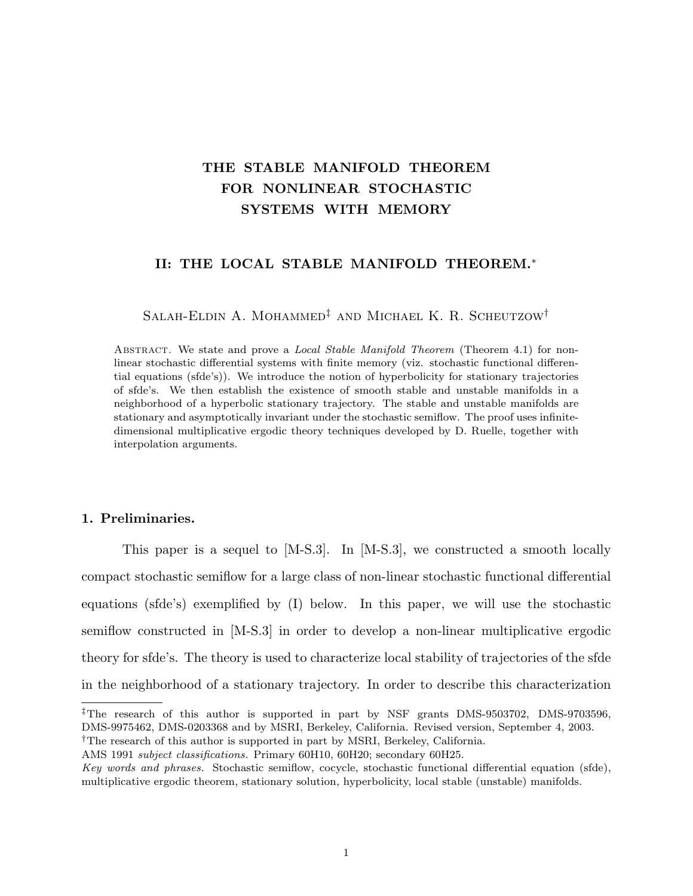# THE STABLE MANIFOLD THEOREM FOR NONLINEAR STOCHASTIC SYSTEMS WITH MEMORY

### II: THE LOCAL STABLE MANIFOLD THEOREM.<sup>∗</sup>

SALAH-ELDIN A. MOHAMMED<sup>‡</sup> AND MICHAEL K. R. SCHEUTZOW<sup>†</sup>

ABSTRACT. We state and prove a *Local Stable Manifold Theorem* (Theorem 4.1) for nonlinear stochastic differential systems with finite memory (viz. stochastic functional differential equations (sfde's)). We introduce the notion of hyperbolicity for stationary trajectories of sfde's. We then establish the existence of smooth stable and unstable manifolds in a neighborhood of a hyperbolic stationary trajectory. The stable and unstable manifolds are stationary and asymptotically invariant under the stochastic semiflow. The proof uses infinitedimensional multiplicative ergodic theory techniques developed by D. Ruelle, together with interpolation arguments.

#### 1. Preliminaries.

This paper is a sequel to [M-S.3]. In [M-S.3], we constructed a smooth locally compact stochastic semiflow for a large class of non-linear stochastic functional differential equations (sfde's) exemplified by (I) below. In this paper, we will use the stochastic semiflow constructed in [M-S.3] in order to develop a non-linear multiplicative ergodic theory for sfde's. The theory is used to characterize local stability of trajectories of the sfde in the neighborhood of a stationary trajectory. In order to describe this characterization

<sup>‡</sup>The research of this author is supported in part by NSF grants DMS-9503702, DMS-9703596, DMS-9975462, DMS-0203368 and by MSRI, Berkeley, California. Revised version, September 4, 2003. †The research of this author is supported in part by MSRI, Berkeley, California.

AMS 1991 subject classifications. Primary 60H10, 60H20; secondary 60H25.

Key words and phrases. Stochastic semiflow, cocycle, stochastic functional differential equation (sfde), multiplicative ergodic theorem, stationary solution, hyperbolicity, local stable (unstable) manifolds.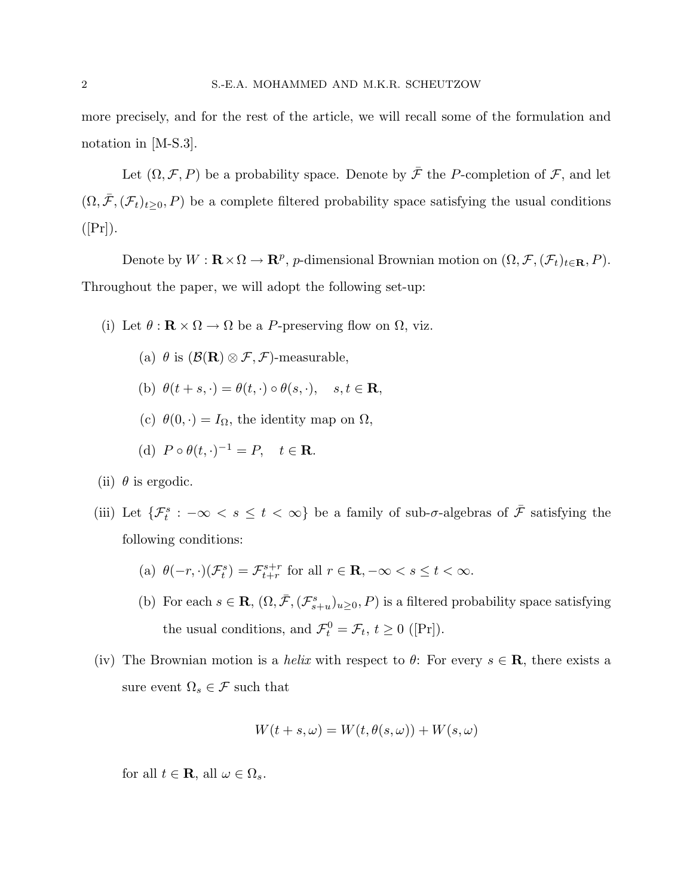more precisely, and for the rest of the article, we will recall some of the formulation and notation in [M-S.3].

Let  $(\Omega, \mathcal{F}, P)$  be a probability space. Denote by  $\bar{\mathcal{F}}$  the P-completion of  $\mathcal{F}$ , and let  $(\Omega, \bar{\mathcal{F}}, (\mathcal{F}_t)_{t\geq 0}, P)$  be a complete filtered probability space satisfying the usual conditions  $([Pr])$ .

Denote by  $W: \mathbf{R} \times \Omega \to \mathbf{R}^p$ , p-dimensional Brownian motion on  $(\Omega, \mathcal{F}, (\mathcal{F}_t)_{t \in \mathbf{R}}, P)$ . Throughout the paper, we will adopt the following set-up:

- (i) Let  $\theta : \mathbf{R} \times \Omega \to \Omega$  be a P-preserving flow on  $\Omega$ , viz.
	- (a)  $\theta$  is  $(\mathcal{B}(\mathbf{R}) \otimes \mathcal{F}, \mathcal{F})$ -measurable,
	- (b)  $\theta(t + s, \cdot) = \theta(t, \cdot) \circ \theta(s, \cdot), \quad s, t \in \mathbb{R},$
	- (c)  $\theta(0, \cdot) = I_{\Omega}$ , the identity map on  $\Omega$ ,

(d) 
$$
P \circ \theta(t, \cdot)^{-1} = P, \quad t \in \mathbf{R}.
$$

- (ii)  $\theta$  is ergodic.
- (iii) Let  $\{\mathcal{F}_t^s: -\infty < s \leq t < \infty\}$  be a family of sub- $\sigma$ -algebras of  $\overline{\mathcal{F}}$  satisfying the following conditions:
	- (a)  $\theta(-r, \cdot)(\mathcal{F}_t^s) = \mathcal{F}_{t+r}^{s+r}$ <sup>s+r</sup> for all  $r \in \mathbf{R}$ ,  $-\infty < s \le t < \infty$ .
	- (b) For each  $s \in \mathbf{R}$ ,  $(\Omega, \bar{\mathcal{F}}, (\mathcal{F}_{s+u}^s)_{u\geq 0}, P)$  is a filtered probability space satisfying the usual conditions, and  $\mathcal{F}_t^0 = \mathcal{F}_t, t \geq 0$  ([Pr]).
- (iv) The Brownian motion is a *helix* with respect to  $\theta$ : For every  $s \in \mathbf{R}$ , there exists a sure event  $\Omega_s \in \mathcal{F}$  such that

$$
W(t+s,\omega) = W(t,\theta(s,\omega)) + W(s,\omega)
$$

for all  $t \in \mathbf{R}$ , all  $\omega \in \Omega_s$ .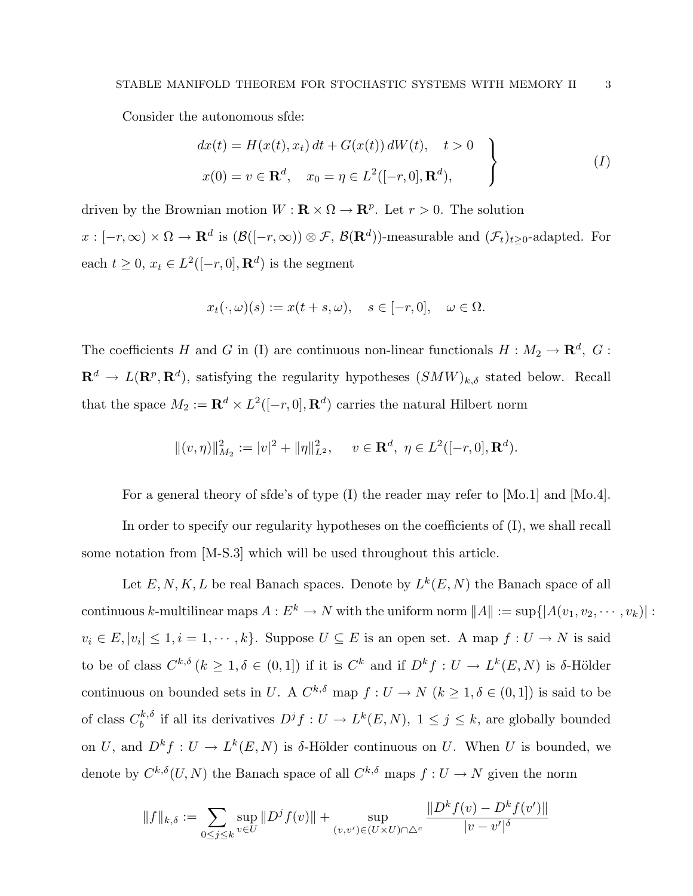Consider the autonomous sfde:

$$
dx(t) = H(x(t), x_t) dt + G(x(t)) dW(t), \quad t > 0
$$
  

$$
x(0) = v \in \mathbf{R}^d, \quad x_0 = \eta \in L^2([-r, 0], \mathbf{R}^d),
$$
 (I)

driven by the Brownian motion  $W: \mathbf{R} \times \Omega \to \mathbf{R}^p$ . Let  $r > 0$ . The solution  $x: [-r,\infty) \times \Omega \to \mathbf{R}^d$  is  $(\mathcal{B}([-r,\infty)) \otimes \mathcal{F}, \, \mathcal{B}(\mathbf{R}^d))$ -measurable and  $(\mathcal{F}_t)_{t \geq 0}$ -adapted. For each  $t \geq 0$ ,  $x_t \in L^2([-r, 0], \mathbf{R}^d)$  is the segment

$$
x_t(\cdot,\omega)(s) := x(t+s,\omega), \quad s \in [-r,0], \quad \omega \in \Omega.
$$

The coefficients H and G in (I) are continuous non-linear functionals  $H : M_2 \to \mathbf{R}^d$ , G :  $\mathbf{R}^d \to L(\mathbf{R}^p, \mathbf{R}^d)$ , satisfying the regularity hypotheses  $(SMW)_{k,\delta}$  stated below. Recall that the space  $M_2 := \mathbf{R}^d \times L^2([-r, 0], \mathbf{R}^d)$  carries the natural Hilbert norm

$$
\|(v,\eta)\|_{M_2}^2 := |v|^2 + \|\eta\|_{L^2}^2, \quad v \in \mathbf{R}^d, \ \eta \in L^2([-r,0],\mathbf{R}^d).
$$

For a general theory of sfde's of type (I) the reader may refer to [Mo.1] and [Mo.4].

In order to specify our regularity hypotheses on the coefficients of (I), we shall recall some notation from [M-S.3] which will be used throughout this article.

Let  $E, N, K, L$  be real Banach spaces. Denote by  $L^k(E, N)$  the Banach space of all continuous k-multilinear maps  $A: E^k \to N$  with the uniform norm  $||A|| := \sup\{|A(v_1, v_2, \dots, v_k)|$ :  $v_i \in E, |v_i| \leq 1, i = 1, \cdots, k$ . Suppose  $U \subseteq E$  is an open set. A map  $f: U \to N$  is said to be of class  $C^{k,\delta}$   $(k \geq 1, \delta \in (0,1])$  if it is  $C^k$  and if  $D^k f : U \to L^k(E,N)$  is  $\delta$ -Hölder continuous on bounded sets in U. A  $C^{k,\delta}$  map  $f: U \to N$   $(k \geq 1, \delta \in (0,1])$  is said to be of class  $C_b^{k,\delta}$  $b^{k,\delta}$  if all its derivatives  $D^jf:U\to L^k(E,N),\ 1\leq j\leq k$ , are globally bounded on U, and  $D^k f: U \to L^k(E, N)$  is  $\delta$ -Hölder continuous on U. When U is bounded, we denote by  $C^{k,\delta}(U,N)$  the Banach space of all  $C^{k,\delta}$  maps  $f:U\to N$  given the norm

$$
||f||_{k,\delta} := \sum_{0 \le j \le k} \sup_{v \in U} ||D^j f(v)|| + \sup_{(v,v') \in (U \times U) \cap \Delta^c} \frac{||D^k f(v) - D^k f(v')||}{|v - v'|^{\delta}}
$$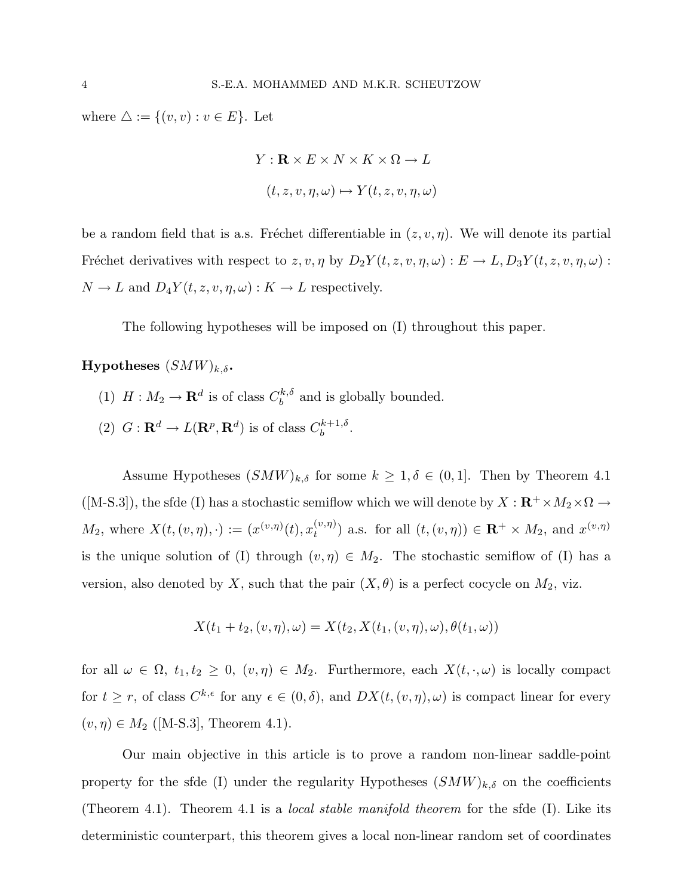where  $\triangle := \{(v, v) : v \in E\}$ . Let

$$
Y: \mathbf{R} \times E \times N \times K \times \Omega \to L
$$

$$
(t, z, v, \eta, \omega) \mapsto Y(t, z, v, \eta, \omega)
$$

be a random field that is a.s. Fréchet differentiable in  $(z, v, \eta)$ . We will denote its partial Fréchet derivatives with respect to  $z, v, \eta$  by  $D_2Y(t, z, v, \eta, \omega) : E \to L$ ,  $D_3Y(t, z, v, \eta, \omega)$ :  $N \to L$  and  $D_4Y(t,z,v,\eta,\omega): K \to L$  respectively.

The following hypotheses will be imposed on (I) throughout this paper.

Hypotheses  $(SMW)_{k,\delta}$ .

- (1)  $H: M_2 \to \mathbf{R}^d$  is of class  $C_b^{k,\delta}$  $b<sub>b</sub><sup>k,0</sup>$  and is globally bounded.
- (2)  $G: \mathbf{R}^d \to L(\mathbf{R}^p, \mathbf{R}^d)$  is of class  $C_b^{k+1,\delta}$  $\frac{1}{b}^{k+1,0}$ .

Assume Hypotheses  $(SMW)_{k,\delta}$  for some  $k \geq 1, \delta \in (0,1]$ . Then by Theorem 4.1 ([M-S.3]), the sfde (I) has a stochastic semiflow which we will denote by  $X: \mathbf{R}^+ \times M_2 \times \Omega \to$  $M_2$ , where  $X(t, (v, \eta), \cdot) := (x^{(v, \eta)}(t), x_t^{(v, \eta)})$  $(t^{(v,\eta)}_t)$  a.s. for all  $(t,(v,\eta)) \in \mathbf{R}^+ \times M_2$ , and  $x^{(v,\eta)}$ is the unique solution of (I) through  $(v, \eta) \in M_2$ . The stochastic semiflow of (I) has a version, also denoted by X, such that the pair  $(X, \theta)$  is a perfect cocycle on  $M_2$ , viz.

$$
X(t_1+t_2,(v,\eta),\omega)=X(t_2,X(t_1,(v,\eta),\omega),\theta(t_1,\omega))
$$

for all  $\omega \in \Omega$ ,  $t_1, t_2 \geq 0$ ,  $(v, \eta) \in M_2$ . Furthermore, each  $X(t, \cdot, \omega)$  is locally compact for  $t \geq r$ , of class  $C^{k,\epsilon}$  for any  $\epsilon \in (0,\delta)$ , and  $DX(t,(v,\eta),\omega)$  is compact linear for every  $(v, \eta) \in M_2$  ([M-S.3], Theorem 4.1).

Our main objective in this article is to prove a random non-linear saddle-point property for the sfde (I) under the regularity Hypotheses  $(SMW)_{k,\delta}$  on the coefficients (Theorem 4.1). Theorem 4.1 is a *local stable manifold theorem* for the sfde  $(I)$ . Like its deterministic counterpart, this theorem gives a local non-linear random set of coordinates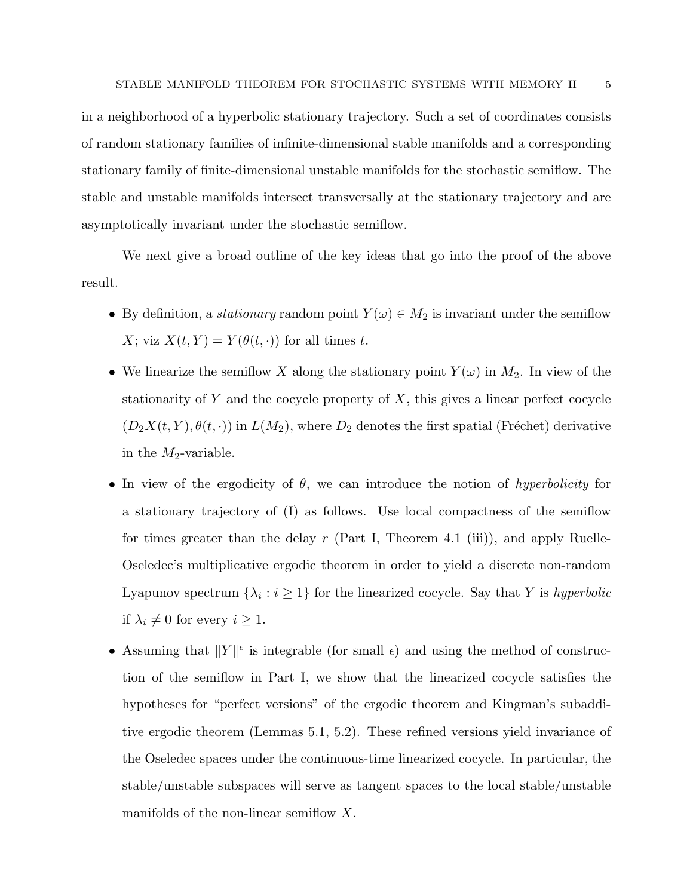in a neighborhood of a hyperbolic stationary trajectory. Such a set of coordinates consists of random stationary families of infinite-dimensional stable manifolds and a corresponding stationary family of finite-dimensional unstable manifolds for the stochastic semiflow. The stable and unstable manifolds intersect transversally at the stationary trajectory and are asymptotically invariant under the stochastic semiflow.

We next give a broad outline of the key ideas that go into the proof of the above result.

- By definition, a *stationary* random point  $Y(\omega) \in M_2$  is invariant under the semiflow X; viz  $X(t, Y) = Y(\theta(t, \cdot))$  for all times t.
- We linearize the semiflow X along the stationary point  $Y(\omega)$  in  $M_2$ . In view of the stationarity of Y and the cocycle property of  $X$ , this gives a linear perfect cocycle  $(D_2X(t, Y), \theta(t, \cdot))$  in  $L(M_2)$ , where  $D_2$  denotes the first spatial (Fréchet) derivative in the  $M_2$ -variable.
- In view of the ergodicity of  $\theta$ , we can introduce the notion of *hyperbolicity* for a stationary trajectory of (I) as follows. Use local compactness of the semiflow for times greater than the delay  $r$  (Part I, Theorem 4.1 (iii)), and apply Ruelle-Oseledec's multiplicative ergodic theorem in order to yield a discrete non-random Lyapunov spectrum  $\{\lambda_i : i \geq 1\}$  for the linearized cocycle. Say that Y is hyperbolic if  $\lambda_i \neq 0$  for every  $i \geq 1$ .
- Assuming that  $||Y||^{\epsilon}$  is integrable (for small  $\epsilon$ ) and using the method of construction of the semiflow in Part I, we show that the linearized cocycle satisfies the hypotheses for "perfect versions" of the ergodic theorem and Kingman's subadditive ergodic theorem (Lemmas 5.1, 5.2). These refined versions yield invariance of the Oseledec spaces under the continuous-time linearized cocycle. In particular, the stable/unstable subspaces will serve as tangent spaces to the local stable/unstable manifolds of the non-linear semiflow X.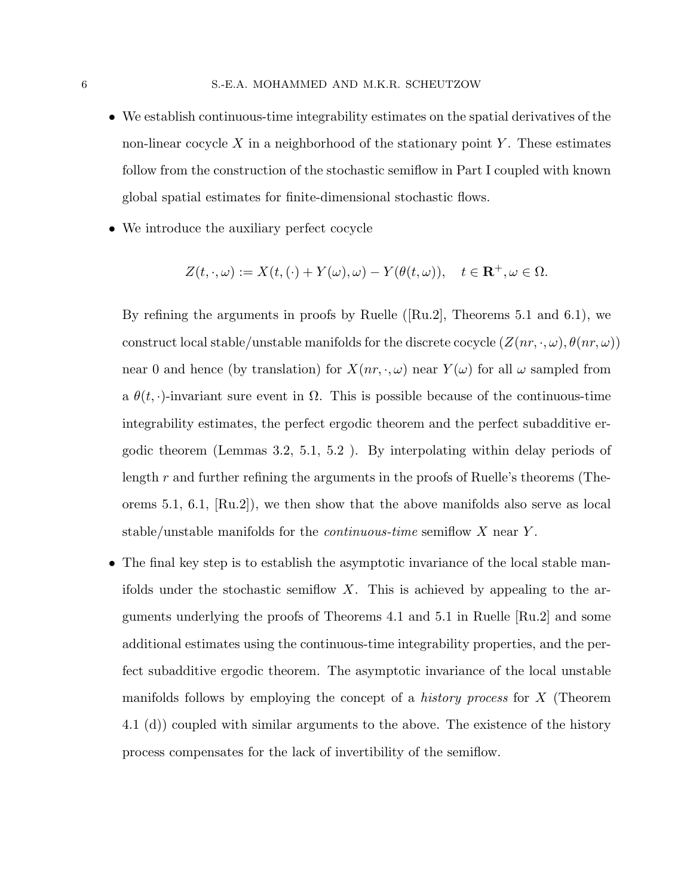- We establish continuous-time integrability estimates on the spatial derivatives of the non-linear cocycle  $X$  in a neighborhood of the stationary point  $Y$ . These estimates follow from the construction of the stochastic semiflow in Part I coupled with known global spatial estimates for finite-dimensional stochastic flows.
- We introduce the auxiliary perfect cocycle

$$
Z(t, \cdot, \omega) := X(t, (\cdot) + Y(\omega), \omega) - Y(\theta(t, \omega)), \quad t \in \mathbf{R}^+, \omega \in \Omega.
$$

By refining the arguments in proofs by Ruelle  $([Ru.2]$ , Theorems 5.1 and 6.1), we construct local stable/unstable manifolds for the discrete cocycle  $(Z(nr,\cdot,\omega), \theta(nr,\omega)$ ) near 0 and hence (by translation) for  $X(nr,\cdot,\omega)$  near  $Y(\omega)$  for all  $\omega$  sampled from a  $\theta(t, \cdot)$ -invariant sure event in  $\Omega$ . This is possible because of the continuous-time integrability estimates, the perfect ergodic theorem and the perfect subadditive ergodic theorem (Lemmas 3.2, 5.1, 5.2 ). By interpolating within delay periods of length r and further refining the arguments in the proofs of Ruelle's theorems (Theorems 5.1, 6.1, [Ru.2]), we then show that the above manifolds also serve as local stable/unstable manifolds for the *continuous-time* semiflow  $X$  near  $Y$ .

• The final key step is to establish the asymptotic invariance of the local stable manifolds under the stochastic semiflow X. This is achieved by appealing to the arguments underlying the proofs of Theorems 4.1 and 5.1 in Ruelle [Ru.2] and some additional estimates using the continuous-time integrability properties, and the perfect subadditive ergodic theorem. The asymptotic invariance of the local unstable manifolds follows by employing the concept of a history process for X (Theorem 4.1 (d)) coupled with similar arguments to the above. The existence of the history process compensates for the lack of invertibility of the semiflow.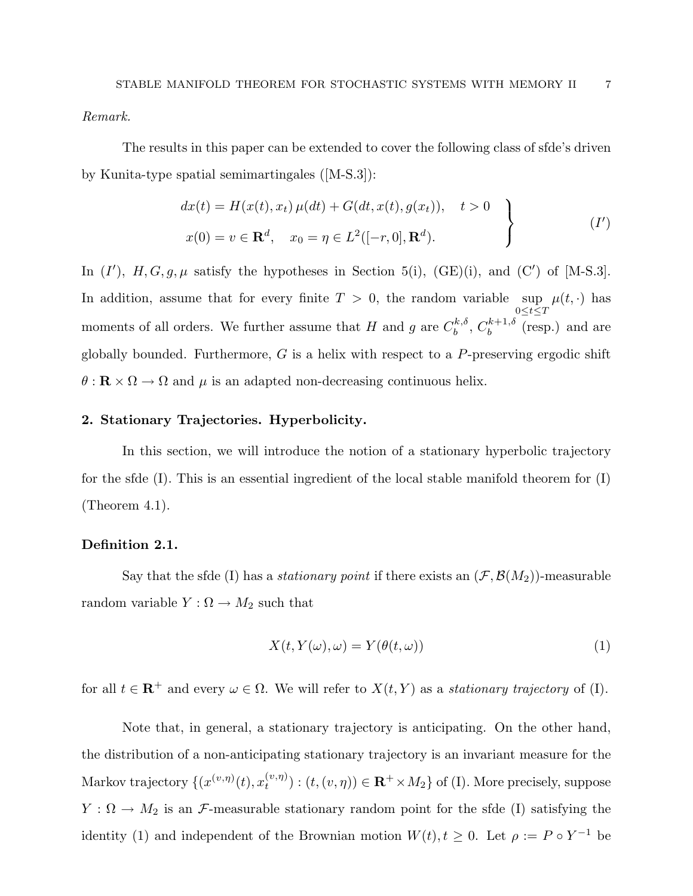Remark.

The results in this paper can be extended to cover the following class of sfde's driven by Kunita-type spatial semimartingales ([M-S.3]):

$$
dx(t) = H(x(t), x_t) \mu(dt) + G(dt, x(t), g(x_t)), \quad t > 0
$$
  

$$
x(0) = v \in \mathbf{R}^d, \quad x_0 = \eta \in L^2([-r, 0], \mathbf{R}^d).
$$
 (I')

In  $(I')$ ,  $H, G, g, \mu$  satisfy the hypotheses in Section 5(i),  $(GE)(i)$ , and  $(C')$  of [M-S.3]. In addition, assume that for every finite  $T > 0$ , the random variable sup  $0 \le t \le T$  $\mu(t, \cdot)$  has moments of all orders. We further assume that H and g are  $C_b^{k,\delta}$  $b^{k,\delta}_b, C_b^{k+1,\delta}$  (resp.) and are globally bounded. Furthermore,  $G$  is a helix with respect to a  $P$ -preserving ergodic shift  $\theta : \mathbf{R} \times \Omega \to \Omega$  and  $\mu$  is an adapted non-decreasing continuous helix.

#### 2. Stationary Trajectories. Hyperbolicity.

In this section, we will introduce the notion of a stationary hyperbolic trajectory for the sfde (I). This is an essential ingredient of the local stable manifold theorem for (I) (Theorem 4.1).

#### Definition 2.1.

Say that the sfde (I) has a *stationary point* if there exists an  $(\mathcal{F}, \mathcal{B}(M_2))$ -measurable random variable  $Y : \Omega \to M_2$  such that

$$
X(t, Y(\omega), \omega) = Y(\theta(t, \omega))
$$
\n(1)

for all  $t \in \mathbf{R}^+$  and every  $\omega \in \Omega$ . We will refer to  $X(t, Y)$  as a stationary trajectory of (I).

Note that, in general, a stationary trajectory is anticipating. On the other hand, the distribution of a non-anticipating stationary trajectory is an invariant measure for the Markov trajectory  $\{(x^{(v,\eta)}(t), x_t^{(v,\eta)})\}$  $(t^{(v,\eta)}_t) : (t,(v,\eta)) \in {\mathbf R}^+ \! \times \! M_2 \}$  of (I). More precisely, suppose  $Y:\Omega\to M_2$  is an F-measurable stationary random point for the sfde (I) satisfying the identity (1) and independent of the Brownian motion  $W(t)$ ,  $t \geq 0$ . Let  $\rho := P \circ Y^{-1}$  be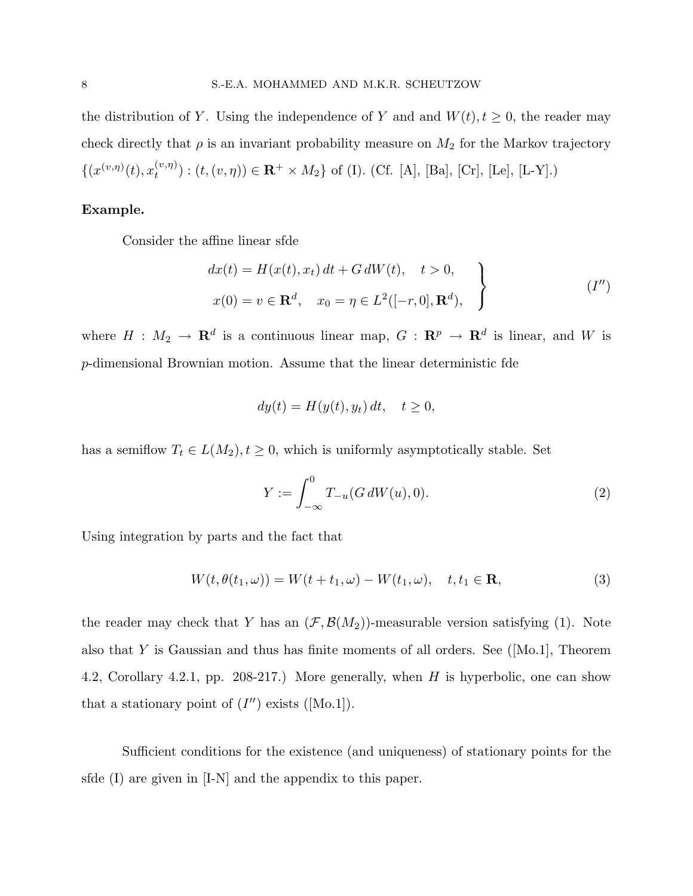the distribution of Y. Using the independence of Y and and  $W(t)$ ,  $t \geq 0$ , the reader may check directly that  $\rho$  is an invariant probability measure on  $M_2$  for the Markov trajectory  $\{(x^{(v,\eta)}(t), x_t^{(v,\eta)})\}$  $(t^{(v,\eta)}_t) : (t,(v,\eta)) \in \mathbf{R}^+ \times M_2$  of (I). (Cf. [A], [Ba], [Cr], [Le], [L-Y].)

#### Example.

Consider the affine linear sfde

$$
dx(t) = H(x(t), x_t) dt + G dW(t), \quad t > 0,\nx(0) = v \in \mathbf{R}^d, \quad x_0 = \eta \in L^2([-r, 0], \mathbf{R}^d),
$$
\n(1")

where  $H : M_2 \to \mathbf{R}^d$  is a continuous linear map,  $G : \mathbf{R}^p \to \mathbf{R}^d$  is linear, and W is p-dimensional Brownian motion. Assume that the linear deterministic fde

$$
dy(t) = H(y(t), y_t) dt, \quad t \ge 0,
$$

has a semiflow  $T_t \in L(M_2), t \geq 0$ , which is uniformly asymptotically stable. Set

$$
Y := \int_{-\infty}^{0} T_{-u}(G \, dW(u), 0). \tag{2}
$$

Using integration by parts and the fact that

$$
W(t, \theta(t_1, \omega)) = W(t + t_1, \omega) - W(t_1, \omega), \quad t, t_1 \in \mathbf{R},
$$
\n(3)

the reader may check that Y has an  $(\mathcal{F}, \mathcal{B}(M_2))$ -measurable version satisfying (1). Note also that Y is Gaussian and thus has finite moments of all orders. See  $([Mo.1], Theorem$ 4.2, Corollary 4.2.1, pp. 208-217.) More generally, when H is hyperbolic, one can show that a stationary point of  $(I'')$  exists ([Mo.1]).

Sufficient conditions for the existence (and uniqueness) of stationary points for the sfde (I) are given in [I-N] and the appendix to this paper.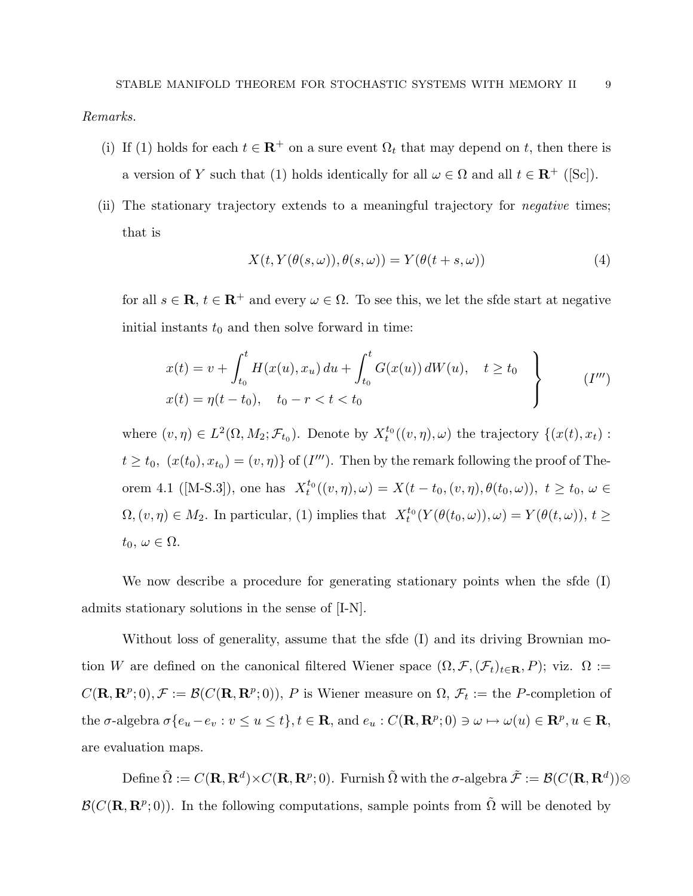Remarks.

- (i) If (1) holds for each  $t \in \mathbb{R}^+$  on a sure event  $\Omega_t$  that may depend on t, then there is a version of Y such that (1) holds identically for all  $\omega \in \Omega$  and all  $t \in \mathbb{R}^+$  ([Sc]).
- (ii) The stationary trajectory extends to a meaningful trajectory for negative times; that is

$$
X(t, Y(\theta(s, \omega)), \theta(s, \omega)) = Y(\theta(t + s, \omega))
$$
\n(4)

for all  $s \in \mathbf{R}$ ,  $t \in \mathbf{R}^+$  and every  $\omega \in \Omega$ . To see this, we let the sfde start at negative initial instants  $t_0$  and then solve forward in time:

$$
x(t) = v + \int_{t_0}^t H(x(u), x_u) du + \int_{t_0}^t G(x(u)) dW(u), \quad t \ge t_0
$$
  

$$
x(t) = \eta(t - t_0), \quad t_0 - r < t < t_0
$$
 (I''')

where  $(v, \eta) \in L^2(\Omega, M_2; \mathcal{F}_{t_0})$ . Denote by  $X_t^{t_0}((v, \eta), \omega)$  the trajectory  $\{(x(t), x_t) :$  $t \ge t_0$ ,  $(x(t_0), x_{t_0}) = (v, \eta)$  of  $(I''')$ . Then by the remark following the proof of Theorem 4.1 ([M-S.3]), one has  $X_t^{t_0}((v, \eta), \omega) = X(t - t_0, (v, \eta), \theta(t_0, \omega))$ ,  $t \ge t_0, \omega \in$  $\Omega, (v, \eta) \in M_2$ . In particular, (1) implies that  $X_t^{t_0}(Y(\theta(t_0, \omega)), \omega) = Y(\theta(t, \omega)), t \geq$  $t_0, \omega \in \Omega.$ 

We now describe a procedure for generating stationary points when the sfde (I) admits stationary solutions in the sense of [I-N].

Without loss of generality, assume that the sfde (I) and its driving Brownian motion W are defined on the canonical filtered Wiener space  $(\Omega, \mathcal{F}, (\mathcal{F}_t)_{t \in \mathbf{R}}, P)$ ; viz.  $\Omega :=$  $C(\mathbf{R}, \mathbf{R}^p; 0), \mathcal{F} := \mathcal{B}(C(\mathbf{R}, \mathbf{R}^p; 0)), P$  is Wiener measure on  $\Omega, \mathcal{F}_t :=$  the P-completion of the  $\sigma$ -algebra  $\sigma\{e_u-e_v : v \leq u \leq t\}, t \in \mathbf{R}$ , and  $e_u : C(\mathbf{R}, \mathbf{R}^p; 0) \ni \omega \mapsto \omega(u) \in \mathbf{R}^p, u \in \mathbf{R}$ , are evaluation maps.

Define  $\tilde{\Omega} := C(\mathbf{R}, \mathbf{R}^d) \times C(\mathbf{R}, \mathbf{R}^p; 0)$ . Furnish  $\tilde{\Omega}$  with the  $\sigma$ -algebra  $\tilde{\mathcal{F}} := \mathcal{B}(C(\mathbf{R}, \mathbf{R}^d)) \otimes$  $\mathcal{B}(C(\mathbf{R},\mathbf{R}^p;0))$ . In the following computations, sample points from  $\tilde{\Omega}$  will be denoted by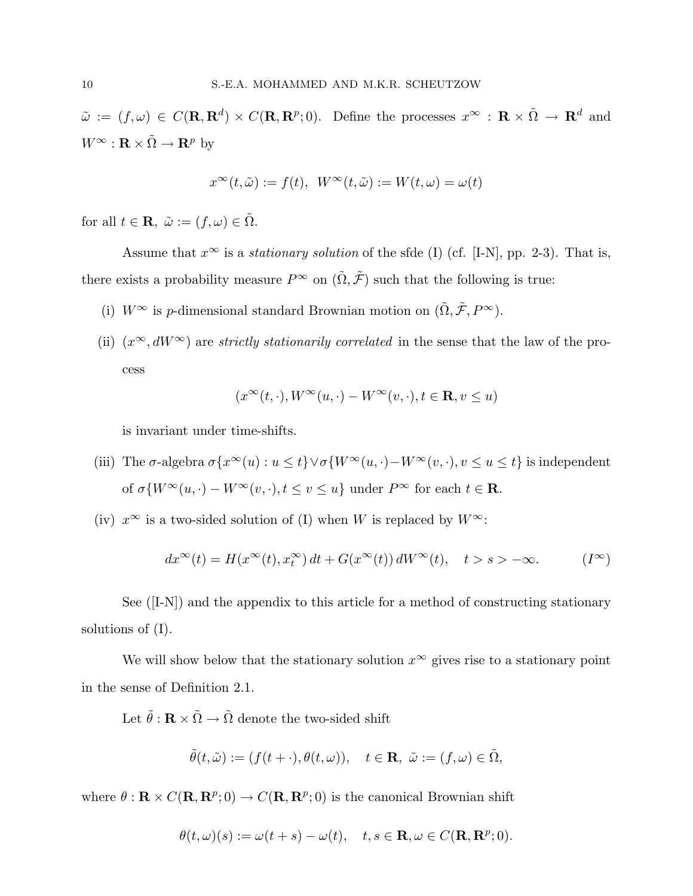$\tilde{\omega} := (f, \omega) \in C(\mathbf{R}, \mathbf{R}^d) \times C(\mathbf{R}, \mathbf{R}^p; 0)$ . Define the processes  $x^{\infty} : \mathbf{R} \times \tilde{\Omega} \to \mathbf{R}^d$  and  $W^{\infty} : \mathbf{R} \times \tilde{\Omega} \to \mathbf{R}^p$  by

$$
x^\infty(t,\tilde\omega):=f(t),\ \ W^\infty(t,\tilde\omega):=W(t,\omega)=\omega(t)
$$

for all  $t \in \mathbf{R}, \ \tilde{\omega} := (f, \omega) \in \tilde{\Omega}.$ 

Assume that  $x^{\infty}$  is a *stationary solution* of the sfde (I) (cf. [I-N], pp. 2-3). That is, there exists a probability measure  $P^{\infty}$  on  $(\tilde{\Omega}, \tilde{\mathcal{F}})$  such that the following is true:

- (i)  $W^{\infty}$  is p-dimensional standard Brownian motion on  $(\tilde{\Omega}, \tilde{\mathcal{F}}, P^{\infty})$ .
- (ii)  $(x^{\infty}, dW^{\infty})$  are *strictly stationarily correlated* in the sense that the law of the process

$$
(x^{\infty}(t,\cdot),W^{\infty}(u,\cdot)-W^{\infty}(v,\cdot),t\in\mathbf{R},v\leq u)
$$

is invariant under time-shifts.

- (iii) The  $\sigma$ -algebra  $\sigma\{x^{\infty}(u): u \leq t\} \vee \sigma\{W^{\infty}(u, \cdot) W^{\infty}(v, \cdot), v \leq u \leq t\}$  is independent of  $\sigma \{W^{\infty}(u, \cdot) - W^{\infty}(v, \cdot), t \leq v \leq u\}$  under  $P^{\infty}$  for each  $t \in \mathbb{R}$ .
- (iv)  $x^{\infty}$  is a two-sided solution of (I) when W is replaced by  $W^{\infty}$ :

$$
dx^{\infty}(t) = H(x^{\infty}(t), x_t^{\infty}) dt + G(x^{\infty}(t)) dW^{\infty}(t), \quad t > s > -\infty.
$$
 (I<sup>\infty</sup>)

See ([I-N]) and the appendix to this article for a method of constructing stationary solutions of (I).

We will show below that the stationary solution  $x^{\infty}$  gives rise to a stationary point in the sense of Definition 2.1.

Let  $\tilde{\theta} : \mathbf{R} \times \tilde{\Omega} \to \tilde{\Omega}$  denote the two-sided shift

$$
\tilde{\theta}(t,\tilde{\omega}) := (f(t+\cdot), \theta(t,\omega)), \quad t \in \mathbf{R}, \ \tilde{\omega} := (f,\omega) \in \tilde{\Omega},
$$

where  $\theta$ :  $\mathbf{R} \times C(\mathbf{R}, \mathbf{R}^p; 0) \to C(\mathbf{R}, \mathbf{R}^p; 0)$  is the canonical Brownian shift

$$
\theta(t,\omega)(s) := \omega(t+s) - \omega(t), \quad t, s \in \mathbf{R}, \omega \in C(\mathbf{R}, \mathbf{R}^p; 0).
$$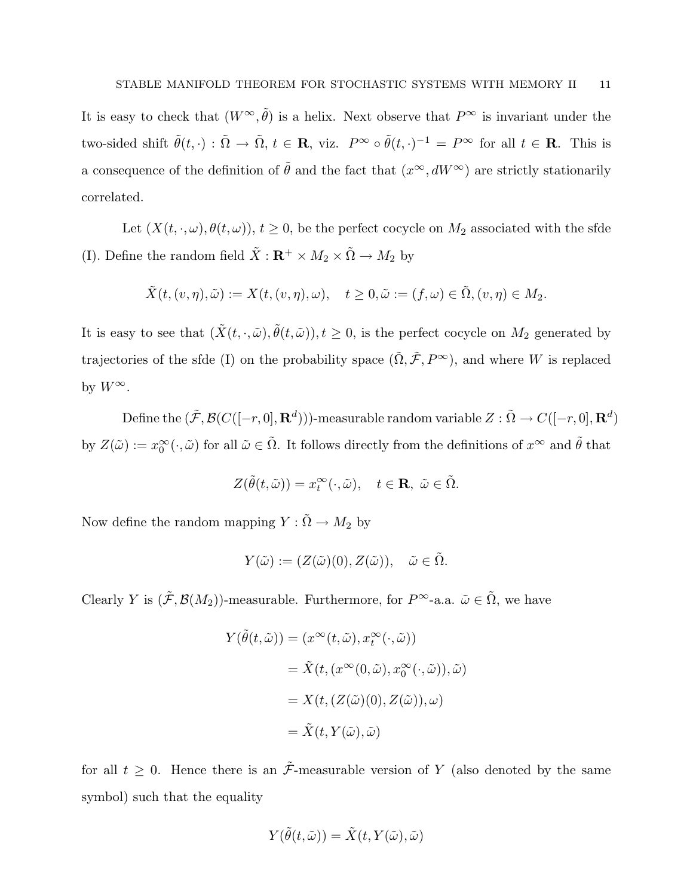It is easy to check that  $(W^{\infty}, \tilde{\theta})$  is a helix. Next observe that  $P^{\infty}$  is invariant under the two-sided shift  $\tilde{\theta}(t, \cdot) : \tilde{\Omega} \to \tilde{\Omega}, t \in \mathbf{R}$ , viz.  $P^{\infty} \circ \tilde{\theta}(t, \cdot)^{-1} = P^{\infty}$  for all  $t \in \mathbf{R}$ . This is a consequence of the definition of  $\tilde{\theta}$  and the fact that  $(x^{\infty}, dW^{\infty})$  are strictly stationarily correlated.

Let  $(X(t, \cdot, \omega), \theta(t, \omega))$ ,  $t \geq 0$ , be the perfect cocycle on  $M_2$  associated with the sfde (I). Define the random field  $\tilde{X}:\mathbf{R}^+\times M_2\times \tilde{\Omega}\rightarrow M_2$  by

$$
\tilde{X}(t,(v,\eta),\tilde{\omega}) := X(t,(v,\eta),\omega), \quad t \ge 0, \tilde{\omega} := (f,\omega) \in \tilde{\Omega}, (v,\eta) \in M_2.
$$

It is easy to see that  $(\tilde{X}(t, \cdot, \tilde{\omega}), \tilde{\theta}(t, \tilde{\omega}))$ ,  $t \geq 0$ , is the perfect cocycle on  $M_2$  generated by trajectories of the sfde (I) on the probability space  $(\tilde{\Omega}, \tilde{\mathcal{F}}, P^{\infty})$ , and where W is replaced by  $W^{\infty}$ .

Define the  $(\tilde{\mathcal{F}}, \mathcal{B}(C([-r, 0], \mathbf{R}^d)))$ -measurable random variable  $Z : \tilde{\Omega} \to C([-r, 0], \mathbf{R}^d)$ by  $Z(\tilde{\omega}) := x_0^{\infty}(\cdot, \tilde{\omega})$  for all  $\tilde{\omega} \in \tilde{\Omega}$ . It follows directly from the definitions of  $x^{\infty}$  and  $\tilde{\theta}$  that

$$
Z(\tilde{\theta}(t,\tilde{\omega})) = x_t^{\infty}(\cdot,\tilde{\omega}), \quad t \in \mathbf{R}, \ \tilde{\omega} \in \tilde{\Omega}.
$$

Now define the random mapping  $Y : \tilde{\Omega} \to M_2$  by

$$
Y(\tilde{\omega}) := (Z(\tilde{\omega})(0), Z(\tilde{\omega})), \quad \tilde{\omega} \in \tilde{\Omega}.
$$

Clearly Y is  $(\tilde{\mathcal{F}}, \mathcal{B}(M_2))$ -measurable. Furthermore, for  $P^{\infty}$ -a.a.  $\tilde{\omega} \in \tilde{\Omega}$ , we have

$$
Y(\tilde{\theta}(t, \tilde{\omega})) = (x^{\infty}(t, \tilde{\omega}), x_t^{\infty}(\cdot, \tilde{\omega}))
$$
  

$$
= \tilde{X}(t, (x^{\infty}(0, \tilde{\omega}), x_0^{\infty}(\cdot, \tilde{\omega})), \tilde{\omega})
$$
  

$$
= X(t, (Z(\tilde{\omega})(0), Z(\tilde{\omega})), \omega)
$$
  

$$
= \tilde{X}(t, Y(\tilde{\omega}), \tilde{\omega})
$$

for all  $t \geq 0$ . Hence there is an  $\tilde{\mathcal{F}}$ -measurable version of Y (also denoted by the same symbol) such that the equality

$$
Y(\tilde{\theta}(t,\tilde{\omega})) = \tilde{X}(t,Y(\tilde{\omega}),\tilde{\omega})
$$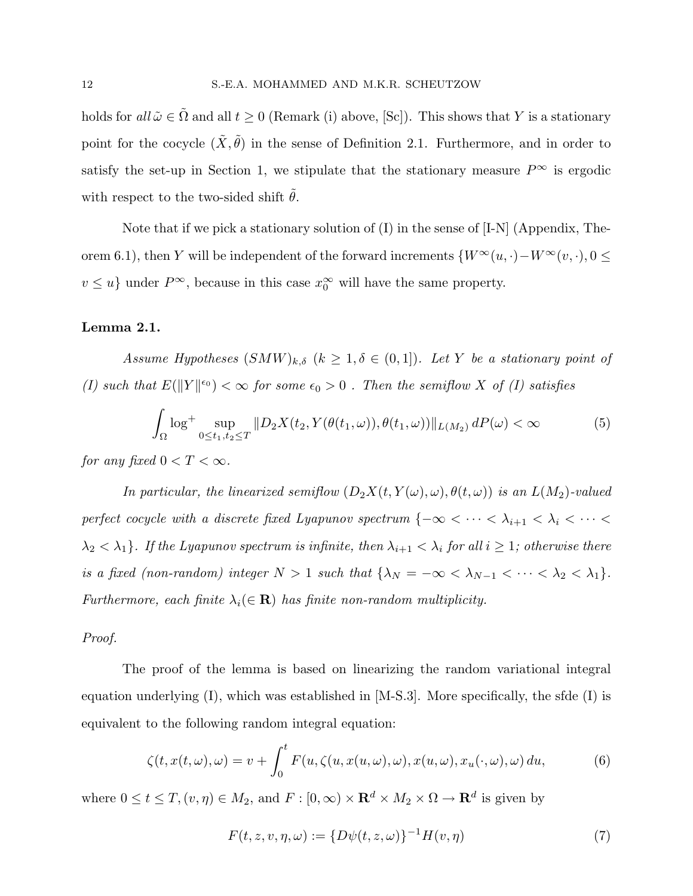holds for all  $\tilde{\omega} \in \tilde{\Omega}$  and all  $t \geq 0$  (Remark (i) above, [Sc]). This shows that Y is a stationary point for the cocycle  $(\tilde{X}, \tilde{\theta})$  in the sense of Definition 2.1. Furthermore, and in order to satisfy the set-up in Section 1, we stipulate that the stationary measure  $P^{\infty}$  is ergodic with respect to the two-sided shift  $\hat{\theta}$ .

Note that if we pick a stationary solution of (I) in the sense of [I-N] (Appendix, Theorem 6.1), then Y will be independent of the forward increments  $\{W^\infty(u, \cdot) - W^\infty(v, \cdot), 0 \leq \infty\}$  $v \leq u$  under  $P^{\infty}$ , because in this case  $x_0^{\infty}$  will have the same property.

#### Lemma 2.1.

Assume Hypotheses  $(SMW)_{k,\delta}$   $(k \geq 1, \delta \in (0,1])$ . Let Y be a stationary point of (I) such that  $E(||Y||^{\\\epsilon_0}) < \infty$  for some  $\epsilon_0 > 0$ . Then the semiflow X of (I) satisfies

$$
\int_{\Omega} \log^+ \sup_{0 \le t_1, t_2 \le T} \| D_2 X(t_2, Y(\theta(t_1, \omega)), \theta(t_1, \omega)) \|_{L(M_2)} dP(\omega) < \infty \tag{5}
$$

for any fixed  $0 < T < \infty$ .

In particular, the linearized semiflow  $(D_2X(t, Y(\omega), \omega), \theta(t, \omega))$  is an  $L(M_2)$ -valued perfect cocycle with a discrete fixed Lyapunov spectrum  $\{-\infty < \cdots < \lambda_{i+1} < \lambda_i < \cdots < \lambda_{i+1}\}$  $\lambda_2 < \lambda_1$ . If the Lyapunov spectrum is infinite, then  $\lambda_{i+1} < \lambda_i$  for all  $i \geq 1$ ; otherwise there is a fixed (non-random) integer  $N > 1$  such that  $\{\lambda_N = -\infty < \lambda_{N-1} < \cdots < \lambda_2 < \lambda_1\}$ . Furthermore, each finite  $\lambda_i(\in \mathbf{R})$  has finite non-random multiplicity.

#### Proof.

The proof of the lemma is based on linearizing the random variational integral equation underlying  $(I)$ , which was established in  $[M-S.3]$ . More specifically, the sfde  $(I)$  is equivalent to the following random integral equation:

$$
\zeta(t, x(t, \omega), \omega) = v + \int_0^t F(u, \zeta(u, x(u, \omega), \omega), x(u, \omega), x_u(\cdot, \omega), \omega) du,
$$
(6)

where  $0 \le t \le T, (v, \eta) \in M_2$ , and  $F : [0, \infty) \times \mathbf{R}^d \times M_2 \times \Omega \to \mathbf{R}^d$  is given by

$$
F(t, z, v, \eta, \omega) := \{D\psi(t, z, \omega)\}^{-1}H(v, \eta)
$$
\n<sup>(7)</sup>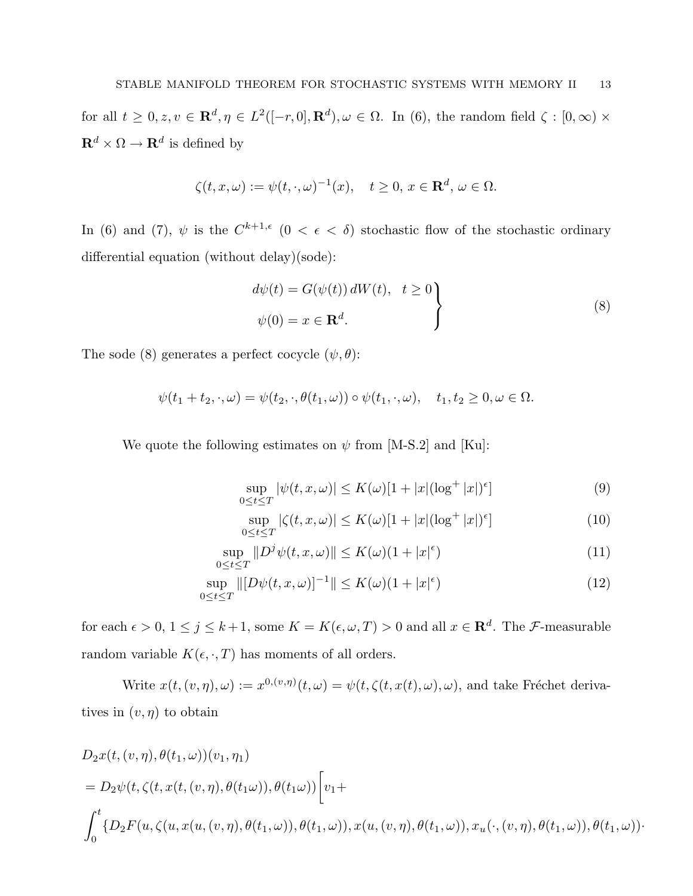for all  $t \geq 0, z, v \in \mathbf{R}^d, \eta \in L^2([-r, 0], \mathbf{R}^d), \omega \in \Omega$ . In (6), the random field  $\zeta : [0, \infty) \times$  $\mathbf{R}^d \times \Omega \to \mathbf{R}^d$  is defined by

$$
\zeta(t, x, \omega) := \psi(t, \cdot, \omega)^{-1}(x), \quad t \ge 0, x \in \mathbf{R}^d, \omega \in \Omega.
$$

In (6) and (7),  $\psi$  is the  $C^{k+1,\epsilon}$   $(0 < \epsilon < \delta)$  stochastic flow of the stochastic ordinary differential equation (without delay)(sode):

$$
d\psi(t) = G(\psi(t)) dW(t), \quad t \ge 0
$$
  

$$
\psi(0) = x \in \mathbf{R}^d.
$$
 (8)

The sode (8) generates a perfect cocycle  $(\psi, \theta)$ :

$$
\psi(t_1+t_2,\cdot,\omega)=\psi(t_2,\cdot,\theta(t_1,\omega))\circ\psi(t_1,\cdot,\omega),\quad t_1,t_2\geq 0,\omega\in\Omega.
$$

We quote the following estimates on  $\psi$  from [M-S.2] and [Ku]:

$$
\sup_{0 \le t \le T} |\psi(t, x, \omega)| \le K(\omega)[1 + |x|(\log^+ |x|)^{\epsilon}] \tag{9}
$$

$$
\sup_{0 \le t \le T} |\zeta(t, x, \omega)| \le K(\omega)[1 + |x|(\log^+ |x|)^{\epsilon}] \tag{10}
$$

$$
\sup_{0 \le t \le T} \| D^j \psi(t, x, \omega) \| \le K(\omega)(1 + |x|^\epsilon)
$$
\n(11)

$$
\sup_{0 \le t \le T} \| [D\psi(t, x, \omega)]^{-1} \| \le K(\omega)(1 + |x|^{\epsilon}) \tag{12}
$$

for each  $\epsilon > 0$ ,  $1 \le j \le k+1$ , some  $K = K(\epsilon, \omega, T) > 0$  and all  $x \in \mathbb{R}^d$ . The *F*-measurable random variable  $K(\epsilon,\cdot,T)$  has moments of all orders.

Write  $x(t, (v, \eta), \omega) := x^{0, (v, \eta)}(t, \omega) = \psi(t, \zeta(t, x(t), \omega), \omega)$ , and take Fréchet derivatives in  $(v, \eta)$  to obtain

$$
D_2x(t, (v, \eta), \theta(t_1, \omega))(v_1, \eta_1)
$$
  
=  $D_2\psi(t, \zeta(t, x(t, (v, \eta), \theta(t_1\omega)), \theta(t_1\omega))\Big[v_1 + \int_0^t \{D_2F(u, \zeta(u, x(u, (v, \eta), \theta(t_1, \omega)), \theta(t_1, \omega)), x(u, (v, \eta), \theta(t_1, \omega)), x_u(\cdot, (v, \eta), \theta(t_1, \omega))\cdot \theta(t_1, \omega)\Big)\Big]$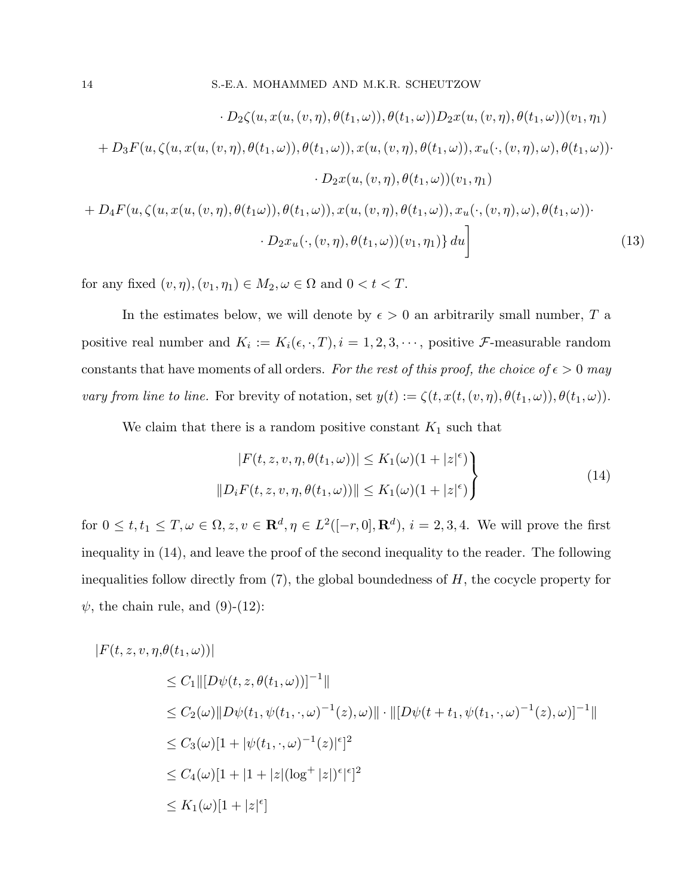$$
\cdot D_2\zeta(u, x(u, (v, \eta), \theta(t_1, \omega)), \theta(t_1, \omega))D_2x(u, (v, \eta), \theta(t_1, \omega))(v_1, \eta_1)
$$
  
+ 
$$
D_3F(u, \zeta(u, x(u, (v, \eta), \theta(t_1, \omega)), \theta(t_1, \omega)), x(u, (v, \eta), \theta(t_1, \omega)), x_u(\cdot, (v, \eta), \omega), \theta(t_1, \omega))\cdot
$$

$$
\cdot D_2x(u, (v, \eta), \theta(t_1, \omega))(v_1, \eta_1)
$$
  
+ 
$$
D_4F(u, \zeta(u, x(u, (v, \eta), \theta(t_1, \omega)), \theta(t_1, \omega)), x(u, (v, \eta), \theta(t_1, \omega)), x_u(\cdot, (v, \eta), \omega), \theta(t_1, \omega))\cdot
$$

$$
\cdot D_2x_u(\cdot, (v, \eta), \theta(t_1, \omega))(v_1, \eta_1) \} du \bigg]
$$
(13)

for any fixed  $(v, \eta), (v_1, \eta_1) \in M_2, \omega \in \Omega$  and  $0 < t < T$ .

In the estimates below, we will denote by  $\epsilon > 0$  an arbitrarily small number, T a positive real number and  $K_i := K_i(\epsilon, \cdot, T), i = 1, 2, 3, \cdots$ , positive *F*-measurable random constants that have moments of all orders. For the rest of this proof, the choice of  $\epsilon > 0$  may vary from line to line. For brevity of notation, set  $y(t) := \zeta(t, x(t,(v, \eta), \theta(t_1, \omega)), \theta(t_1, \omega)).$ 

We claim that there is a random positive constant  $K_1$  such that

$$
|F(t, z, v, \eta, \theta(t_1, \omega))| \le K_1(\omega)(1 + |z|^{\epsilon})
$$
  

$$
||D_i F(t, z, v, \eta, \theta(t_1, \omega))|| \le K_1(\omega)(1 + |z|^{\epsilon})
$$
 (14)

for  $0 \leq t, t_1 \leq T, \omega \in \Omega, z, v \in \mathbf{R}^d, \eta \in L^2([-r, 0], \mathbf{R}^d), i = 2, 3, 4$ . We will prove the first inequality in (14), and leave the proof of the second inequality to the reader. The following inequalities follow directly from  $(7)$ , the global boundedness of  $H$ , the cocycle property for  $\psi$ , the chain rule, and (9)-(12):

$$
|F(t, z, v, \eta, \theta(t_1, \omega))|
$$
  
\n
$$
\leq C_1 ||[D\psi(t, z, \theta(t_1, \omega))]^{-1}||
$$
  
\n
$$
\leq C_2(\omega) ||D\psi(t_1, \psi(t_1, \cdot, \omega)^{-1}(z), \omega)|| \cdot ||[D\psi(t + t_1, \psi(t_1, \cdot, \omega)^{-1}(z), \omega)]^{-1}||
$$
  
\n
$$
\leq C_3(\omega)[1 + |\psi(t_1, \cdot, \omega)^{-1}(z)|^{\epsilon}]^2
$$
  
\n
$$
\leq C_4(\omega)[1 + |1 + |z|(\log^+ |z|)^{\epsilon}|^{\epsilon}]^2
$$
  
\n
$$
\leq K_1(\omega)[1 + |z|^{\epsilon}]
$$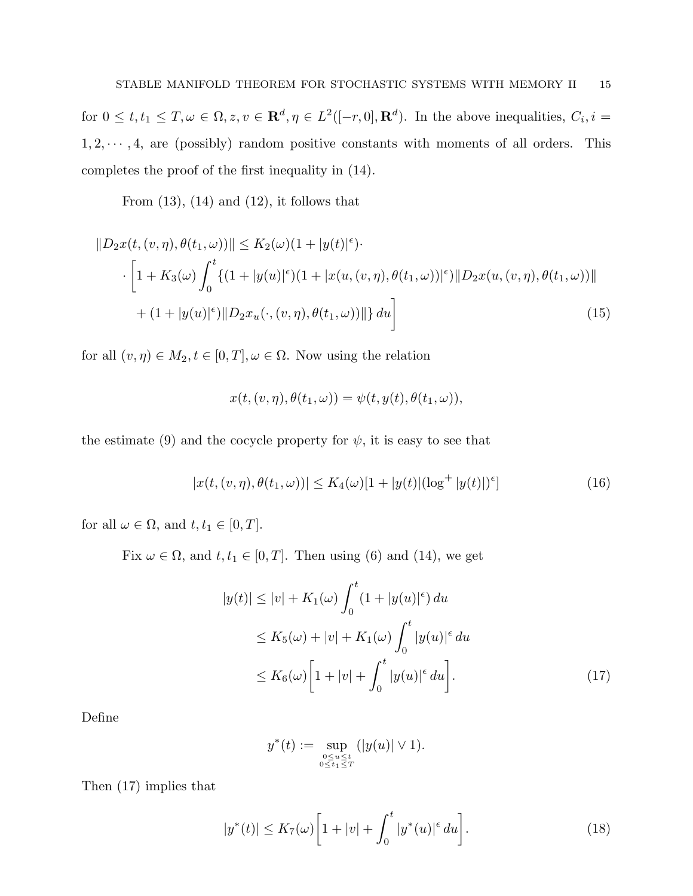for  $0 \leq t, t_1 \leq T, \omega \in \Omega, z, v \in \mathbb{R}^d, \eta \in L^2([-r, 0], \mathbb{R}^d)$ . In the above inequalities,  $C_i, i =$  $1, 2, \dots, 4$ , are (possibly) random positive constants with moments of all orders. This completes the proof of the first inequality in (14).

From  $(13)$ ,  $(14)$  and  $(12)$ , it follows that

$$
||D_2x(t, (v, \eta), \theta(t_1, \omega))|| \le K_2(\omega)(1+|y(t)|^{\epsilon}).
$$
  

$$
\cdot \left[1 + K_3(\omega) \int_0^t \{(1+|y(u)|^{\epsilon})(1+|x(u, (v, \eta), \theta(t_1, \omega))|^{\epsilon}) ||D_2x(u, (v, \eta), \theta(t_1, \omega))|| + (1+|y(u)|^{\epsilon})||D_2x_u(\cdot, (v, \eta), \theta(t_1, \omega))||\} du\right]
$$
(15)

for all  $(v, \eta) \in M_2, t \in [0, T], \omega \in \Omega$ . Now using the relation

$$
x(t, (v, \eta), \theta(t_1, \omega)) = \psi(t, y(t), \theta(t_1, \omega)),
$$

the estimate (9) and the cocycle property for  $\psi$ , it is easy to see that

$$
|x(t, (v, \eta), \theta(t_1, \omega))| \le K_4(\omega)[1 + |y(t)|(\log^+ |y(t)|)^{\epsilon}]
$$
\n(16)

for all  $\omega \in \Omega$ , and  $t, t_1 \in [0, T]$ .

Fix  $\omega \in \Omega$ , and  $t, t_1 \in [0, T]$ . Then using (6) and (14), we get

$$
|y(t)| \le |v| + K_1(\omega) \int_0^t (1 + |y(u)|^{\epsilon}) du
$$
  
\n
$$
\le K_5(\omega) + |v| + K_1(\omega) \int_0^t |y(u)|^{\epsilon} du
$$
  
\n
$$
\le K_6(\omega) \left[ 1 + |v| + \int_0^t |y(u)|^{\epsilon} du \right].
$$
\n(17)

Define

$$
y^*(t):=\sup_{\substack{0\leq u\leq t\\0\leq t_1\leq T}}(|y(u)|\vee 1).
$$

Then (17) implies that

$$
|y^*(t)| \le K_7(\omega) \bigg[ 1 + |v| + \int_0^t |y^*(u)|^{\epsilon} du \bigg]. \tag{18}
$$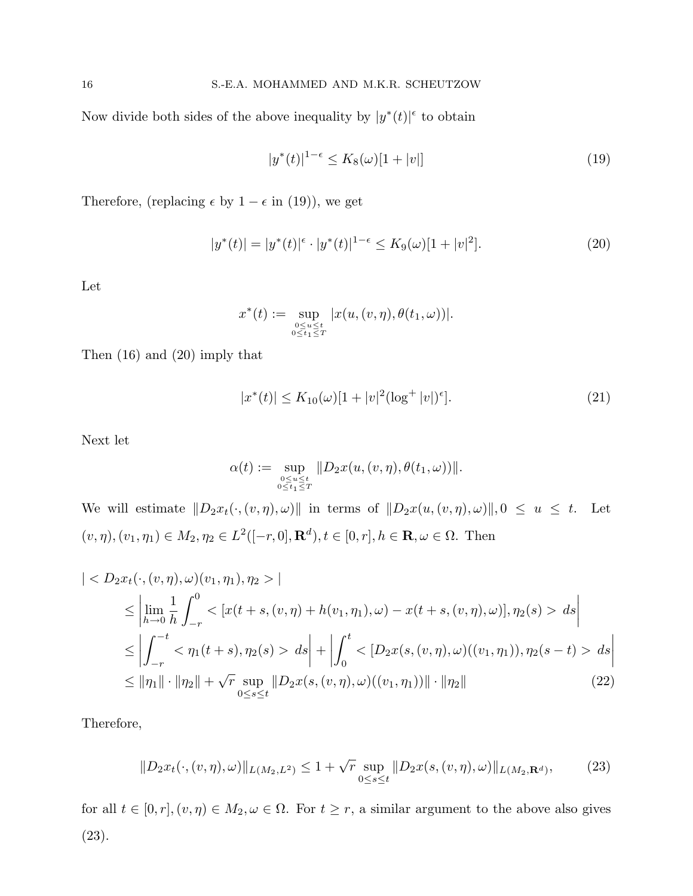Now divide both sides of the above inequality by  $|y^*(t)|^{\epsilon}$  to obtain

$$
|y^*(t)|^{1-\epsilon} \le K_8(\omega)[1+|v|] \tag{19}
$$

Therefore, (replacing  $\epsilon$  by  $1 - \epsilon$  in (19)), we get

$$
|y^*(t)| = |y^*(t)|^{\epsilon} \cdot |y^*(t)|^{1-\epsilon} \le K_9(\omega)[1+|v|^2]. \tag{20}
$$

Let

$$
x^*(t) := \sup_{\substack{0 \le u \le t \\ 0 \le t_1 \le T}} |x(u, (v, \eta), \theta(t_1, \omega))|.
$$

Then (16) and (20) imply that

$$
|x^*(t)| \le K_{10}(\omega)[1+|v|^2(\log^+|v|)^{\epsilon}].\tag{21}
$$

Next let

$$
\alpha(t) := \sup_{\substack{0 \le u \le t \\ 0 \le t_1 \le T}} \|D_2 x(u, (v, \eta), \theta(t_1, \omega))\|.
$$

We will estimate  $||D_2x_t(\cdot,(v,\eta),\omega)||$  in terms of  $||D_2x(u,(v,\eta),\omega)||, 0 \le u \le t$ . Let  $(v, \eta), (v_1, \eta_1) \in M_2, \eta_2 \in L^2([-r, 0], \mathbf{R}^d), t \in [0, r], h \in \mathbf{R}, \omega \in \Omega$ . Then

$$
\begin{split}\n|< D_2 x_t(\cdot,(v,\eta),\omega)(v_1,\eta_1),\eta_2 > | \\
<\left|\lim_{h\to 0} \frac{1}{h} \int_{-r}^0 \left\langle x(t+s,(v,\eta)+h(v_1,\eta_1),\omega) - x(t+s,(v,\eta),\omega) \right\rangle, \eta_2(s) > ds \right| \\
<\left|\int_{-r}^{-t} \left\langle \eta_1(t+s),\eta_2(s) > ds \right| + \left|\int_0^t \left\langle [D_2 x(s,(v,\eta),\omega)((v_1,\eta_1)),\eta_2(s-t) > ds \right| \right. \\
<\left\|\eta_1\| \cdot \|\eta_2\| + \sqrt{r} \sup_{0\leq s \leq t} \|D_2 x(s,(v,\eta),\omega)((v_1,\eta_1))\| \cdot \|\eta_2\|\n\end{split} \tag{22}
$$

Therefore,

$$
||D_2x_t(\cdot,(v,\eta),\omega)||_{L(M_2,L^2)} \le 1 + \sqrt{r} \sup_{0 \le s \le t} ||D_2x(s,(v,\eta),\omega)||_{L(M_2,\mathbf{R}^d)},\tag{23}
$$

for all  $t \in [0, r], (v, \eta) \in M_2, \omega \in \Omega$ . For  $t \geq r$ , a similar argument to the above also gives (23).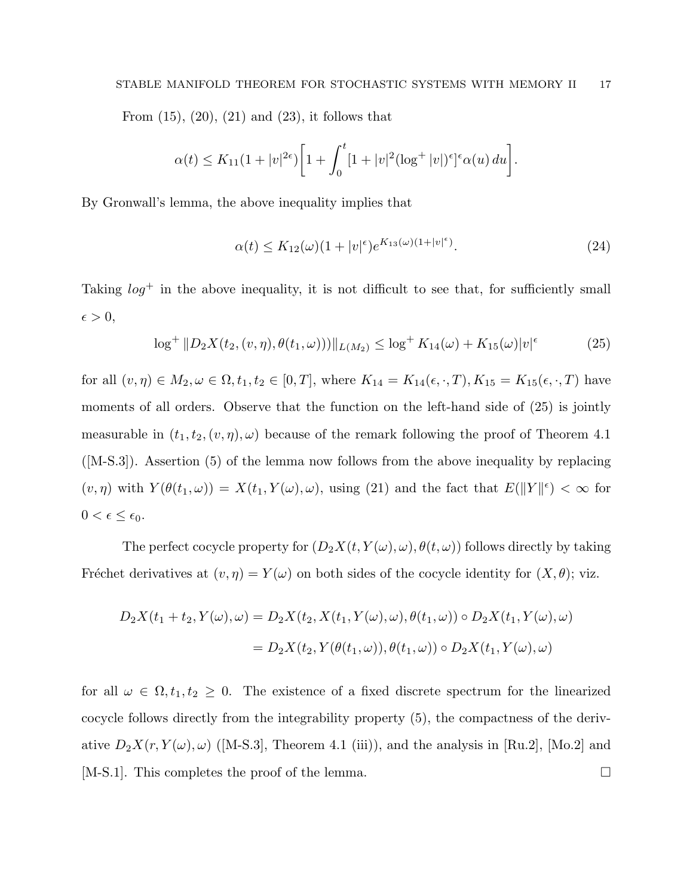From  $(15)$ ,  $(20)$ ,  $(21)$  and  $(23)$ , it follows that

$$
\alpha(t) \leq K_{11}(1+|v|^{2\epsilon}) \bigg[1+\int_0^t [1+|v|^2(\log^+|v|)^{\epsilon}]^{\epsilon} \alpha(u) \, du \bigg].
$$

By Gronwall's lemma, the above inequality implies that

$$
\alpha(t) \le K_{12}(\omega)(1+|v|^{\epsilon})e^{K_{13}(\omega)(1+|v|^{\epsilon})}.\tag{24}
$$

Taking  $log<sup>+</sup>$  in the above inequality, it is not difficult to see that, for sufficiently small  $\epsilon > 0,$ 

$$
\log^+ \|D_2 X(t_2, (v, \eta), \theta(t_1, \omega)))\|_{L(M_2)} \le \log^+ K_{14}(\omega) + K_{15}(\omega) |v|^{\epsilon}
$$
 (25)

for all  $(v, \eta) \in M_2, \omega \in \Omega, t_1, t_2 \in [0, T]$ , where  $K_{14} = K_{14}(\epsilon, \cdot, T), K_{15} = K_{15}(\epsilon, \cdot, T)$  have moments of all orders. Observe that the function on the left-hand side of (25) is jointly measurable in  $(t_1, t_2, (v, \eta), \omega)$  because of the remark following the proof of Theorem 4.1 ([M-S.3]). Assertion (5) of the lemma now follows from the above inequality by replacing  $(v, \eta)$  with  $Y(\theta(t_1, \omega)) = X(t_1, Y(\omega), \omega)$ , using (21) and the fact that  $E(||Y||^{\epsilon}) < \infty$  for  $0 < \epsilon \leq \epsilon_0.$ 

The perfect cocycle property for  $(D_2X(t, Y(\omega), \omega), \theta(t, \omega))$  follows directly by taking Fréchet derivatives at  $(v, \eta) = Y(\omega)$  on both sides of the cocycle identity for  $(X, \theta)$ ; viz.

$$
D_2X(t_1+t_2, Y(\omega), \omega) = D_2X(t_2, X(t_1, Y(\omega), \omega), \theta(t_1, \omega)) \circ D_2X(t_1, Y(\omega), \omega)
$$

$$
= D_2X(t_2, Y(\theta(t_1, \omega)), \theta(t_1, \omega)) \circ D_2X(t_1, Y(\omega), \omega)
$$

for all  $\omega \in \Omega, t_1, t_2 \geq 0$ . The existence of a fixed discrete spectrum for the linearized cocycle follows directly from the integrability property (5), the compactness of the derivative  $D_2X(r, Y(\omega), \omega)$  ([M-S.3], Theorem 4.1 (iii)), and the analysis in [Ru.2], [Mo.2] and [M-S.1]. This completes the proof of the lemma.  $\Box$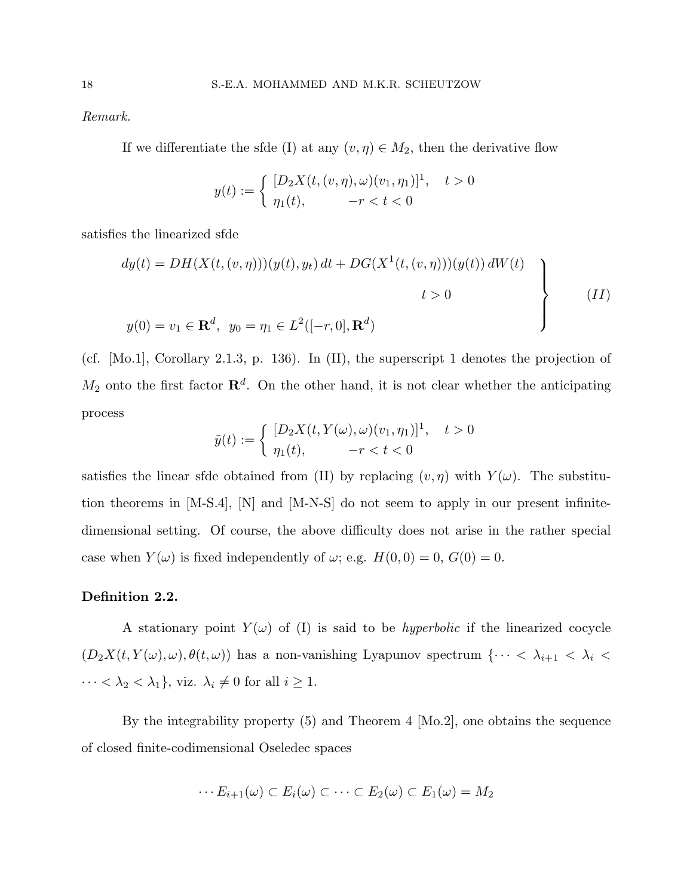Remark.

If we differentiate the sfde (I) at any  $(v, \eta) \in M_2$ , then the derivative flow

$$
y(t) := \begin{cases} [D_2X(t, (v, \eta), \omega)(v_1, \eta_1)]^1, & t > 0\\ \eta_1(t), & -r < t < 0 \end{cases}
$$

satisfies the linearized sfde

$$
dy(t) = DH(X(t, (v, \eta)))(y(t), y_t) dt + DG(X^1(t, (v, \eta)))(y(t)) dW(t)
$$
  

$$
t > 0
$$
  

$$
y(0) = v_1 \in \mathbf{R}^d, y_0 = \eta_1 \in L^2([-r, 0], \mathbf{R}^d)
$$
 (II)

(cf. [Mo.1], Corollary 2.1.3, p. 136). In (II), the superscript 1 denotes the projection of  $M_2$  onto the first factor  $\mathbf{R}^d$ . On the other hand, it is not clear whether the anticipating process

$$
\tilde{y}(t) := \begin{cases}\n[D_2 X(t, Y(\omega), \omega)(v_1, \eta_1)]^1, & t > 0 \\
\eta_1(t), & -r < t < 0\n\end{cases}
$$

satisfies the linear sfde obtained from (II) by replacing  $(v, \eta)$  with  $Y(\omega)$ . The substitution theorems in [M-S.4], [N] and [M-N-S] do not seem to apply in our present infinitedimensional setting. Of course, the above difficulty does not arise in the rather special case when  $Y(\omega)$  is fixed independently of  $\omega$ ; e.g.  $H(0,0) = 0$ ,  $G(0) = 0$ .

#### Definition 2.2.

A stationary point  $Y(\omega)$  of (I) is said to be *hyperbolic* if the linearized cocycle  $(D_2X(t, Y(\omega), \omega), \theta(t, \omega))$  has a non-vanishing Lyapunov spectrum  $\{\cdots < \lambda_{i+1} < \lambda_i < \lambda_i\}$  $\cdots < \lambda_2 < \lambda_1$ , viz.  $\lambda_i \neq 0$  for all  $i \geq 1$ .

By the integrability property (5) and Theorem 4 [Mo.2], one obtains the sequence of closed finite-codimensional Oseledec spaces

$$
\cdots E_{i+1}(\omega) \subset E_i(\omega) \subset \cdots \subset E_2(\omega) \subset E_1(\omega) = M_2
$$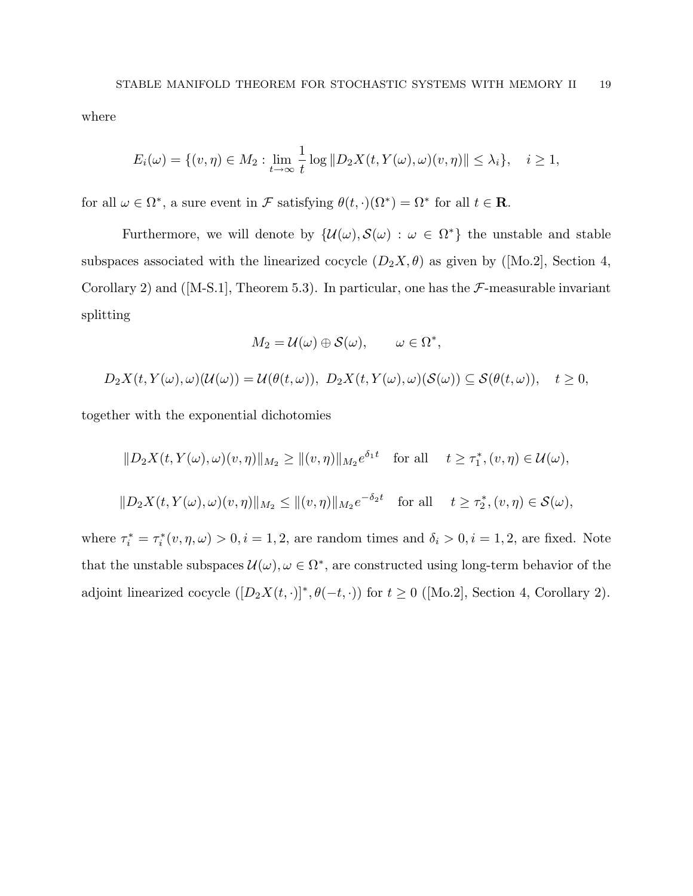where

$$
E_i(\omega) = \{(v, \eta) \in M_2 : \lim_{t \to \infty} \frac{1}{t} \log ||D_2 X(t, Y(\omega), \omega)(v, \eta)|| \le \lambda_i\}, \quad i \ge 1,
$$

for all  $\omega \in \Omega^*$ , a sure event in F satisfying  $\theta(t, \cdot)(\Omega^*) = \Omega^*$  for all  $t \in \mathbb{R}$ .

Furthermore, we will denote by  $\{U(\omega), \mathcal{S}(\omega) : \omega \in \Omega^*\}\$  the unstable and stable subspaces associated with the linearized cocycle  $(D_2X, \theta)$  as given by ([Mo.2], Section 4, Corollary 2) and ([M-S.1], Theorem 5.3). In particular, one has the  $\mathcal{F}\text{-measurable invariant}$ splitting

$$
M_2 = \mathcal{U}(\omega) \oplus \mathcal{S}(\omega), \qquad \omega \in \Omega^*,
$$

$$
D_2X(t,Y(\omega),\omega)(\mathcal{U}(\omega))=\mathcal{U}(\theta(t,\omega)), D_2X(t,Y(\omega),\omega)(\mathcal{S}(\omega))\subseteq \mathcal{S}(\theta(t,\omega)), t\geq 0,
$$

together with the exponential dichotomies

$$
||D_2X(t, Y(\omega), \omega)(v, \eta)||_{M_2} \ge ||(v, \eta)||_{M_2} e^{\delta_1 t} \quad \text{for all} \quad t \ge \tau_1^*, (v, \eta) \in \mathcal{U}(\omega),
$$
  

$$
||D_2X(t, Y(\omega), \omega)(v, \eta)||_{M_2} \le ||(v, \eta)||_{M_2} e^{-\delta_2 t} \quad \text{for all} \quad t \ge \tau_2^*, (v, \eta) \in \mathcal{S}(\omega),
$$

where  $\tau_i^* = \tau_i^*(v, \eta, \omega) > 0, i = 1, 2$ , are random times and  $\delta_i > 0, i = 1, 2$ , are fixed. Note that the unstable subspaces  $\mathcal{U}(\omega), \omega \in \Omega^*$ , are constructed using long-term behavior of the adjoint linearized cocycle  $([D_2X(t, \cdot)]^*, \theta(-t, \cdot))$  for  $t \ge 0$  ([Mo.2], Section 4, Corollary 2).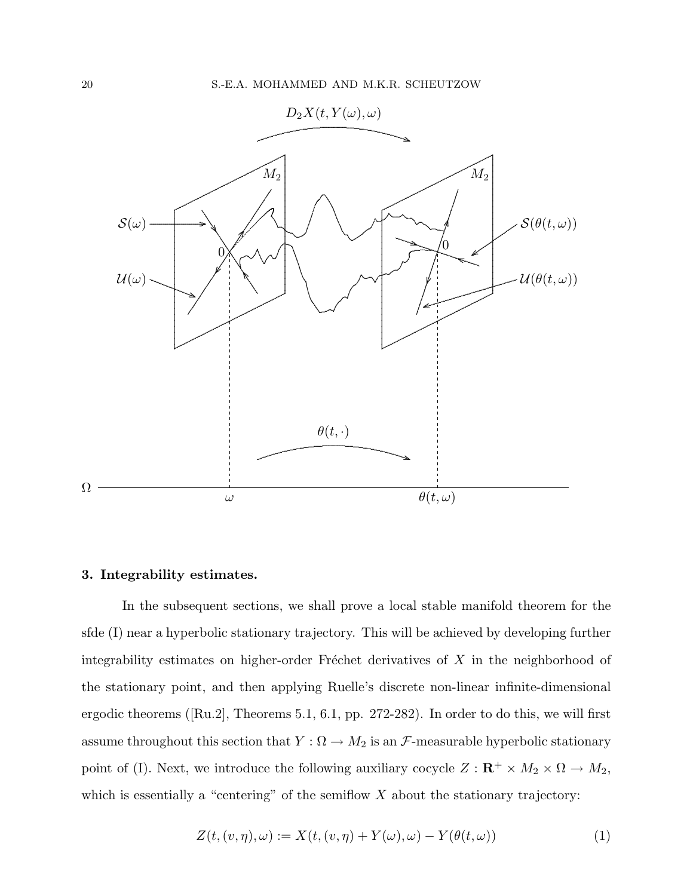

#### 3. Integrability estimates.

In the subsequent sections, we shall prove a local stable manifold theorem for the sfde (I) near a hyperbolic stationary trajectory. This will be achieved by developing further integrability estimates on higher-order Fréchet derivatives of X in the neighborhood of the stationary point, and then applying Ruelle's discrete non-linear infinite-dimensional ergodic theorems ( $\lbrack \text{Ru.2} \rbrack$ , Theorems 5.1, 6.1, pp. 272-282). In order to do this, we will first assume throughout this section that  $Y : \Omega \to M_2$  is an  $\mathcal{F}\text{-measurable hyperbolic stationary}$ point of (I). Next, we introduce the following auxiliary cocycle  $Z : \mathbb{R}^+ \times M_2 \times \Omega \to M_2$ which is essentially a "centering" of the semiflow  $X$  about the stationary trajectory: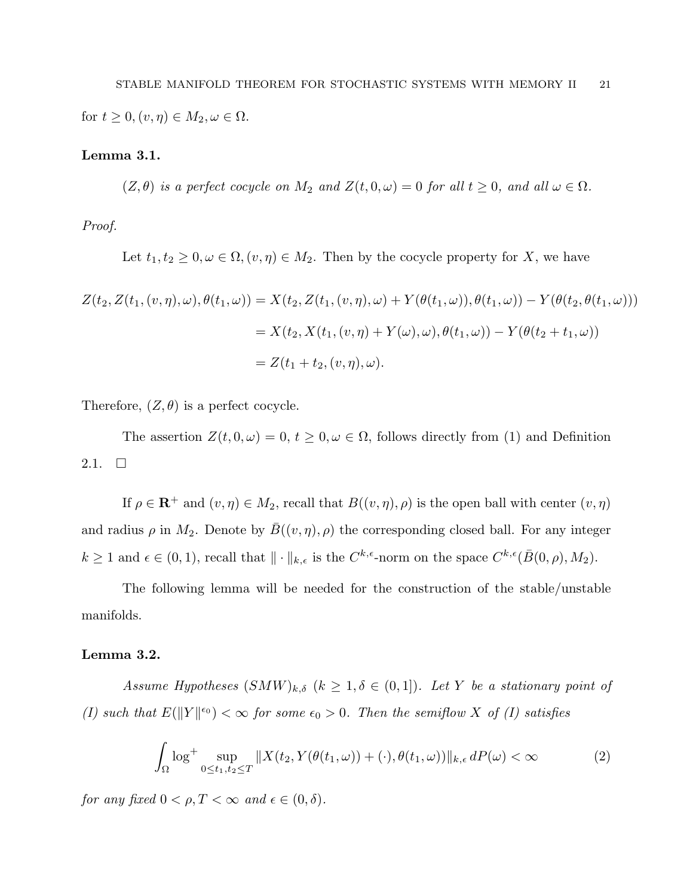#### Lemma 3.1.

 $(Z, \theta)$  is a perfect cocycle on  $M_2$  and  $Z(t, 0, \omega) = 0$  for all  $t \geq 0$ , and all  $\omega \in \Omega$ .

Proof.

Let  $t_1, t_2 \geq 0, \omega \in \Omega, (v, \eta) \in M_2$ . Then by the cocycle property for X, we have

$$
Z(t_2, Z(t_1, (v, \eta), \omega), \theta(t_1, \omega)) = X(t_2, Z(t_1, (v, \eta), \omega) + Y(\theta(t_1, \omega)), \theta(t_1, \omega)) - Y(\theta(t_2, \theta(t_1, \omega)))
$$
  
=  $X(t_2, X(t_1, (v, \eta) + Y(\omega), \omega), \theta(t_1, \omega)) - Y(\theta(t_2 + t_1, \omega))$   
=  $Z(t_1 + t_2, (v, \eta), \omega).$ 

Therefore,  $(Z, \theta)$  is a perfect cocycle.

The assertion  $Z(t, 0, \omega) = 0, t \geq 0, \omega \in \Omega$ , follows directly from (1) and Definition 2.1.  $\Box$ 

If  $\rho \in \mathbf{R}^+$  and  $(v, \eta) \in M_2$ , recall that  $B((v, \eta), \rho)$  is the open ball with center  $(v, \eta)$ and radius  $\rho$  in  $M_2$ . Denote by  $\bar{B}((v, \eta), \rho)$  the corresponding closed ball. For any integer  $k \geq 1$  and  $\epsilon \in (0, 1)$ , recall that  $\|\cdot\|_{k,\epsilon}$  is the  $C^{k,\epsilon}$ -norm on the space  $C^{k,\epsilon}(\bar{B}(0,\rho), M_2)$ .

The following lemma will be needed for the construction of the stable/unstable manifolds.

#### Lemma 3.2.

Assume Hypotheses  $(SMW)_{k,\delta}$   $(k \geq 1, \delta \in (0,1])$ . Let Y be a stationary point of (I) such that  $E(||Y||^{\\\epsilon_0}) < \infty$  for some  $\epsilon_0 > 0$ . Then the semiflow X of (I) satisfies

$$
\int_{\Omega} \log^{+} \sup_{0 \le t_1, t_2 \le T} \|X(t_2, Y(\theta(t_1, \omega)) + (\cdot), \theta(t_1, \omega))\|_{k, \epsilon} dP(\omega) < \infty \tag{2}
$$

for any fixed  $0 < \rho, T < \infty$  and  $\epsilon \in (0, \delta)$ .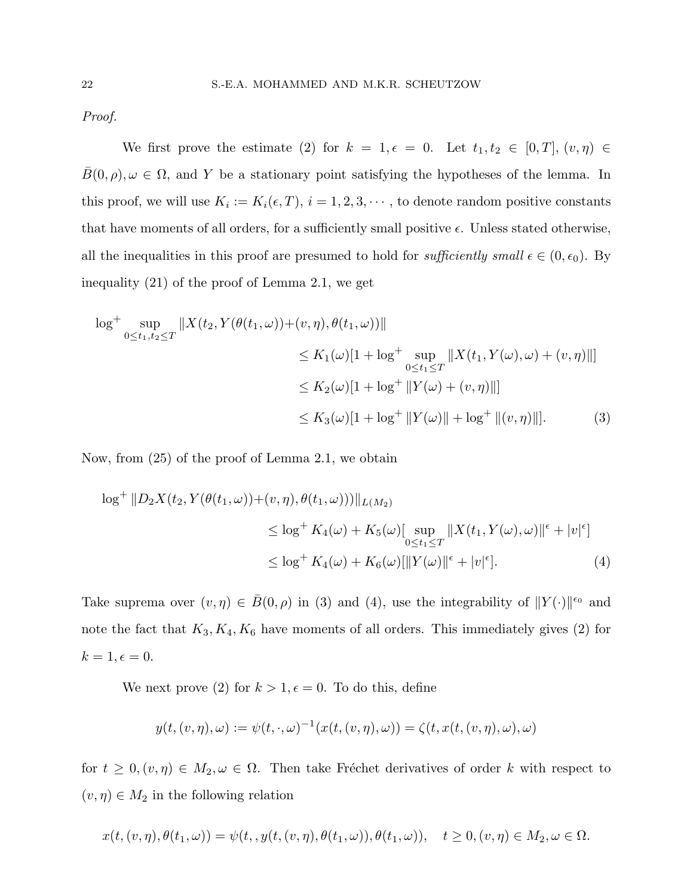Proof.

We first prove the estimate (2) for  $k = 1, \epsilon = 0$ . Let  $t_1, t_2 \in [0, T], (v, \eta) \in$  $\bar{B}(0, \rho), \omega \in \Omega$ , and Y be a stationary point satisfying the hypotheses of the lemma. In this proof, we will use  $K_i := K_i(\epsilon, T), i = 1, 2, 3, \cdots$ , to denote random positive constants that have moments of all orders, for a sufficiently small positive  $\epsilon$ . Unless stated otherwise, all the inequalities in this proof are presumed to hold for *sufficiently small*  $\epsilon \in (0, \epsilon_0)$ . By inequality (21) of the proof of Lemma 2.1, we get

$$
\log^{+} \sup_{0 \le t_1, t_2 \le T} \|X(t_2, Y(\theta(t_1, \omega)) + (v, \eta), \theta(t_1, \omega))\|
$$
  
\n
$$
\le K_1(\omega)[1 + \log^{+} \sup_{0 \le t_1 \le T} \|X(t_1, Y(\omega), \omega) + (v, \eta)\|]
$$
  
\n
$$
\le K_2(\omega)[1 + \log^{+} \|Y(\omega) + (v, \eta)\|]
$$
  
\n
$$
\le K_3(\omega)[1 + \log^{+} \|Y(\omega)\| + \log^{+} \|(v, \eta)\|].
$$
 (3)

Now, from (25) of the proof of Lemma 2.1, we obtain

$$
\log^{+} \|D_2 X(t_2, Y(\theta(t_1, \omega)) + (v, \eta), \theta(t_1, \omega)))\|_{L(M_2)}
$$
  
\n
$$
\leq \log^{+} K_4(\omega) + K_5(\omega) [\sup_{0 \leq t_1 \leq T} \|X(t_1, Y(\omega), \omega)\|^{\epsilon} + |v|^{\epsilon}]
$$
  
\n
$$
\leq \log^{+} K_4(\omega) + K_6(\omega) [\|Y(\omega)\|^{\epsilon} + |v|^{\epsilon}].
$$
\n(4)

Take suprema over  $(v, \eta) \in \overline{B}(0, \rho)$  in (3) and (4), use the integrability of  $||Y(\cdot)||^{\epsilon_0}$  and note the fact that  $K_3, K_4, K_6$  have moments of all orders. This immediately gives (2) for  $k = 1, \epsilon = 0.$ 

We next prove (2) for  $k > 1, \epsilon = 0$ . To do this, define

$$
y(t, (v, \eta), \omega) := \psi(t, \cdot, \omega)^{-1}(x(t, (v, \eta), \omega)) = \zeta(t, x(t, (v, \eta), \omega), \omega)
$$

for  $t \geq 0, (v, \eta) \in M_2, \omega \in \Omega$ . Then take Fréchet derivatives of order k with respect to  $(v, \eta) \in M_2$  in the following relation

$$
x(t, (v, \eta), \theta(t_1, \omega)) = \psi(t, y(t, (v, \eta), \theta(t_1, \omega)), \theta(t_1, \omega)), \quad t \ge 0, (v, \eta) \in M_2, \omega \in \Omega.
$$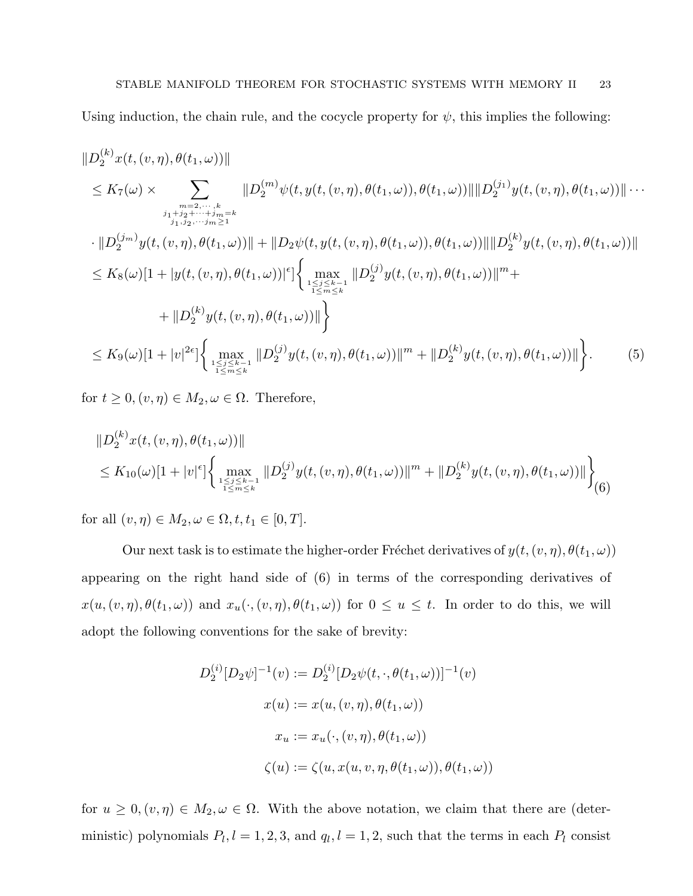Using induction, the chain rule, and the cocycle property for  $\psi$ , this implies the following:

$$
||D_{2}^{(k)}x(t, (v, \eta), \theta(t_{1}, \omega))||
$$
  
\n
$$
\leq K_{7}(\omega) \times \sum_{\substack{m=2,\dots,k\\j_{1},j_{2},\dots,j_{m}=k}} ||D_{2}^{(m)}\psi(t, y(t, (v, \eta), \theta(t_{1}, \omega)), \theta(t_{1}, \omega))|| ||D_{2}^{(j_{1})}y(t, (v, \eta), \theta(t_{1}, \omega))|| \cdots
$$
  
\n
$$
\cdot ||D_{2}^{(j_{m})}y(t, (v, \eta), \theta(t_{1}, \omega))|| + ||D_{2}\psi(t, y(t, (v, \eta), \theta(t_{1}, \omega)), \theta(t_{1}, \omega))|| ||D_{2}^{(k)}y(t, (v, \eta), \theta(t_{1}, \omega))||
$$
  
\n
$$
\leq K_{8}(\omega)[1 + |y(t, (v, \eta), \theta(t_{1}, \omega))|^{\epsilon}] \Big\{ \max_{\substack{1 \leq j \leq k-1\\1 \leq m \leq k}} ||D_{2}^{(j)}y(t, (v, \eta), \theta(t_{1}, \omega))||^{m} +
$$
  
\n
$$
+ ||D_{2}^{(k)}y(t, (v, \eta), \theta(t_{1}, \omega))|| \Big\}
$$
  
\n
$$
\leq K_{9}(\omega)[1 + |v|^{2\epsilon}] \Big\{ \max_{\substack{1 \leq j \leq k-1\\1 \leq m \leq k}} ||D_{2}^{(j)}y(t, (v, \eta), \theta(t_{1}, \omega))||^{m} + ||D_{2}^{(k)}y(t, (v, \eta), \theta(t_{1}, \omega))|| \Big\}.
$$
  
\n(5)

for  $t \geq 0, (v, \eta) \in M_2, \omega \in \Omega$ . Therefore,

$$
||D_2^{(k)}x(t, (v, \eta), \theta(t_1, \omega))||
$$
  
\n
$$
\leq K_{10}(\omega)[1+|v|^{\epsilon}] \Biggl\{ \max_{\substack{1 \leq j \leq k-1 \\ 1 \leq m \leq k}} ||D_2^{(j)}y(t, (v, \eta), \theta(t_1, \omega))||^m + ||D_2^{(k)}y(t, (v, \eta), \theta(t_1, \omega))|| \Biggr\}_{(6)}
$$

for all  $(v, \eta) \in M_2, \omega \in \Omega, t, t_1 \in [0, T].$ 

Our next task is to estimate the higher-order Fréchet derivatives of  $y(t,(v, \eta), \theta(t_1, \omega))$ appearing on the right hand side of (6) in terms of the corresponding derivatives of  $x(u,(v,\eta),\theta(t_1,\omega))$  and  $x_u(\cdot,(v,\eta),\theta(t_1,\omega))$  for  $0 \le u \le t$ . In order to do this, we will adopt the following conventions for the sake of brevity:

$$
D_2^{(i)}[D_2\psi]^{-1}(v) := D_2^{(i)}[D_2\psi(t, \cdot, \theta(t_1, \omega))]^{-1}(v)
$$
  

$$
x(u) := x(u, (v, \eta), \theta(t_1, \omega))
$$
  

$$
x_u := x_u(\cdot, (v, \eta), \theta(t_1, \omega))
$$
  

$$
\zeta(u) := \zeta(u, x(u, v, \eta, \theta(t_1, \omega)), \theta(t_1, \omega))
$$

for  $u \geq 0, (v, \eta) \in M_2, \omega \in \Omega$ . With the above notation, we claim that there are (deterministic) polynomials  $P_l$ ,  $l = 1, 2, 3$ , and  $q_l$ ,  $l = 1, 2$ , such that the terms in each  $P_l$  consist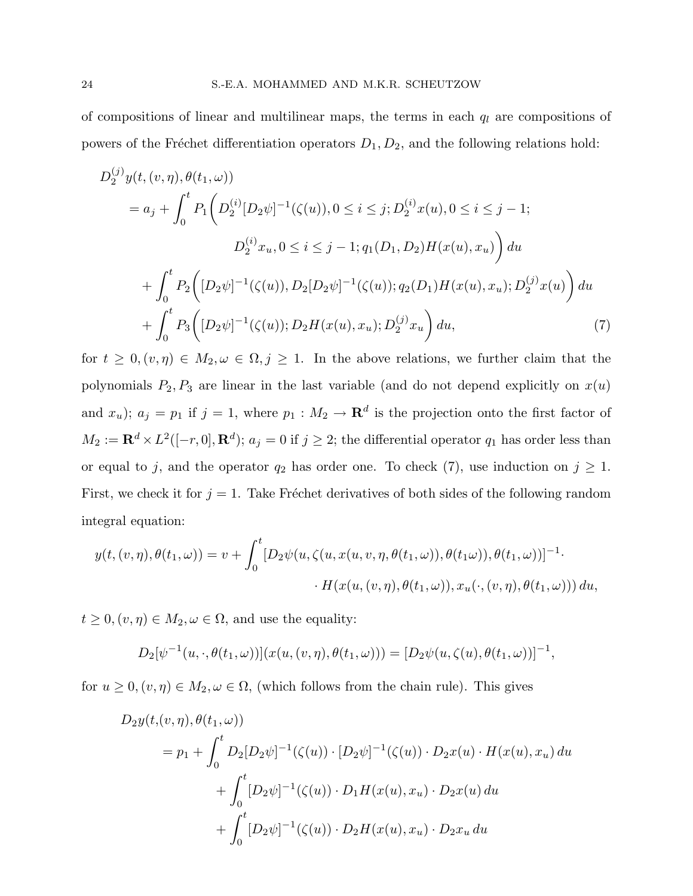of compositions of linear and multilinear maps, the terms in each  $q_l$  are compositions of powers of the Fréchet differentiation operators  $D_1, D_2$ , and the following relations hold:

$$
D_2^{(j)}y(t,(v,\eta),\theta(t_1,\omega))
$$
  
\n
$$
= a_j + \int_0^t P_1\left(D_2^{(i)}[D_2\psi]^{-1}(\zeta(u)), 0 \le i \le j; D_2^{(i)}x(u), 0 \le i \le j-1; D_2^{(i)}x(u), 0 \le i \le j-1; D_2^{(i)}x(u), 0 \le i \le j-1; q_1(D_1, D_2)H(x(u), x_u)\right) du
$$
  
\n
$$
+ \int_0^t P_2\left([D_2\psi]^{-1}(\zeta(u)), D_2[D_2\psi]^{-1}(\zeta(u)); q_2(D_1)H(x(u), x_u); D_2^{(j)}x(u)\right) du
$$
  
\n
$$
+ \int_0^t P_3\left([D_2\psi]^{-1}(\zeta(u)); D_2H(x(u), x_u); D_2^{(j)}x_u\right) du,
$$
 (7)

for  $t \geq 0, (v, \eta) \in M_2, \omega \in \Omega, j \geq 1$ . In the above relations, we further claim that the polynomials  $P_2, P_3$  are linear in the last variable (and do not depend explicitly on  $x(u)$ ) and  $x_u$ );  $a_j = p_1$  if  $j = 1$ , where  $p_1 : M_2 \to \mathbf{R}^d$  is the projection onto the first factor of  $M_2 := \mathbf{R}^d \times L^2([-r, 0], \mathbf{R}^d);$   $a_j = 0$  if  $j \geq 2$ ; the differential operator  $q_1$  has order less than or equal to j, and the operator  $q_2$  has order one. To check (7), use induction on  $j \geq 1$ . First, we check it for  $j = 1$ . Take Fréchet derivatives of both sides of the following random integral equation:

$$
y(t, (v, \eta), \theta(t_1, \omega)) = v + \int_0^t [D_2 \psi(u, \zeta(u, x(u, v, \eta, \theta(t_1, \omega)), \theta(t_1, \omega)), \theta(t_1, \omega))]^{-1} \cdot H(x(u, (v, \eta), \theta(t_1, \omega)), x_u(\cdot, (v, \eta), \theta(t_1, \omega))) du,
$$

 $t \geq 0, (v, \eta) \in M_2, \omega \in \Omega$ , and use the equality:

$$
D_2[\psi^{-1}(u,\cdot,\theta(t_1,\omega))](x(u,(v,\eta),\theta(t_1,\omega))) = [D_2\psi(u,\zeta(u),\theta(t_1,\omega))]^{-1},
$$

for  $u \geq 0$ ,  $(v, \eta) \in M_2$ ,  $\omega \in \Omega$ , (which follows from the chain rule). This gives

$$
D_2y(t,(v,\eta),\theta(t_1,\omega))
$$
  
=  $p_1 + \int_0^t D_2[D_2\psi]^{-1}(\zeta(u)) \cdot [D_2\psi]^{-1}(\zeta(u)) \cdot D_2x(u) \cdot H(x(u),x_u) du$   
+  $\int_0^t [D_2\psi]^{-1}(\zeta(u)) \cdot D_1H(x(u),x_u) \cdot D_2x(u) du$   
+  $\int_0^t [D_2\psi]^{-1}(\zeta(u)) \cdot D_2H(x(u),x_u) \cdot D_2x_u du$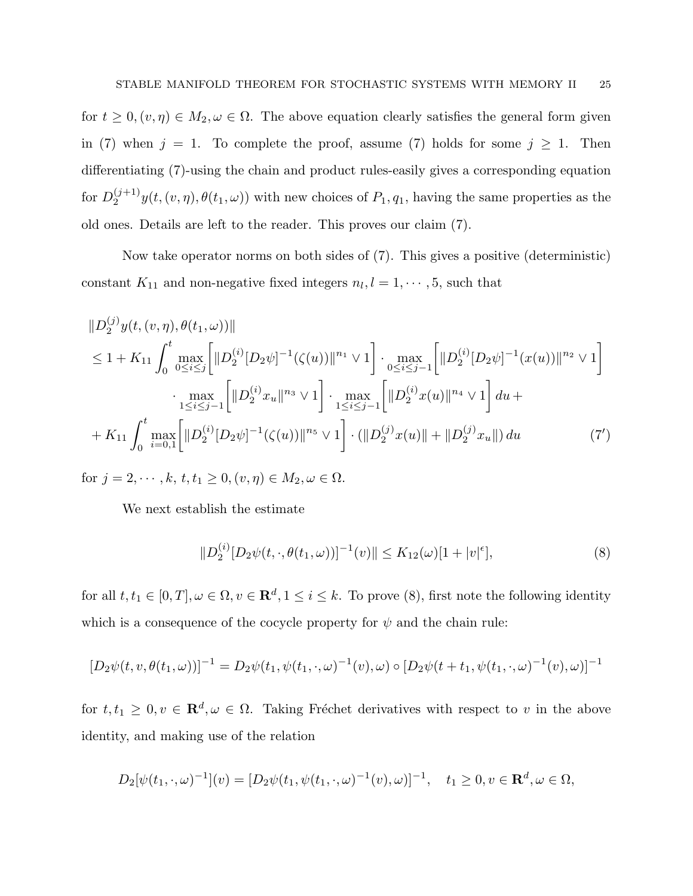for  $t \geq 0, (v, \eta) \in M_2, \omega \in \Omega$ . The above equation clearly satisfies the general form given in (7) when  $j = 1$ . To complete the proof, assume (7) holds for some  $j \ge 1$ . Then differentiating (7)-using the chain and product rules-easily gives a corresponding equation for  $D_2^{(j+1)}$  $\mathcal{Q}_2^{(j+1)}y(t,(v,\eta),\theta(t_1,\omega))$  with new choices of  $P_1,q_1$ , having the same properties as the old ones. Details are left to the reader. This proves our claim (7).

Now take operator norms on both sides of (7). This gives a positive (deterministic) constant  $K_{11}$  and non-negative fixed integers  $n_l, l = 1, \dots, 5$ , such that

$$
||D_{2}^{(j)}y(t,(v,\eta),\theta(t_{1},\omega))||
$$
  
\n
$$
\leq 1 + K_{11} \int_{0}^{t} \max_{0 \leq i \leq j} \left[||D_{2}^{(i)}[D_{2}\psi]^{-1}(\zeta(u))||^{n_{1}} \vee 1\right] \cdot \max_{0 \leq i \leq j-1} \left[||D_{2}^{(i)}[D_{2}\psi]^{-1}(x(u))||^{n_{2}} \vee 1\right]
$$
  
\n
$$
\cdot \max_{1 \leq i \leq j-1} \left[||D_{2}^{(i)}x_{u}||^{n_{3}} \vee 1\right] \cdot \max_{1 \leq i \leq j-1} \left[||D_{2}^{(i)}x(u)||^{n_{4}} \vee 1\right] du +
$$
  
\n
$$
+ K_{11} \int_{0}^{t} \max_{i=0,1} \left[||D_{2}^{(i)}[D_{2}\psi]^{-1}(\zeta(u))||^{n_{5}} \vee 1\right] \cdot \left(||D_{2}^{(j)}x(u)|| + ||D_{2}^{(j)}x_{u}||\right) du \qquad (7')
$$

for  $j = 2, \dots, k, t, t_1 \geq 0, (v, \eta) \in M_2, \omega \in \Omega$ .

We next establish the estimate

$$
||D_2^{(i)}[D_2\psi(t,\cdot,\theta(t_1,\omega))]^{-1}(v)|| \le K_{12}(\omega)[1+|v|^{\epsilon}], \tag{8}
$$

for all  $t, t_1 \in [0, T], \omega \in \Omega, v \in \mathbf{R}^d, 1 \leq i \leq k$ . To prove (8), first note the following identity which is a consequence of the cocycle property for  $\psi$  and the chain rule:

$$
[D_2\psi(t, v, \theta(t_1, \omega))]^{-1} = D_2\psi(t_1, \psi(t_1, \cdot, \omega)^{-1}(v), \omega) \circ [D_2\psi(t + t_1, \psi(t_1, \cdot, \omega)^{-1}(v), \omega)]^{-1}
$$

for  $t, t_1 \geq 0, v \in \mathbf{R}^d, \omega \in \Omega$ . Taking Fréchet derivatives with respect to v in the above identity, and making use of the relation

$$
D_2[\psi(t_1,\cdot,\omega)^{-1}](v) = [D_2\psi(t_1,\psi(t_1,\cdot,\omega)^{-1}(v),\omega)]^{-1}, \quad t_1 \ge 0, v \in \mathbf{R}^d, \omega \in \Omega,
$$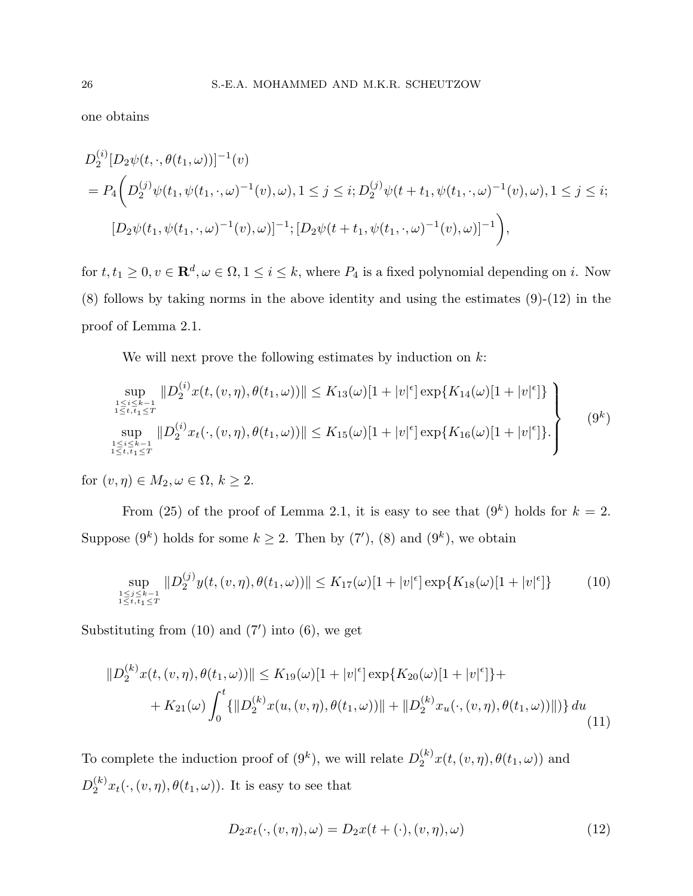one obtains

$$
D_2^{(i)}[D_2\psi(t, \cdot, \theta(t_1, \omega))]^{-1}(v)
$$
  
=  $P_4\bigg(D_2^{(j)}\psi(t_1, \psi(t_1, \cdot, \omega)^{-1}(v), \omega), 1 \le j \le i; D_2^{(j)}\psi(t + t_1, \psi(t_1, \cdot, \omega)^{-1}(v), \omega), 1 \le j \le i;$   
 $[D_2\psi(t_1, \psi(t_1, \cdot, \omega)^{-1}(v), \omega)]^{-1}; [D_2\psi(t + t_1, \psi(t_1, \cdot, \omega)^{-1}(v), \omega)]^{-1}\bigg),$ 

for  $t, t_1 \geq 0, v \in \mathbf{R}^d, \omega \in \Omega, 1 \leq i \leq k$ , where  $P_4$  is a fixed polynomial depending on i. Now (8) follows by taking norms in the above identity and using the estimates (9)-(12) in the proof of Lemma 2.1.

We will next prove the following estimates by induction on  $k$ :

$$
\sup_{\substack{1 \leq i \leq k-1 \\ 1 \leq t, t_1 \leq T}} \|D_2^{(i)} x(t, (v, \eta), \theta(t_1, \omega))\| \leq K_{13}(\omega)[1+|v|^{\epsilon}] \exp\{K_{14}(\omega)[1+|v|^{\epsilon}]\}
$$
\n
$$
\sup_{\substack{1 \leq i \leq k-1 \\ 1 \leq t, t_1 \leq T}} \|D_2^{(i)} x_t(\cdot, (v, \eta), \theta(t_1, \omega))\| \leq K_{15}(\omega)[1+|v|^{\epsilon}] \exp\{K_{16}(\omega)[1+|v|^{\epsilon}]\}.
$$
\n(9<sup>k</sup>)

for  $(v, \eta) \in M_2, \omega \in \Omega, k \geq 2$ .

From (25) of the proof of Lemma 2.1, it is easy to see that  $(9^k)$  holds for  $k = 2$ . Suppose  $(9^k)$  holds for some  $k \geq 2$ . Then by  $(7')$ ,  $(8)$  and  $(9^k)$ , we obtain

$$
\sup_{\substack{1 \le j \le k-1 \\ 1 \le t, t_1 \le T}} \|D_2^{(j)} y(t, (v, \eta), \theta(t_1, \omega))\| \le K_{17}(\omega)[1+|v|^{\epsilon}] \exp\{K_{18}(\omega)[1+|v|^{\epsilon}]\} \tag{10}
$$

Substituting from  $(10)$  and  $(7')$  into  $(6)$ , we get

$$
||D_2^{(k)}x(t, (v, \eta), \theta(t_1, \omega))|| \le K_{19}(\omega)[1 + |v|^{\epsilon}] \exp\{K_{20}(\omega)[1 + |v|^{\epsilon}]\} ++ K_{21}(\omega) \int_0^t \{||D_2^{(k)}x(u, (v, \eta), \theta(t_1, \omega))|| + ||D_2^{(k)}x_u(\cdot, (v, \eta), \theta(t_1, \omega))||\} du
$$
\n(11)

To complete the induction proof of  $(9^k)$ , we will relate  $D_2^{(k)}$  $\mathcal{L}_2^{(k)}x(t,(v,\eta),\theta(t_1,\omega))$  and  $D_2^{(k)}$  $\mathcal{L}^{(k)}_2 x_t(\cdot,(v,\eta),\theta(t_1,\omega))$ . It is easy to see that

$$
D_2x_t(\cdot,(v,\eta),\omega) = D_2x(t+(\cdot),(v,\eta),\omega)
$$
\n(12)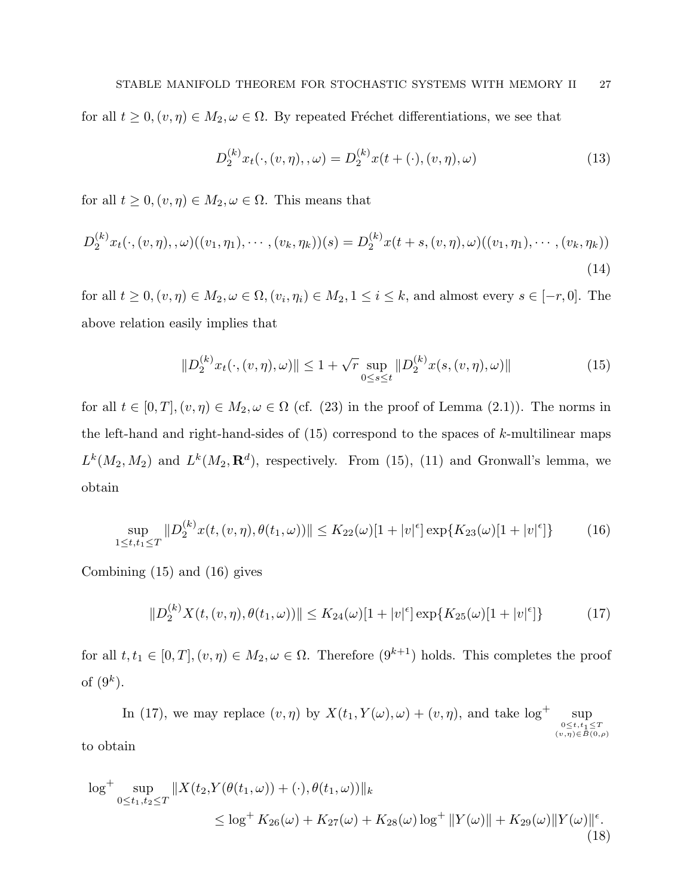for all  $t \geq 0$ ,  $(v, \eta) \in M_2$ ,  $\omega \in \Omega$ . By repeated Fréchet differentiations, we see that

$$
D_2^{(k)}x_t(\cdot,(v,\eta),\omega) = D_2^{(k)}x(t+(\cdot),(v,\eta),\omega)
$$
\n(13)

for all  $t \geq 0, (v, \eta) \in M_2, \omega \in \Omega$ . This means that

$$
D_2^{(k)}x_t(\cdot,(v,\eta),\omega)((v_1,\eta_1),\cdots,(v_k,\eta_k))(s) = D_2^{(k)}x(t+s,(v,\eta),\omega)((v_1,\eta_1),\cdots,(v_k,\eta_k))
$$
\n(14)

for all  $t \geq 0$ ,  $(v, \eta) \in M_2$ ,  $\omega \in \Omega$ ,  $(v_i, \eta_i) \in M_2$ ,  $1 \leq i \leq k$ , and almost every  $s \in [-r, 0]$ . The above relation easily implies that

$$
||D_2^{(k)}x_t(\cdot,(v,\eta),\omega)|| \le 1 + \sqrt{r} \sup_{0 \le s \le t} ||D_2^{(k)}x(s,(v,\eta),\omega)|| \tag{15}
$$

for all  $t \in [0, T], (v, \eta) \in M_2, \omega \in \Omega$  (cf. (23) in the proof of Lemma (2.1)). The norms in the left-hand and right-hand-sides of  $(15)$  correspond to the spaces of k-multilinear maps  $L^k(M_2, M_2)$  and  $L^k(M_2, \mathbf{R}^d)$ , respectively. From (15), (11) and Gronwall's lemma, we obtain

$$
\sup_{1 \le t, t_1 \le T} \| D_2^{(k)} x(t, (v, \eta), \theta(t_1, \omega)) \| \le K_{22}(\omega) [1 + |v|^{\epsilon}] \exp\{K_{23}(\omega) [1 + |v|^{\epsilon}]\} \tag{16}
$$

Combining (15) and (16) gives

$$
||D_2^{(k)}X(t,(v,\eta),\theta(t_1,\omega))|| \le K_{24}(\omega)[1+|v|^{\epsilon}] \exp\{K_{25}(\omega)[1+|v|^{\epsilon}]\} \tag{17}
$$

for all  $t, t_1 \in [0, T], (v, \eta) \in M_2, \omega \in \Omega$ . Therefore  $(9^{k+1})$  holds. This completes the proof of  $(9^k)$ .

In (17), we may replace  $(v, \eta)$  by  $X(t_1, Y(\omega), \omega) + (v, \eta)$ , and take  $\log^+$  sup  $0 \leq t, t_1 \leq T$ <br> $(v, \eta) \in \overline{B}(0, \rho)$ to obtain

$$
\log^{+} \sup_{0 \le t_1, t_2 \le T} \|X(t_2, Y(\theta(t_1, \omega)) + (\cdot), \theta(t_1, \omega))\|_{k} \le \log^{+} K_{26}(\omega) + K_{27}(\omega) + K_{28}(\omega) \log^{+} \|Y(\omega)\| + K_{29}(\omega) \|Y(\omega)\|^{6}.
$$
\n(18)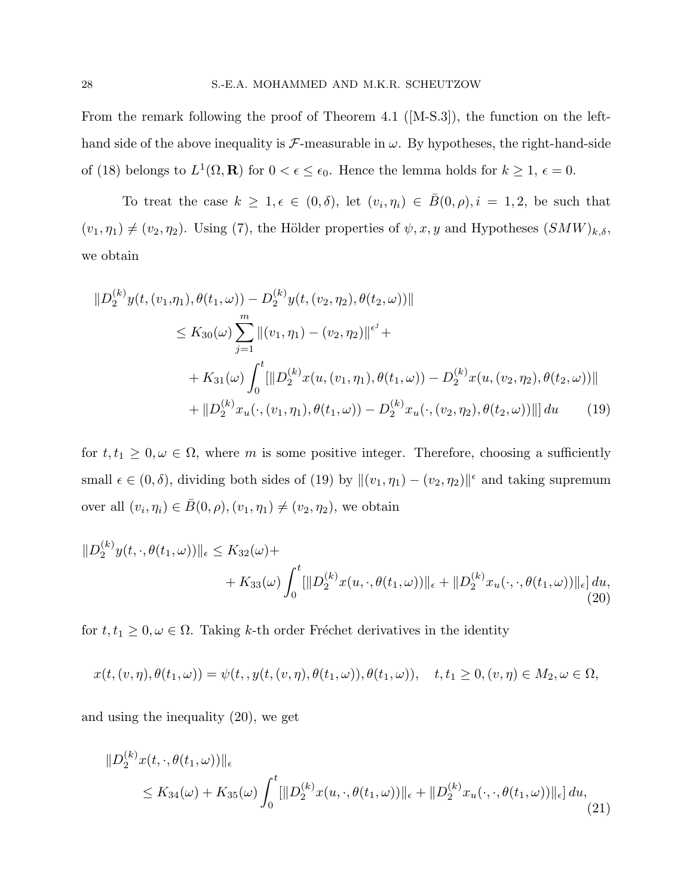From the remark following the proof of Theorem 4.1 ([M-S.3]), the function on the lefthand side of the above inequality is  $\mathcal{F}\text{-measurable in }\omega$ . By hypotheses, the right-hand-side of (18) belongs to  $L^1(\Omega, \mathbf{R})$  for  $0 < \epsilon \leq \epsilon_0$ . Hence the lemma holds for  $k \geq 1$ ,  $\epsilon = 0$ .

To treat the case  $k \geq 1, \epsilon \in (0, \delta)$ , let  $(v_i, \eta_i) \in \overline{B}(0, \rho), i = 1, 2$ , be such that  $(v_1, \eta_1) \neq (v_2, \eta_2)$ . Using (7), the Hölder properties of  $\psi, x, y$  and Hypotheses  $(SMW)_{k,\delta}$ , we obtain

$$
\|D_2^{(k)}y(t,(v_1,\eta_1),\theta(t_1,\omega)) - D_2^{(k)}y(t,(v_2,\eta_2),\theta(t_2,\omega))\|
$$
  
\n
$$
\leq K_{30}(\omega) \sum_{j=1}^m \|(v_1,\eta_1) - (v_2,\eta_2)\|^{\epsilon^j} +
$$
  
\n
$$
+ K_{31}(\omega) \int_0^t [\|D_2^{(k)}x(u,(v_1,\eta_1),\theta(t_1,\omega)) - D_2^{(k)}x(u,(v_2,\eta_2),\theta(t_2,\omega))\|
$$
  
\n
$$
+ \|D_2^{(k)}x_u(\cdot,(v_1,\eta_1),\theta(t_1,\omega)) - D_2^{(k)}x_u(\cdot,(v_2,\eta_2),\theta(t_2,\omega))\|] du
$$
 (19)

for  $t, t_1 \geq 0, \omega \in \Omega$ , where m is some positive integer. Therefore, choosing a sufficiently small  $\epsilon \in (0, \delta)$ , dividing both sides of (19) by  $\|(v_1, \eta_1) - (v_2, \eta_2)\|^{\epsilon}$  and taking supremum over all  $(v_i, \eta_i) \in \bar{B}(0, \rho), (v_1, \eta_1) \neq (v_2, \eta_2)$ , we obtain

$$
||D_2^{(k)}y(t, \cdot, \theta(t_1, \omega))||_{\epsilon} \le K_{32}(\omega) ++ K_{33}(\omega) \int_0^t [||D_2^{(k)}x(u, \cdot, \theta(t_1, \omega))||_{\epsilon} + ||D_2^{(k)}x_u(\cdot, \cdot, \theta(t_1, \omega))||_{\epsilon}] du,(20)
$$

for  $t, t_1 \geq 0, \omega \in \Omega$ . Taking k-th order Fréchet derivatives in the identity

$$
x(t, (v, \eta), \theta(t_1, \omega)) = \psi(t, y(t, (v, \eta), \theta(t_1, \omega)), \theta(t_1, \omega)), \quad t, t_1 \geq 0, (v, \eta) \in M_2, \omega \in \Omega,
$$

and using the inequality (20), we get

$$
\|D_2^{(k)}x(t,\cdot,\theta(t_1,\omega))\|_{\epsilon} \leq K_{34}(\omega) + K_{35}(\omega) \int_0^t [\|D_2^{(k)}x(u,\cdot,\theta(t_1,\omega))\|_{\epsilon} + \|D_2^{(k)}x_u(\cdot,\cdot,\theta(t_1,\omega))\|_{\epsilon}] du,
$$
\n(21)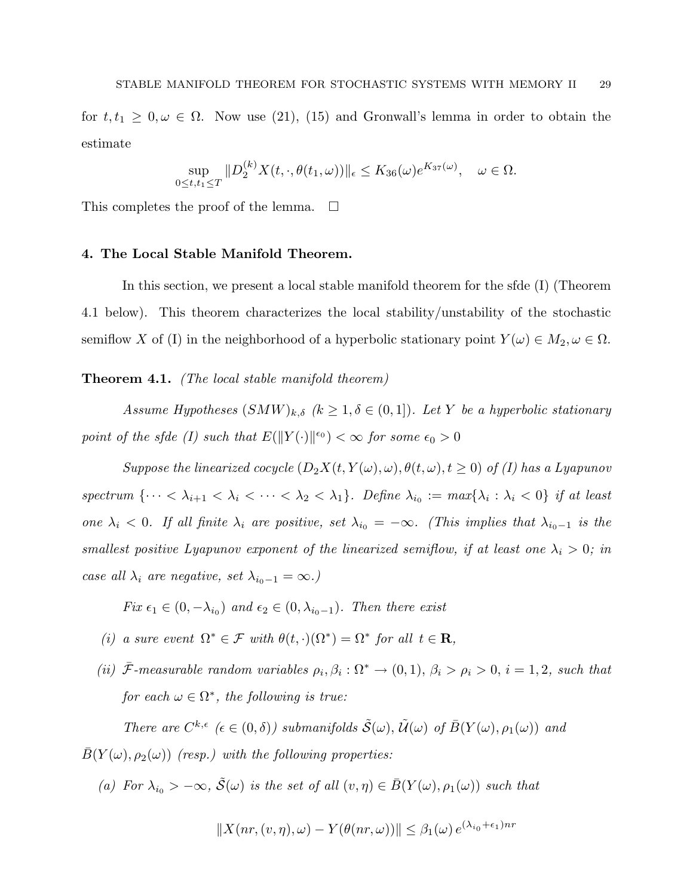for  $t, t_1 \geq 0, \omega \in \Omega$ . Now use (21), (15) and Gronwall's lemma in order to obtain the estimate

$$
\sup_{0\leq t,t_1\leq T} \|D_2^{(k)}X(t,\cdot,\theta(t_1,\omega))\|_{\epsilon} \leq K_{36}(\omega)e^{K_{37}(\omega)}, \quad \omega \in \Omega.
$$

This completes the proof of the lemma.  $\Box$ 

#### 4. The Local Stable Manifold Theorem.

In this section, we present a local stable manifold theorem for the sfde (I) (Theorem 4.1 below). This theorem characterizes the local stability/unstability of the stochastic semiflow X of (I) in the neighborhood of a hyperbolic stationary point  $Y(\omega) \in M_2, \omega \in \Omega$ .

**Theorem 4.1.** (The local stable manifold theorem)

Assume Hypotheses  $(SMW)_{k,\delta}$   $(k \geq 1, \delta \in (0,1])$ . Let Y be a hyperbolic stationary point of the sfde (I) such that  $E(||Y(\cdot)||^{\epsilon_0}) < \infty$  for some  $\epsilon_0 > 0$ 

Suppose the linearized cocycle  $(D_2X(t, Y(\omega), \omega), \theta(t, \omega), t \ge 0)$  of (I) has a Lyapunov spectrum  $\{\cdots < \lambda_{i+1} < \lambda_i < \cdots < \lambda_2 < \lambda_1\}$ . Define  $\lambda_{i_0} := max\{\lambda_i : \lambda_i < 0\}$  if at least one  $\lambda_i$  < 0. If all finite  $\lambda_i$  are positive, set  $\lambda_{i_0} = -\infty$ . (This implies that  $\lambda_{i_0-1}$  is the smallest positive Lyapunov exponent of the linearized semiflow, if at least one  $\lambda_i > 0$ ; in case all  $\lambda_i$  are negative, set  $\lambda_{i_0-1} = \infty$ .)

Fix  $\epsilon_1 \in (0, -\lambda_{i_0})$  and  $\epsilon_2 \in (0, \lambda_{i_0-1})$ . Then there exist

- (i) a sure event  $\Omega^* \in \mathcal{F}$  with  $\theta(t, \cdot)(\Omega^*) = \Omega^*$  for all  $t \in \mathbf{R}$ ,
- (ii)  $\bar{\mathcal{F}}$ -measurable random variables  $\rho_i, \beta_i : \Omega^* \to (0,1), \beta_i > \rho_i > 0, i = 1,2$ , such that for each  $\omega \in \Omega^*$ , the following is true:

There are  $C^{k,\epsilon}$  ( $\epsilon \in (0,\delta)$ ) submanifolds  $\tilde{S}(\omega)$ ,  $\tilde{\mathcal{U}}(\omega)$  of  $\bar{B}(Y(\omega), \rho_1(\omega))$  and  $B(Y(\omega), \rho_2(\omega))$  (resp.) with the following properties:

(a) For  $\lambda_{i_0} > -\infty$ ,  $\tilde{S}(\omega)$  is the set of all  $(v, \eta) \in \bar{B}(Y(\omega), \rho_1(\omega))$  such that

$$
||X(nr, (v, \eta), \omega) - Y(\theta(nr, \omega))|| \leq \beta_1(\omega) e^{(\lambda_{i_0} + \epsilon_1)nr}
$$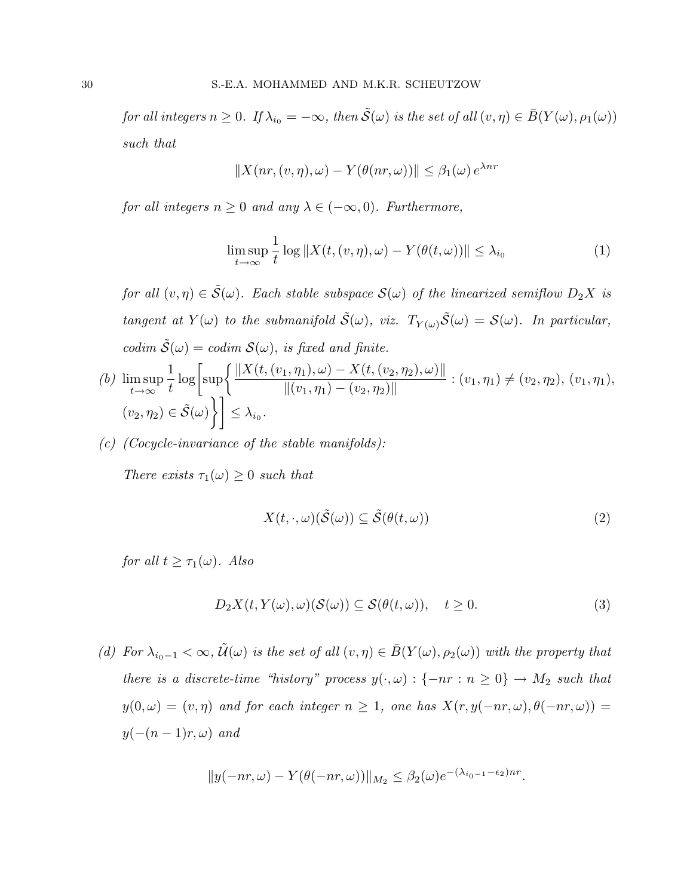for all integers  $n \geq 0$ . If  $\lambda_{i_0} = -\infty$ , then  $\tilde{S}(\omega)$  is the set of all  $(v, \eta) \in \bar{B}(Y(\omega), \rho_1(\omega))$ such that

$$
||X(nr,(v,\eta),\omega) - Y(\theta(nr,\omega))|| \leq \beta_1(\omega) e^{\lambda nr}
$$

for all integers  $n \geq 0$  and any  $\lambda \in (-\infty, 0)$ . Furthermore,

$$
\limsup_{t \to \infty} \frac{1}{t} \log \|X(t, (v, \eta), \omega) - Y(\theta(t, \omega))\| \le \lambda_{i_0}
$$
\n(1)

for all  $(v, \eta) \in \tilde{S}(\omega)$ . Each stable subspace  $S(\omega)$  of the linearized semiflow  $D_2X$  is tangent at  $Y(\omega)$  to the submanifold  $\tilde{S}(\omega)$ , viz.  $T_{Y(\omega)}\tilde{S}(\omega) = S(\omega)$ . In particular, codim  $\tilde{S}(\omega) = \text{codim } S(\omega)$ , is fixed and finite.

- $(b)$  lim sup  $t\rightarrow\infty$ 1 t  $\log \left[\sup_{s \in \mathbb{R}} \left\{ \frac{\|X(t,(v_1,\eta_1),\omega) - X(t,(v_2,\eta_2),\omega)\|}{\|L\|_{\infty}} \right\}$  $\|(v_1, \eta_1) - (v_2, \eta_2)\|$  $: (v_1, \eta_1) \neq (v_2, \eta_2), (v_1, \eta_1),$  $(v_2, \eta_2) \in \tilde{\mathcal{S}}(\omega)$  $\Big\}$  $\Big| \leq \lambda_{i_0}.$  $\frac{1}{2}$
- $(c)$  (Cocycle-invariance of the stable manifolds):

There exists  $\tau_1(\omega) \geq 0$  such that

$$
X(t,\cdot,\omega)(\tilde{\mathcal{S}}(\omega)) \subseteq \tilde{\mathcal{S}}(\theta(t,\omega))
$$
\n(2)

for all  $t \geq \tau_1(\omega)$ . Also

$$
D_2X(t, Y(\omega), \omega)(\mathcal{S}(\omega)) \subseteq \mathcal{S}(\theta(t, \omega)), \quad t \ge 0.
$$
 (3)

(d) For  $\lambda_{i_0-1} < \infty$ ,  $\tilde{\mathcal{U}}(\omega)$  is the set of all  $(v, \eta) \in \bar{B}(Y(\omega), \rho_2(\omega))$  with the property that there is a discrete-time "history" process  $y(\cdot,\omega) : \{-nr : n \geq 0\} \rightarrow M_2$  such that  $y(0, \omega) = (v, \eta)$  and for each integer  $n \ge 1$ , one has  $X(r, y(-nr, \omega), \theta(-nr, \omega)) =$  $y(-(n-1)r, \omega)$  and

$$
||y(-nr,\omega)-Y(\theta(-nr,\omega))||_{M_2} \leq \beta_2(\omega)e^{-(\lambda_{i_0-1}-\epsilon_2)nr}.
$$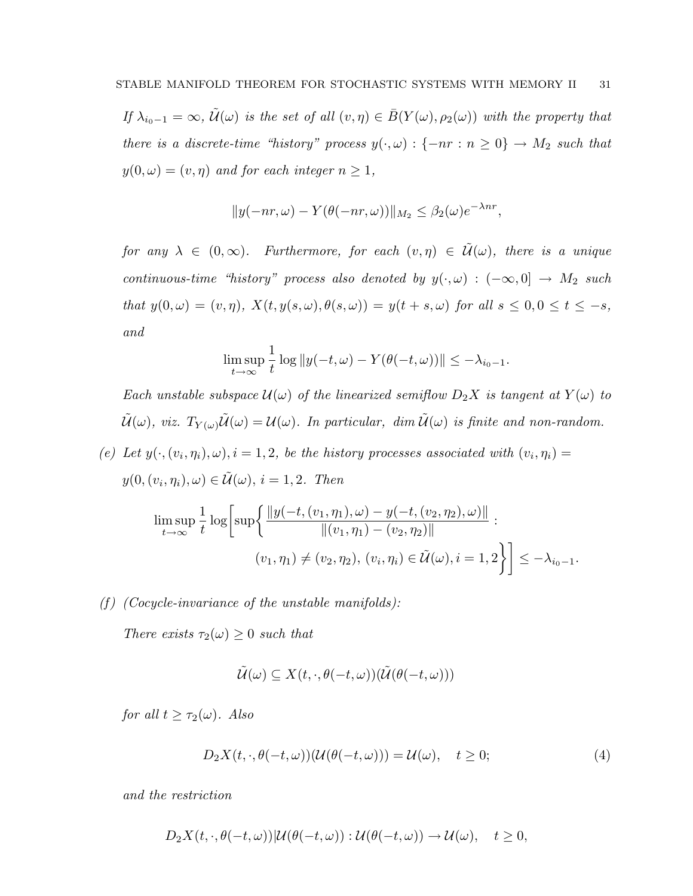If  $\lambda_{i_0-1} = \infty$ ,  $\tilde{\mathcal{U}}(\omega)$  is the set of all  $(v, \eta) \in \bar{B}(Y(\omega), \rho_2(\omega))$  with the property that there is a discrete-time "history" process  $y(\cdot, \omega) : \{-nr : n \geq 0\} \to M_2$  such that  $y(0, \omega) = (v, \eta)$  and for each integer  $n \ge 1$ ,

$$
||y(-nr,\omega) - Y(\theta(-nr,\omega))||_{M_2} \leq \beta_2(\omega)e^{-\lambda nr},
$$

for any  $\lambda \in (0,\infty)$ . Furthermore, for each  $(v,\eta) \in \tilde{\mathcal{U}}(\omega)$ , there is a unique continuous-time "history" process also denoted by  $y(\cdot,\omega) : (-\infty,0] \rightarrow M_2$  such that  $y(0, \omega) = (v, \eta)$ ,  $X(t, y(s, \omega), \theta(s, \omega)) = y(t + s, \omega)$  for all  $s \leq 0, 0 \leq t \leq -s$ , and

$$
\limsup_{t\to\infty}\frac{1}{t}\log\|y(-t,\omega)-Y(\theta(-t,\omega))\|\leq-\lambda_{i_0-1}.
$$

Each unstable subspace  $\mathcal{U}(\omega)$  of the linearized semiflow  $D_2X$  is tangent at  $Y(\omega)$  to  $\tilde{\mathcal{U}}(\omega)$ , viz.  $T_{Y(\omega)}\tilde{\mathcal{U}}(\omega) = \mathcal{U}(\omega)$ . In particular, dim  $\tilde{\mathcal{U}}(\omega)$  is finite and non-random.

(e) Let  $y(\cdot,(v_i,\eta_i),\omega), i=1,2$ , be the history processes associated with  $(v_i,\eta_i)$  =  $y(0,(v_i,\eta_i),\omega) \in \tilde{\mathcal{U}}(\omega), i = 1,2$ . Then

$$
\limsup_{t \to \infty} \frac{1}{t} \log \left[ \sup \left\{ \frac{\|y(-t, (v_1, \eta_1), \omega) - y(-t, (v_2, \eta_2), \omega) \|}{\|(v_1, \eta_1) - (v_2, \eta_2)\|} : \right\}
$$
\n
$$
(v_1, \eta_1) \neq (v_2, \eta_2), (v_i, \eta_i) \in \tilde{\mathcal{U}}(\omega), i = 1, 2 \right\} \right] \leq -\lambda_{i_0 - 1}.
$$

(f) (Cocycle-invariance of the unstable manifolds):

There exists  $\tau_2(\omega) \geq 0$  such that

$$
\tilde{\mathcal{U}}(\omega) \subseteq X(t,\cdot,\theta(-t,\omega))(\tilde{\mathcal{U}}(\theta(-t,\omega)))
$$

for all  $t \geq \tau_2(\omega)$ . Also

$$
D_2X(t,\cdot,\theta(-t,\omega))(\mathcal{U}(\theta(-t,\omega))) = \mathcal{U}(\omega), \quad t \ge 0; \tag{4}
$$

and the restriction

$$
D_2X(t,\cdot,\theta(-t,\omega))|\mathcal{U}(\theta(-t,\omega)):\mathcal{U}(\theta(-t,\omega))\to\mathcal{U}(\omega),\quad t\geq 0,
$$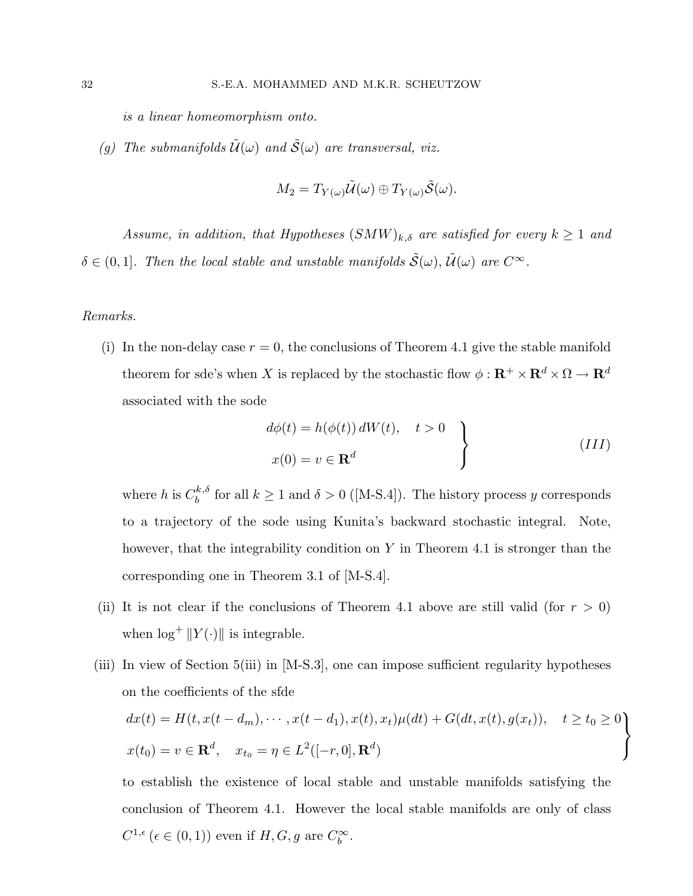is a linear homeomorphism onto.

(g) The submanifolds  $\tilde{\mathcal{U}}(\omega)$  and  $\tilde{\mathcal{S}}(\omega)$  are transversal, viz.

$$
M_2 = T_{Y(\omega)}\tilde{\mathcal{U}}(\omega) \oplus T_{Y(\omega)}\tilde{\mathcal{S}}(\omega).
$$

Assume, in addition, that Hypotheses  $(SMW)_{k,\delta}$  are satisfied for every  $k \geq 1$  and  $\delta \in (0,1]$ . Then the local stable and unstable manifolds  $\tilde{S}(\omega)$ ,  $\tilde{\mathcal{U}}(\omega)$  are  $C^{\infty}$ .

#### Remarks.

(i) In the non-delay case  $r = 0$ , the conclusions of Theorem 4.1 give the stable manifold theorem for sde's when X is replaced by the stochastic flow  $\phi : \mathbf{R}^+ \times \mathbf{R}^d \times \Omega \to \mathbf{R}^d$ associated with the sode

$$
d\phi(t) = h(\phi(t)) dW(t), \quad t > 0
$$
  

$$
x(0) = v \in \mathbf{R}^d
$$
 (III)

where h is  $C_b^{k,\delta}$  $b_b^{k,0}$  for all  $k \ge 1$  and  $\delta > 0$  ([M-S.4]). The history process y corresponds to a trajectory of the sode using Kunita's backward stochastic integral. Note, however, that the integrability condition on  $Y$  in Theorem 4.1 is stronger than the corresponding one in Theorem 3.1 of [M-S.4].

- (ii) It is not clear if the conclusions of Theorem 4.1 above are still valid (for  $r > 0$ ) when  $\log^+ \|Y(\cdot)\|$  is integrable.
- (iii) In view of Section 5(iii) in [M-S.3], one can impose sufficient regularity hypotheses on the coefficients of the sfde  $dx(t) = H(t, x(t - d_m), \dots, x(t - d_1), x(t), x_t) \mu(dt) + G(dt, x(t), g(x_t)), \quad t \ge t_0 \ge 0$  $x(t_0) = v \in \mathbf{R}^d$ ,  $x_{t_0} = \eta \in L^2([-r, 0], \mathbf{R}^d)$  $\mathbf{r}$  $\mathcal{L}$  $\sqrt{ }$

to establish the existence of local stable and unstable manifolds satisfying the conclusion of Theorem 4.1. However the local stable manifolds are only of class  $C^{1,\epsilon}$  ( $\epsilon \in (0,1)$ ) even if  $H, G, g$  are  $C_b^{\infty}$ .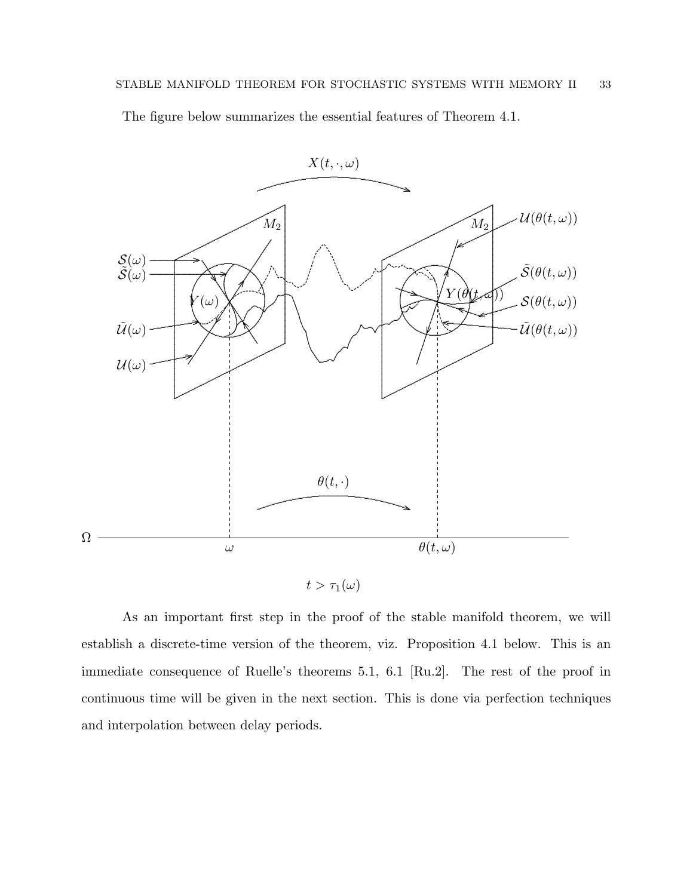The figure below summarizes the essential features of Theorem 4.1.



As an important first step in the proof of the stable manifold theorem, we will establish a discrete-time version of the theorem, viz. Proposition 4.1 below. This is an immediate consequence of Ruelle's theorems 5.1, 6.1 [Ru.2]. The rest of the proof in continuous time will be given in the next section. This is done via perfection techniques and interpolation between delay periods.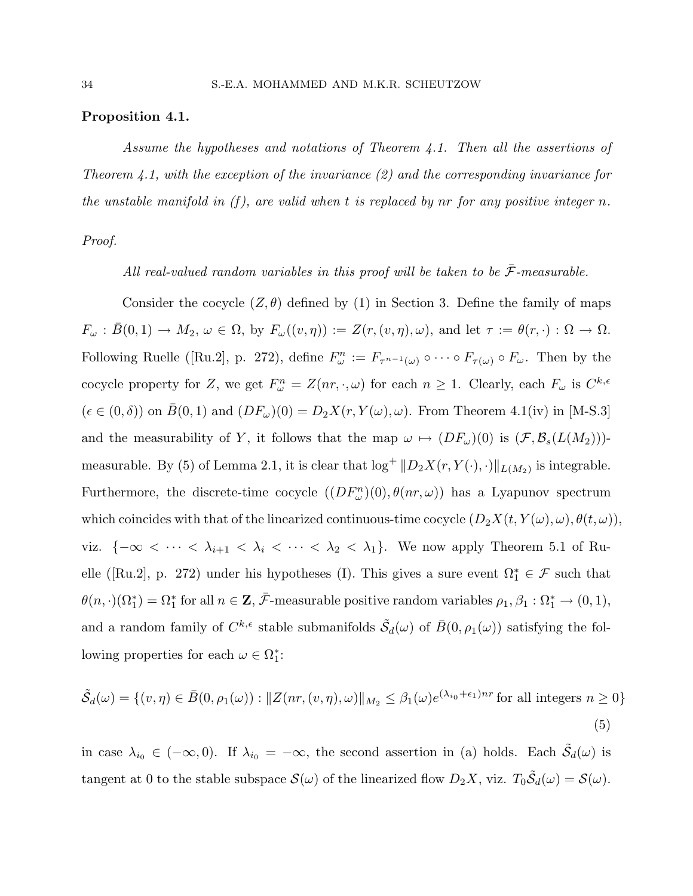#### Proposition 4.1.

Assume the hypotheses and notations of Theorem 4.1. Then all the assertions of Theorem 4.1, with the exception of the invariance  $(2)$  and the corresponding invariance for the unstable manifold in  $(f)$ , are valid when t is replaced by nr for any positive integer n.

Proof.

All real-valued random variables in this proof will be taken to be  $\bar{\mathcal{F}}$ -measurable.

Consider the cocycle  $(Z, \theta)$  defined by (1) in Section 3. Define the family of maps  $F_{\omega} : \overline{B}(0,1) \to M_2, \omega \in \Omega$ , by  $F_{\omega}((v,\eta)) := Z(r,(v,\eta),\omega)$ , and let  $\tau := \theta(r,\cdot) : \Omega \to \Omega$ . Following Ruelle ([Ru.2], p. 272), define  $F^n_\omega := F_{\tau^{n-1}(\omega)} \circ \cdots \circ F_{\tau(\omega)} \circ F_\omega$ . Then by the cocycle property for Z, we get  $F_{\omega}^n = Z(nr, \cdot, \omega)$  for each  $n \geq 1$ . Clearly, each  $F_{\omega}$  is  $C^{k, \epsilon}$  $(\epsilon \in (0,\delta))$  on  $\bar{B}(0,1)$  and  $(DF_{\omega})(0) = D_2X(r,Y(\omega),\omega)$ . From Theorem 4.1(iv) in [M-S.3] and the measurability of Y, it follows that the map  $\omega \mapsto (DF_{\omega})(0)$  is  $(\mathcal{F}, \mathcal{B}_s(L(M_2)))$ measurable. By (5) of Lemma 2.1, it is clear that  $\log^+ ||D_2X(r, Y(\cdot), \cdot)||_{L(M_2)}$  is integrable. Furthermore, the discrete-time cocycle  $((DF_{\omega}^n)(0), \theta(nr, \omega))$  has a Lyapunov spectrum which coincides with that of the linearized continuous-time cocycle  $(D_2X(t, Y(\omega), \omega), \theta(t, \omega))$ , viz. { $-\infty < \cdots < \lambda_{i+1} < \lambda_i < \cdots < \lambda_2 < \lambda_1$ }. We now apply Theorem 5.1 of Ruelle ([Ru.2], p. 272) under his hypotheses (I). This gives a sure event  $\Omega_1^* \in \mathcal{F}$  such that  $\theta(n, \cdot)(\Omega_1^*) = \Omega_1^*$  for all  $n \in \mathbb{Z}, \bar{\mathcal{F}}$ -measurable positive random variables  $\rho_1, \beta_1 : \Omega_1^* \to (0, 1),$ and a random family of  $C^{k,\epsilon}$  stable submanifolds  $\tilde{\mathcal{S}}_d(\omega)$  of  $\bar{B}(0,\rho_1(\omega))$  satisfying the following properties for each  $\omega \in \Omega_1^*$ :

$$
\tilde{S}_d(\omega) = \{(v, \eta) \in \bar{B}(0, \rho_1(\omega)) : ||Z(nr, (v, \eta), \omega)||_{M_2} \leq \beta_1(\omega) e^{(\lambda_{i_0} + \epsilon_1)nr} \text{ for all integers } n \geq 0\}
$$
\n
$$
(5)
$$

in case  $\lambda_{i_0} \in (-\infty, 0)$ . If  $\lambda_{i_0} = -\infty$ , the second assertion in (a) holds. Each  $\tilde{\mathcal{S}}_d(\omega)$  is tangent at 0 to the stable subspace  $\mathcal{S}(\omega)$  of the linearized flow  $D_2X$ , viz.  $T_0\tilde{\mathcal{S}}_d(\omega)=\mathcal{S}(\omega)$ .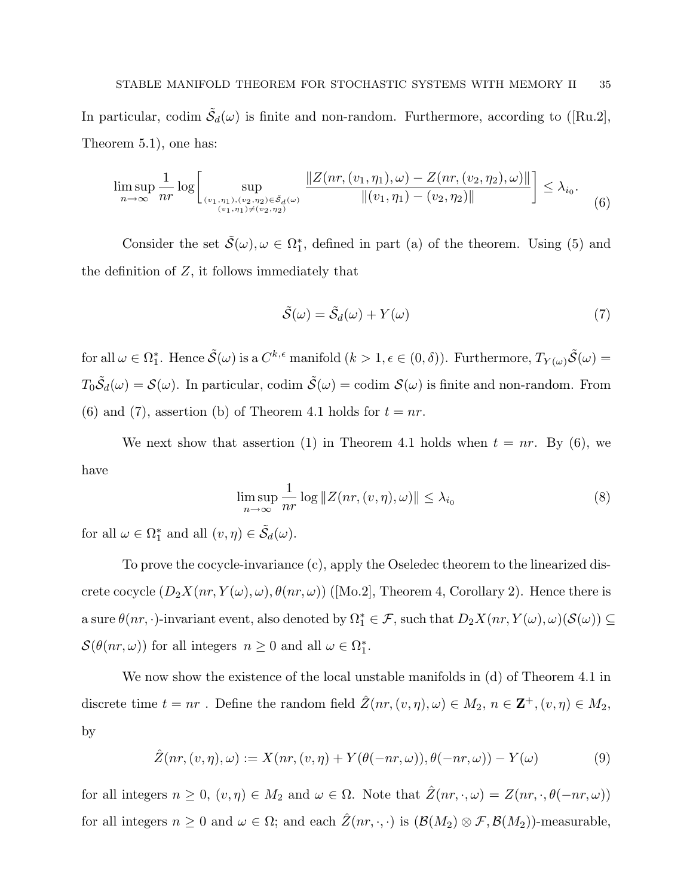In particular, codim  $\tilde{S}_d(\omega)$  is finite and non-random. Furthermore, according to ([Ru.2], Theorem 5.1), one has:

$$
\limsup_{n \to \infty} \frac{1}{n r} \log \left[ \sup_{(v_1, \eta_1), (v_2, \eta_2) \in \tilde{\mathcal{S}}_d(\omega) \atop (v_1, \eta_1) \neq (v_2, \eta_2)} \frac{\|Z(nr, (v_1, \eta_1), \omega) - Z(nr, (v_2, \eta_2), \omega)\|}{\|(v_1, \eta_1) - (v_2, \eta_2)\|} \right] \leq \lambda_{i_0}.
$$
\n(6)

Consider the set  $\tilde{S}(\omega), \omega \in \Omega_1^*$ , defined in part (a) of the theorem. Using (5) and the definition of  $Z$ , it follows immediately that

$$
\tilde{S}(\omega) = \tilde{S}_d(\omega) + Y(\omega) \tag{7}
$$

for all  $\omega \in \Omega_1^*$ . Hence  $\tilde{\mathcal{S}}(\omega)$  is a  $C^{k,\epsilon}$  manifold  $(k > 1, \epsilon \in (0,\delta))$ . Furthermore,  $T_{Y(\omega)}\tilde{\mathcal{S}}(\omega)$  =  $T_0\tilde{\mathcal{S}}_d(\omega)=\mathcal{S}(\omega)$ . In particular, codim  $\tilde{\mathcal{S}}(\omega)=$  codim  $\mathcal{S}(\omega)$  is finite and non-random. From (6) and (7), assertion (b) of Theorem 4.1 holds for  $t = nr$ .

We next show that assertion (1) in Theorem 4.1 holds when  $t = nr$ . By (6), we have

$$
\limsup_{n \to \infty} \frac{1}{n r} \log \| Z(nr, (v, \eta), \omega) \| \le \lambda_{i_0}
$$
\n(8)

for all  $\omega \in \Omega_1^*$  and all  $(v, \eta) \in \tilde{S}_d(\omega)$ .

To prove the cocycle-invariance (c), apply the Oseledec theorem to the linearized discrete cocycle  $(D_2X(nr,Y(\omega),\omega),\theta(nr,\omega))$  ([Mo.2], Theorem 4, Corollary 2). Hence there is a sure  $\theta(nr,\cdot)$ -invariant event, also denoted by  $\Omega_1^* \in \mathcal{F}$ , such that  $D_2X(nr,Y(\omega),\omega)(\mathcal{S}(\omega)) \subseteq$  $\mathcal{S}(\theta(nr,\omega))$  for all integers  $n \geq 0$  and all  $\omega \in \Omega_1^*$ .

We now show the existence of the local unstable manifolds in (d) of Theorem 4.1 in discrete time  $t = nr$ . Define the random field  $\hat{Z}(nr,(v,\eta),\omega) \in M_2$ ,  $n \in \mathbf{Z}^+, (v,\eta) \in M_2$ , by

$$
\hat{Z}(nr,(v,\eta),\omega) := X(nr,(v,\eta) + Y(\theta(-nr,\omega)),\theta(-nr,\omega)) - Y(\omega)
$$
\n(9)

for all integers  $n \geq 0$ ,  $(v, \eta) \in M_2$  and  $\omega \in \Omega$ . Note that  $\hat{Z}(nr, \cdot, \omega) = Z(nr, \cdot, \theta(-nr, \omega))$ for all integers  $n \geq 0$  and  $\omega \in \Omega$ ; and each  $\hat{Z}(nr, \cdot, \cdot)$  is  $(\mathcal{B}(M_2) \otimes \mathcal{F}, \mathcal{B}(M_2))$ -measurable,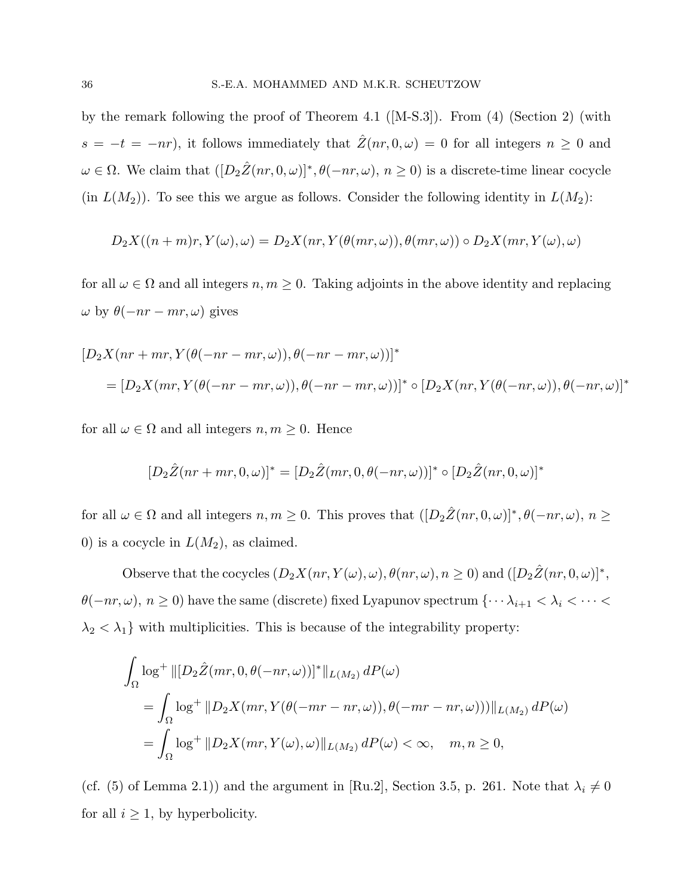by the remark following the proof of Theorem 4.1 ([M-S.3]). From (4) (Section 2) (with  $s = -t = -nr$ , it follows immediately that  $\hat{Z}(nr, 0, \omega) = 0$  for all integers  $n \geq 0$  and  $\omega \in \Omega$ . We claim that  $([D_2\hat{Z}(nr, 0, \omega)]^*, \theta(-nr, \omega), n \ge 0)$  is a discrete-time linear cocycle (in  $L(M_2)$ ). To see this we argue as follows. Consider the following identity in  $L(M_2)$ :

$$
D_2X((n+m)r,Y(\omega),\omega)=D_2X(nr,Y(\theta(mr,\omega)),\theta(mr,\omega))\circ D_2X(mr,Y(\omega),\omega)
$$

for all  $\omega \in \Omega$  and all integers  $n, m \geq 0$ . Taking adjoints in the above identity and replacing  $\omega$  by  $\theta(-nr - mr, \omega)$  gives

$$
[D_2X(nr+mr,Y(\theta(-nr-mr,\omega)),\theta(-nr-mr,\omega))]^*
$$
  
=  $[D_2X(mr,Y(\theta(-nr-mr,\omega)),\theta(-nr-mr,\omega))]^* \circ [D_2X(nr,Y(\theta(-nr,\omega)),\theta(-nr,\omega)]^*$ 

for all  $\omega \in \Omega$  and all integers  $n, m \geq 0$ . Hence

$$
[D_2\hat{Z}(nr + mr, 0, \omega)]^* = [D_2\hat{Z}(mr, 0, \theta(-nr, \omega))]^* \circ [D_2\hat{Z}(nr, 0, \omega)]^*
$$

for all  $\omega \in \Omega$  and all integers  $n, m \geq 0$ . This proves that  $([D_2\hat{Z}(nr, 0, \omega)]^*, \theta(-nr, \omega), n \geq 0$ 0) is a cocycle in  $L(M_2)$ , as claimed.

Observe that the cocycles  $(D_2X(nr,Y(\omega),\omega), \theta(nr,\omega), n \ge 0)$  and  $([D_2\hat{Z}(nr,0,\omega)]^*$ ,  $\theta(-nr,\omega), n \ge 0$ ) have the same (discrete) fixed Lyapunov spectrum  $\{\cdots \lambda_{i+1} < \lambda_i < \cdots < \lambda_{i+1}\}$  $\lambda_2 < \lambda_1$ } with multiplicities. This is because of the integrability property:

$$
\int_{\Omega} \log^{+} \left\| [D_2 \hat{Z}(mr, 0, \theta(-nr, \omega))]^* \right\|_{L(M_2)} dP(\omega)
$$
\n
$$
= \int_{\Omega} \log^{+} \left\| D_2 X(mr, Y(\theta(-mr - nr, \omega)), \theta(-mr - nr, \omega)) \right\|_{L(M_2)} dP(\omega)
$$
\n
$$
= \int_{\Omega} \log^{+} \left\| D_2 X(mr, Y(\omega), \omega) \right\|_{L(M_2)} dP(\omega) < \infty, \quad m, n \ge 0,
$$

(cf. (5) of Lemma 2.1)) and the argument in [Ru.2], Section 3.5, p. 261. Note that  $\lambda_i \neq 0$ for all  $i \geq 1$ , by hyperbolicity.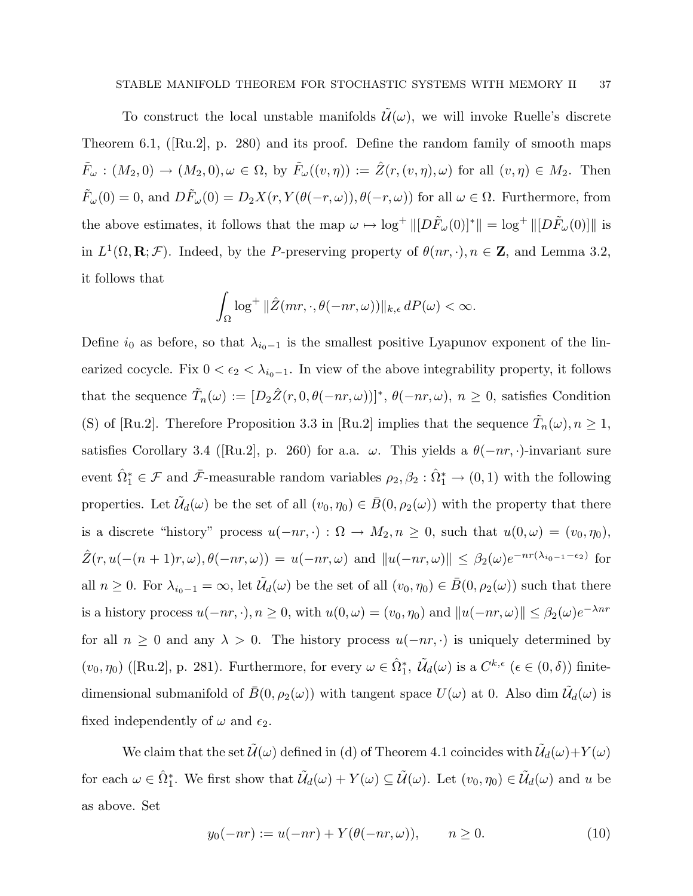To construct the local unstable manifolds  $\mathcal{U}(\omega)$ , we will invoke Ruelle's discrete Theorem 6.1, ([Ru.2], p. 280) and its proof. Define the random family of smooth maps  $\tilde{F}_{\omega} : (M_2, 0) \to (M_2, 0), \omega \in \Omega$ , by  $\tilde{F}_{\omega}((v, \eta)) := \hat{Z}(r, (v, \eta), \omega)$  for all  $(v, \eta) \in M_2$ . Then  $\tilde{F}_{\omega}(0) = 0$ , and  $D\tilde{F}_{\omega}(0) = D_2X(r, Y(\theta(-r, \omega)), \theta(-r, \omega))$  for all  $\omega \in \Omega$ . Furthermore, from the above estimates, it follows that the map  $\omega \mapsto \log^+ ||[D\tilde{F}_{\omega}(0)]^*|| = \log^+ ||[D\tilde{F}_{\omega}(0)]||$  is in  $L^1(\Omega, \mathbf{R}; \mathcal{F})$ . Indeed, by the P-preserving property of  $\theta(nr, \cdot), n \in \mathbb{Z}$ , and Lemma 3.2, it follows that

$$
\int_{\Omega} \log^{+} \|\hat{Z}(mr,\cdot,\theta(-nr,\omega))\|_{k,\epsilon} dP(\omega) < \infty.
$$

Define  $i_0$  as before, so that  $\lambda_{i_0-1}$  is the smallest positive Lyapunov exponent of the linearized cocycle. Fix  $0 < \epsilon_2 < \lambda_{i_0-1}$ . In view of the above integrability property, it follows that the sequence  $\tilde{T}_n(\omega) := [D_2 \hat{Z}(r, 0, \theta(-nr, \omega))]^*, \theta(-nr, \omega), n \geq 0$ , satisfies Condition (S) of [Ru.2]. Therefore Proposition 3.3 in [Ru.2] implies that the sequence  $\tilde{T}_n(\omega), n \ge 1$ , satisfies Corollary 3.4 ([Ru.2], p. 260) for a.a.  $\omega$ . This yields a  $\theta(-nr, \cdot)$ -invariant sure event  $\hat{\Omega}^*_1 \in \mathcal{F}$  and  $\bar{\mathcal{F}}$ -measurable random variables  $\rho_2, \beta_2 : \hat{\Omega}^*_1 \to (0, 1)$  with the following properties. Let  $\tilde{\mathcal{U}}_d(\omega)$  be the set of all  $(v_0, \eta_0) \in \bar{B}(0, \rho_2(\omega))$  with the property that there is a discrete "history" process  $u(-nr, \cdot) : \Omega \to M_2, n \ge 0$ , such that  $u(0, \omega) = (v_0, \eta_0)$ ,  $\hat{Z}(r, u(-(n+1)r, \omega), \theta(-nr, \omega)) = u(-nr, \omega)$  and  $||u(-nr, \omega)|| \leq \beta_2(\omega)e^{-nr(\lambda_{i_0-1}-\epsilon_2)}$  for all  $n \geq 0$ . For  $\lambda_{i_0-1} = \infty$ , let  $\tilde{\mathcal{U}}_d(\omega)$  be the set of all  $(v_0, \eta_0) \in \bar{B}(0, \rho_2(\omega))$  such that there is a history process  $u(-nr, \cdot), n \ge 0$ , with  $u(0, \omega) = (v_0, \eta_0)$  and  $||u(-nr, \omega)|| \le \beta_2(\omega)e^{-\lambda nr}$ for all  $n \geq 0$  and any  $\lambda > 0$ . The history process  $u(-nr, \cdot)$  is uniquely determined by  $(v_0, \eta_0)$  ([Ru.2], p. 281). Furthermore, for every  $\omega \in \hat{\Omega}_1^*$ ,  $\tilde{\mathcal{U}}_d(\omega)$  is a  $C^{k,\epsilon}$  ( $\epsilon \in (0,\delta)$ ) finitedimensional submanifold of  $\bar{B}(0, \rho_2(\omega))$  with tangent space  $U(\omega)$  at 0. Also dim  $\tilde{\mathcal{U}}_d(\omega)$  is fixed independently of  $\omega$  and  $\epsilon_2$ .

We claim that the set  $\tilde{\mathcal{U}}(\omega)$  defined in (d) of Theorem 4.1 coincides with  $\tilde{\mathcal{U}}_d(\omega) + Y(\omega)$ for each  $\omega \in \hat{\Omega}_1^*$ . We first show that  $\tilde{\mathcal{U}}_d(\omega) + Y(\omega) \subseteq \tilde{\mathcal{U}}(\omega)$ . Let  $(v_0, \eta_0) \in \tilde{\mathcal{U}}_d(\omega)$  and u be as above. Set

$$
y_0(-nr) := u(-nr) + Y(\theta(-nr, \omega)), \qquad n \ge 0.
$$
 (10)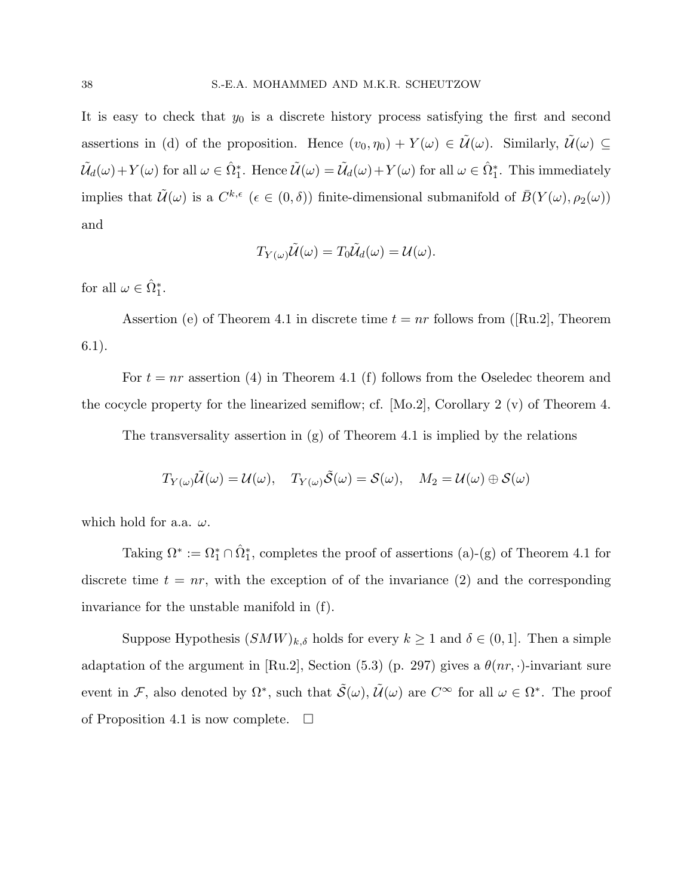It is easy to check that  $y_0$  is a discrete history process satisfying the first and second assertions in (d) of the proposition. Hence  $(v_0, \eta_0) + Y(\omega) \in \tilde{\mathcal{U}}(\omega)$ . Similarly,  $\tilde{\mathcal{U}}(\omega) \subseteq$  $\tilde{\mathcal{U}}_d(\omega) + Y(\omega)$  for all  $\omega \in \hat{\Omega}_1^*$ . Hence  $\tilde{\mathcal{U}}(\omega) = \tilde{\mathcal{U}}_d(\omega) + Y(\omega)$  for all  $\omega \in \hat{\Omega}_1^*$ . This immediately implies that  $\tilde{\mathcal{U}}(\omega)$  is a  $C^{k,\epsilon}$  ( $\epsilon \in (0,\delta)$ ) finite-dimensional submanifold of  $\bar{B}(Y(\omega),\rho_2(\omega))$ and

$$
T_{Y(\omega)}\tilde{\mathcal{U}}(\omega) = T_0\tilde{\mathcal{U}}_d(\omega) = \mathcal{U}(\omega).
$$

for all  $\omega \in \hat{\Omega}_1^*$ .

Assertion (e) of Theorem 4.1 in discrete time  $t = nr$  follows from ([Ru.2], Theorem 6.1).

For  $t = nr$  assertion (4) in Theorem 4.1 (f) follows from the Oseledec theorem and the cocycle property for the linearized semiflow; cf. [Mo.2], Corollary 2 (v) of Theorem 4.

The transversality assertion in  $(g)$  of Theorem 4.1 is implied by the relations

$$
T_{Y(\omega)}\tilde{\mathcal{U}}(\omega)=\mathcal{U}(\omega),\quad T_{Y(\omega)}\tilde{\mathcal{S}}(\omega)=\mathcal{S}(\omega),\quad M_2=\mathcal{U}(\omega)\oplus\mathcal{S}(\omega)
$$

which hold for a.a.  $\omega$ .

Taking  $\Omega^* := \Omega_1^* \cap \hat{\Omega}_1^*$ , completes the proof of assertions (a)-(g) of Theorem 4.1 for discrete time  $t = nr$ , with the exception of of the invariance (2) and the corresponding invariance for the unstable manifold in (f).

Suppose Hypothesis  $(SMW)_{k,\delta}$  holds for every  $k \geq 1$  and  $\delta \in (0,1]$ . Then a simple adaptation of the argument in [Ru.2], Section (5.3) (p. 297) gives a  $\theta(nr, \cdot)$ -invariant sure event in F, also denoted by  $\Omega^*$ , such that  $\tilde{S}(\omega), \tilde{\mathcal{U}}(\omega)$  are  $C^{\infty}$  for all  $\omega \in \Omega^*$ . The proof of Proposition 4.1 is now complete.  $\Box$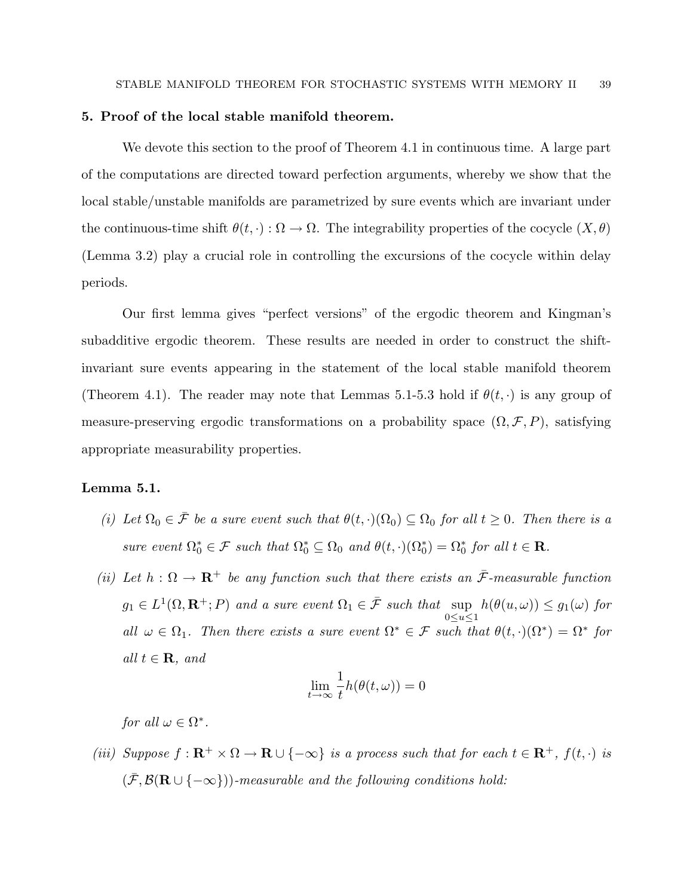#### 5. Proof of the local stable manifold theorem.

We devote this section to the proof of Theorem 4.1 in continuous time. A large part of the computations are directed toward perfection arguments, whereby we show that the local stable/unstable manifolds are parametrized by sure events which are invariant under the continuous-time shift  $\theta(t, \cdot): \Omega \to \Omega$ . The integrability properties of the cocycle  $(X, \theta)$ (Lemma 3.2) play a crucial role in controlling the excursions of the cocycle within delay periods.

Our first lemma gives "perfect versions" of the ergodic theorem and Kingman's subadditive ergodic theorem. These results are needed in order to construct the shiftinvariant sure events appearing in the statement of the local stable manifold theorem (Theorem 4.1). The reader may note that Lemmas 5.1-5.3 hold if  $\theta(t, \cdot)$  is any group of measure-preserving ergodic transformations on a probability space  $(\Omega, \mathcal{F}, P)$ , satisfying appropriate measurability properties.

#### Lemma 5.1.

- (i) Let  $\Omega_0 \in \bar{\mathcal{F}}$  be a sure event such that  $\theta(t, \cdot)(\Omega_0) \subseteq \Omega_0$  for all  $t \geq 0$ . Then there is a sure event  $\Omega_0^* \in \mathcal{F}$  such that  $\Omega_0^* \subseteq \Omega_0$  and  $\theta(t, \cdot)(\Omega_0^*) = \Omega_0^*$  for all  $t \in \mathbb{R}$ .
- (ii) Let  $h : \Omega \to \mathbf{R}^+$  be any function such that there exists an  $\overline{\mathcal{F}}$ -measurable function  $g_1 \in L^1(\Omega, \mathbf{R}^+; P)$  and a sure event  $\Omega_1 \in \overline{\mathcal{F}}$  such that sup  $0 \le u \le 1$  $h(\theta(u, \omega)) \leq g_1(\omega)$  for all  $\omega \in \Omega_1$ . Then there exists a sure event  $\Omega^* \in \mathcal{F}$  such that  $\theta(t, \cdot)(\Omega^*) = \Omega^*$  for all  $t \in \mathbf{R}$ , and

$$
\lim_{t \to \infty} \frac{1}{t} h(\theta(t,\omega)) = 0
$$

for all  $\omega \in \Omega^*$ .

(iii) Suppose  $f: \mathbf{R}^+ \times \Omega \to \mathbf{R} \cup \{-\infty\}$  is a process such that for each  $t \in \mathbf{R}^+$ ,  $f(t, \cdot)$  is  $(\bar{\mathcal{F}}, \mathcal{B}(\mathbf{R} \cup \{-\infty\}))$ -measurable and the following conditions hold: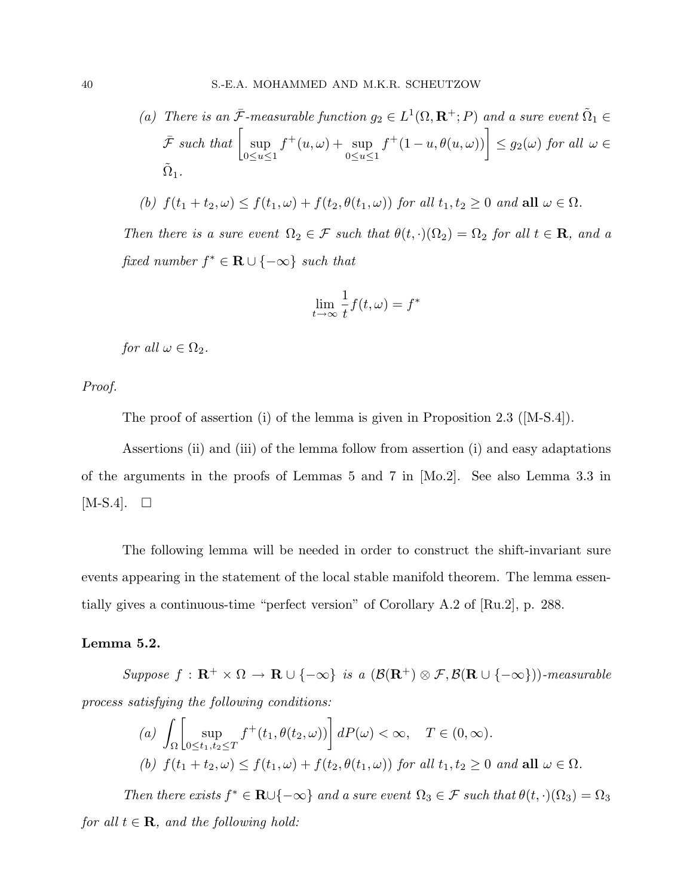(a) There is an  $\bar{\mathcal{F}}$ -measurable function  $g_2 \in L^1(\Omega, \mathbf{R}^+; P)$  and a sure event  $\tilde{\Omega}_1 \in$ F such that  $\int$  sup  $0 \le u \le 1$  $f^+(u, \omega) + \sup$  $0 \le u \le 1$  $\begin{aligned} \left[ f^+(1-u,\theta(u,\omega)) \right] &\leq g_2(\omega) \,\, \textit{for all} \,\, \omega \in \mathbb{R}^d, \end{aligned}$  $\tilde{\Omega}_1$  .

(b) 
$$
f(t_1+t_2,\omega) \leq f(t_1,\omega) + f(t_2,\theta(t_1,\omega))
$$
 for all  $t_1, t_2 \geq 0$  and all  $\omega \in \Omega$ .

Then there is a sure event  $\Omega_2 \in \mathcal{F}$  such that  $\theta(t, \cdot)(\Omega_2) = \Omega_2$  for all  $t \in \mathbb{R}$ , and a fixed number  $f^* \in \mathbf{R} \cup \{-\infty\}$  such that

$$
\lim_{t \to \infty} \frac{1}{t} f(t, \omega) = f^*
$$

for all  $\omega \in \Omega_2$ .

Proof.

The proof of assertion (i) of the lemma is given in Proposition 2.3 ([M-S.4]).

Assertions (ii) and (iii) of the lemma follow from assertion (i) and easy adaptations of the arguments in the proofs of Lemmas 5 and 7 in [Mo.2]. See also Lemma 3.3 in [M-S.4].  $\square$ 

The following lemma will be needed in order to construct the shift-invariant sure events appearing in the statement of the local stable manifold theorem. The lemma essentially gives a continuous-time "perfect version" of Corollary A.2 of [Ru.2], p. 288.

#### Lemma 5.2.

Suppose  $f : \mathbf{R}^+ \times \Omega \to \mathbf{R} \cup \{-\infty\}$  is a  $(\mathcal{B}(\mathbf{R}^+) \otimes \mathcal{F}, \mathcal{B}(\mathbf{R} \cup \{-\infty\}))$ -measurable process satisfying the following conditions:

(a) 
$$
\int_{\Omega} \left[ \sup_{0 \le t_1, t_2 \le T} f^+(t_1, \theta(t_2, \omega)) \right] dP(\omega) < \infty, \quad T \in (0, \infty).
$$
  
(b) 
$$
f(t_1 + t_2, \omega) \le f(t_1, \omega) + f(t_2, \theta(t_1, \omega)) \text{ for all } t_1, t_2 \ge 0 \text{ and all } \omega \in \Omega.
$$

Then there exists  $f^* \in \mathbf{R} \cup \{-\infty\}$  and a sure event  $\Omega_3 \in \mathcal{F}$  such that  $\theta(t, \cdot)(\Omega_3) = \Omega_3$ for all  $t \in \mathbf{R}$ , and the following hold: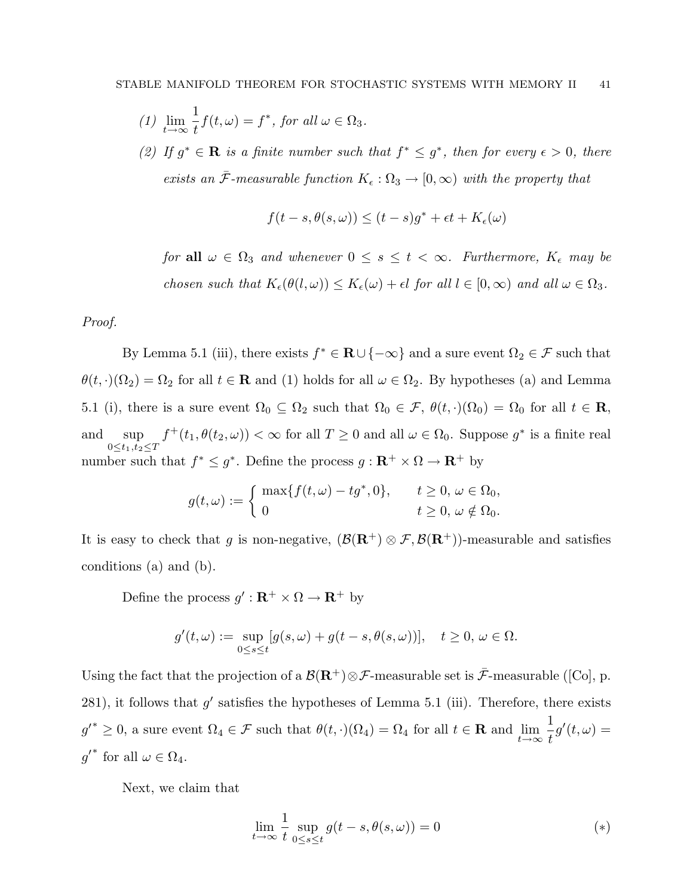$$
(1) \lim_{t \to \infty} \frac{1}{t} f(t, \omega) = f^*, \text{ for all } \omega \in \Omega_3.
$$

(2) If  $g^* \in \mathbf{R}$  is a finite number such that  $f^* \leq g^*$ , then for every  $\epsilon > 0$ , there exists an  $\bar{\mathcal{F}}$ -measurable function  $K_{\epsilon}: \Omega_3 \to [0, \infty)$  with the property that

$$
f(t-s, \theta(s, \omega)) \le (t-s)g^* + \epsilon t + K_{\epsilon}(\omega)
$$

for all  $\omega \in \Omega_3$  and whenever  $0 \leq s \leq t < \infty$ . Furthermore,  $K_{\epsilon}$  may be chosen such that  $K_{\epsilon}(\theta(l,\omega)) \leq K_{\epsilon}(\omega) + \epsilon l$  for all  $l \in [0,\infty)$  and all  $\omega \in \Omega_3$ .

#### Proof.

By Lemma 5.1 (iii), there exists  $f^* \in \mathbf{R} \cup \{-\infty\}$  and a sure event  $\Omega_2 \in \mathcal{F}$  such that  $\theta(t, \cdot)(\Omega_2) = \Omega_2$  for all  $t \in \mathbb{R}$  and (1) holds for all  $\omega \in \Omega_2$ . By hypotheses (a) and Lemma 5.1 (i), there is a sure event  $\Omega_0 \subseteq \Omega_2$  such that  $\Omega_0 \in \mathcal{F}$ ,  $\theta(t, \cdot)(\Omega_0) = \Omega_0$  for all  $t \in \mathbb{R}$ , and sup  $0 \le t_1, t_2 \le T$  $f^+(t_1, \theta(t_2, \omega)) < \infty$  for all  $T \geq 0$  and all  $\omega \in \Omega_0$ . Suppose  $g^*$  is a finite real number such that  $f^* \leq g^*$ . Define the process  $g: \mathbb{R}^+ \times \Omega \to \mathbb{R}^+$  by

$$
g(t,\omega) := \begin{cases} \max\{f(t,\omega) - t g^*, 0\}, & t \ge 0, \, \omega \in \Omega_0, \\ 0 & t \ge 0, \, \omega \notin \Omega_0. \end{cases}
$$

It is easy to check that g is non-negative,  $(\mathcal{B}(\mathbf{R}^+) \otimes \mathcal{F}, \mathcal{B}(\mathbf{R}^+))$ -measurable and satisfies conditions (a) and (b).

Define the process  $g': \mathbf{R}^+ \times \Omega \to \mathbf{R}^+$  by

$$
g'(t,\omega):=\sup_{0\leq s\leq t}[g(s,\omega)+g(t-s,\theta(s,\omega))],\quad t\geq 0,\,\omega\in\Omega.
$$

Using the fact that the projection of a  $\mathcal{B}(\mathbf{R}^+) \otimes \mathcal{F}$ -measurable set is  $\bar{\mathcal{F}}$ -measurable ([Co], p. 281), it follows that  $g'$  satisfies the hypotheses of Lemma 5.1 (iii). Therefore, there exists  $g'^* \geq 0$ , a sure event  $\Omega_4 \in \mathcal{F}$  such that  $\theta(t, \cdot)(\Omega_4) = \Omega_4$  for all  $t \in \mathbf{R}$  and  $\lim_{t \to \infty}$ 1 t  $g'(t, \omega) =$  $g'^*$  for all  $\omega \in \Omega_4$ .

Next, we claim that

$$
\lim_{t \to \infty} \frac{1}{t} \sup_{0 \le s \le t} g(t - s, \theta(s, \omega)) = 0
$$
\n
$$
(*)
$$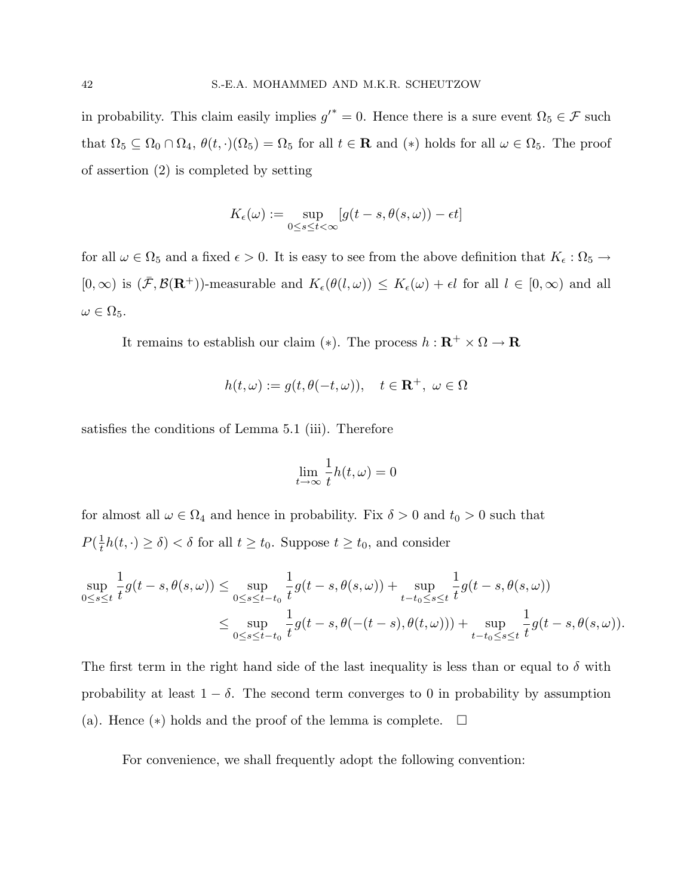in probability. This claim easily implies  $g'^* = 0$ . Hence there is a sure event  $\Omega_5 \in \mathcal{F}$  such that  $\Omega_5 \subseteq \Omega_0 \cap \Omega_4$ ,  $\theta(t, \cdot)(\Omega_5) = \Omega_5$  for all  $t \in \mathbf{R}$  and  $(*)$  holds for all  $\omega \in \Omega_5$ . The proof of assertion (2) is completed by setting

$$
K_{\epsilon}(\omega) := \sup_{0 \le s \le t < \infty} [g(t - s, \theta(s, \omega)) - \epsilon t]
$$

for all  $\omega \in \Omega_5$  and a fixed  $\epsilon > 0$ . It is easy to see from the above definition that  $K_{\epsilon} : \Omega_5 \to$  $[0, \infty)$  is  $(\bar{\mathcal{F}}, \mathcal{B}(\mathbf{R}^+))$ -measurable and  $K_{\epsilon}(\theta(l,\omega)) \leq K_{\epsilon}(\omega) + \epsilon l$  for all  $l \in [0,\infty)$  and all  $\omega \in \Omega_5.$ 

It remains to establish our claim (\*). The process  $h : \mathbb{R}^+ \times \Omega \to \mathbb{R}$ 

$$
h(t,\omega) := g(t, \theta(-t,\omega)), \quad t \in \mathbf{R}^+, \ \omega \in \Omega
$$

satisfies the conditions of Lemma 5.1 (iii). Therefore

$$
\lim_{t \to \infty} \frac{1}{t} h(t, \omega) = 0
$$

for almost all  $\omega \in \Omega_4$  and hence in probability. Fix  $\delta > 0$  and  $t_0 > 0$  such that  $P(\frac{1}{t})$  $\frac{1}{t}h(t,\cdot) \ge \delta$  >  $\delta$  for all  $t \ge t_0$ . Suppose  $t \ge t_0$ , and consider

$$
\sup_{0 \le s \le t} \frac{1}{t} g(t-s, \theta(s,\omega)) \le \sup_{0 \le s \le t-t_0} \frac{1}{t} g(t-s, \theta(s,\omega)) + \sup_{t-t_0 \le s \le t} \frac{1}{t} g(t-s, \theta(s,\omega)) \le \sup_{0 \le s \le t-t_0} \frac{1}{t} g(t-s, \theta(-(t-s), \theta(t,\omega))) + \sup_{t-t_0 \le s \le t} \frac{1}{t} g(t-s, \theta(s,\omega)).
$$

The first term in the right hand side of the last inequality is less than or equal to  $\delta$  with probability at least  $1 - \delta$ . The second term converges to 0 in probability by assumption (a). Hence  $(*)$  holds and the proof of the lemma is complete.  $\Box$ 

For convenience, we shall frequently adopt the following convention: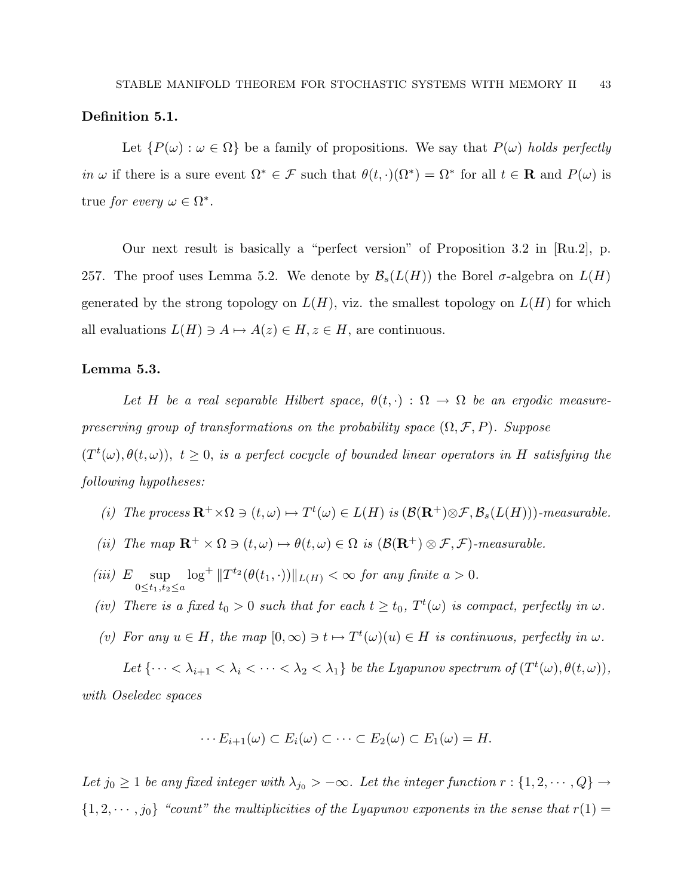#### Definition 5.1.

Let  $\{P(\omega): \omega \in \Omega\}$  be a family of propositions. We say that  $P(\omega)$  holds perfectly in  $\omega$  if there is a sure event  $\Omega^* \in \mathcal{F}$  such that  $\theta(t, \cdot)(\Omega^*) = \Omega^*$  for all  $t \in \mathbf{R}$  and  $P(\omega)$  is true for every  $\omega \in \Omega^*$ .

Our next result is basically a "perfect version" of Proposition 3.2 in [Ru.2], p. 257. The proof uses Lemma 5.2. We denote by  $\mathcal{B}_s(L(H))$  the Borel  $\sigma$ -algebra on  $L(H)$ generated by the strong topology on  $L(H)$ , viz. the smallest topology on  $L(H)$  for which all evaluations  $L(H) \ni A \mapsto A(z) \in H$ ,  $z \in H$ , are continuous.

#### Lemma 5.3.

Let H be a real separable Hilbert space,  $\theta(t, \cdot) : \Omega \to \Omega$  be an ergodic measurepreserving group of transformations on the probability space  $(\Omega, \mathcal{F}, P)$ . Suppose

 $(T^t(\omega), \theta(t, \omega))$ ,  $t \geq 0$ , is a perfect cocycle of bounded linear operators in H satisfying the following hypotheses:

- (i) The process  $\mathbb{R}^+ \times \Omega \ni (t, \omega) \mapsto T^t(\omega) \in L(H)$  is  $(\mathcal{B}(\mathbb{R}^+) \otimes \mathcal{F}, \mathcal{B}_s(L(H)))$ -measurable.
- (ii) The map  $\mathbf{R}^+ \times \Omega \ni (t, \omega) \mapsto \theta(t, \omega) \in \Omega$  is  $(\mathcal{B}(\mathbf{R}^+) \otimes \mathcal{F}, \mathcal{F})$ -measurable.
- $(iii)$  E sup  $0 \le t_1, t_2 \le a$  $\log^+ \|T^{t_2}(\theta(t_1, \cdot))\|_{L(H)} < \infty$  for any finite  $a > 0$ .
- (iv) There is a fixed  $t_0 > 0$  such that for each  $t \geq t_0$ ,  $T^t(\omega)$  is compact, perfectly in  $\omega$ .
- (v) For any  $u \in H$ , the map  $[0, \infty) \ni t \mapsto T^t(\omega)(u) \in H$  is continuous, perfectly in  $\omega$ .

Let  $\{\cdots < \lambda_{i+1} < \lambda_i < \cdots < \lambda_2 < \lambda_1\}$  be the Lyapunov spectrum of  $(T^t(\omega), \theta(t, \omega))$ , with Oseledec spaces

$$
\cdots E_{i+1}(\omega) \subset E_i(\omega) \subset \cdots \subset E_2(\omega) \subset E_1(\omega) = H.
$$

Let  $j_0 \geq 1$  be any fixed integer with  $\lambda_{j_0} > -\infty$ . Let the integer function  $r : \{1, 2, \cdots, Q\} \rightarrow$  ${1, 2, \cdots, j_0}$  "count" the multiplicities of the Lyapunov exponents in the sense that  $r(1)$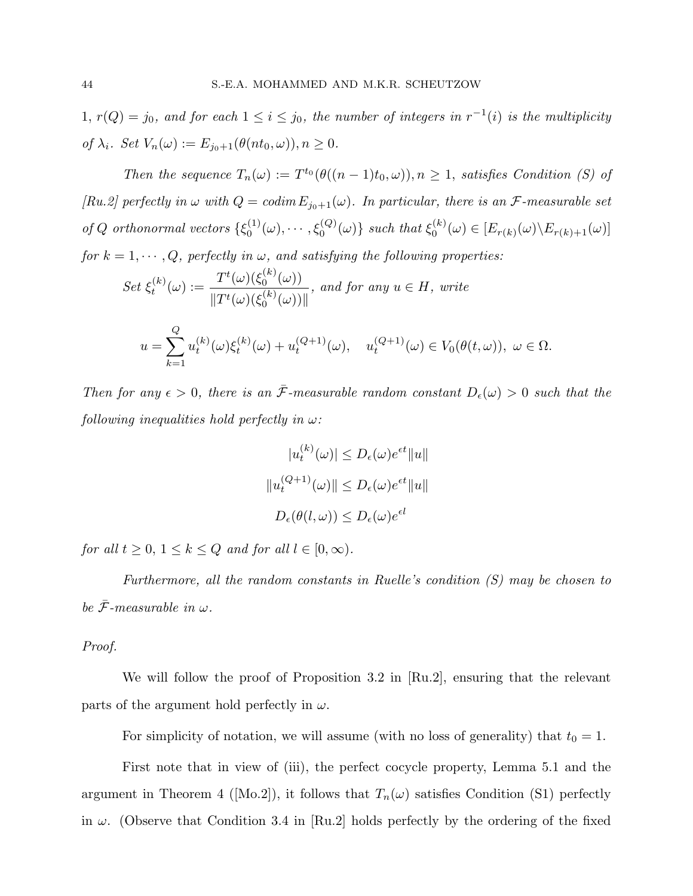1,  $r(Q) = j_0$ , and for each  $1 \le i \le j_0$ , the number of integers in  $r^{-1}(i)$  is the multiplicity of  $\lambda_i$ . Set  $V_n(\omega) := E_{j_0+1}(\theta(nt_0, \omega)), n \geq 0$ .

Then the sequence  $T_n(\omega) := T^{t_0}(\theta((n-1)t_0, \omega))$ ,  $n \geq 1$ , satisfies Condition (S) of [Ru.2] perfectly in  $\omega$  with  $Q = \text{codim } E_{j_0+1}(\omega)$ . In particular, there is an  $\mathcal{F}\text{-}measurable set$ of Q orthonormal vectors  $\{\xi_0^{(1)}\}$  $\binom{1}{0}(\omega), \cdots, \xi_0^{(Q)}(\omega) \}$  such that  $\xi_0^{(k)}$  $\binom{K(\kappa)}{0}$  ( $\omega\in [E_{r(k)}(\omega)\backslash E_{r(k)+1}(\omega)]$ for  $k = 1, \dots, Q$ , perfectly in  $\omega$ , and satisfying the following properties:

Set 
$$
\xi_t^{(k)}(\omega) := \frac{T^t(\omega)(\xi_0^{(k)}(\omega))}{\|T^t(\omega)(\xi_0^{(k)}(\omega))\|}
$$
, and for any  $u \in H$ , write

$$
u = \sum_{k=1}^{Q} u_t^{(k)}(\omega) \xi_t^{(k)}(\omega) + u_t^{(Q+1)}(\omega), \quad u_t^{(Q+1)}(\omega) \in V_0(\theta(t, \omega)), \ \omega \in \Omega.
$$

Then for any  $\epsilon > 0$ , there is an  $\bar{\mathcal{F}}$ -measurable random constant  $D_{\epsilon}(\omega) > 0$  such that the following inequalities hold perfectly in  $\omega$ :

$$
|u_t^{(k)}(\omega)| \le D_{\epsilon}(\omega)e^{\epsilon t} ||u||
$$
  

$$
||u_t^{(Q+1)}(\omega)|| \le D_{\epsilon}(\omega)e^{\epsilon t} ||u||
$$
  

$$
D_{\epsilon}(\theta(l,\omega)) \le D_{\epsilon}(\omega)e^{\epsilon l}
$$

for all  $t \geq 0, 1 \leq k \leq Q$  and for all  $l \in [0, \infty)$ .

Furthermore, all the random constants in Ruelle's condition (S) may be chosen to be  $\bar{\mathcal{F}}$ -measurable in  $\omega$ .

#### Proof.

We will follow the proof of Proposition 3.2 in [Ru.2], ensuring that the relevant parts of the argument hold perfectly in  $\omega$ .

For simplicity of notation, we will assume (with no loss of generality) that  $t_0 = 1$ .

First note that in view of (iii), the perfect cocycle property, Lemma 5.1 and the argument in Theorem 4 ([Mo.2]), it follows that  $T_n(\omega)$  satisfies Condition (S1) perfectly in  $\omega$ . (Observe that Condition 3.4 in [Ru.2] holds perfectly by the ordering of the fixed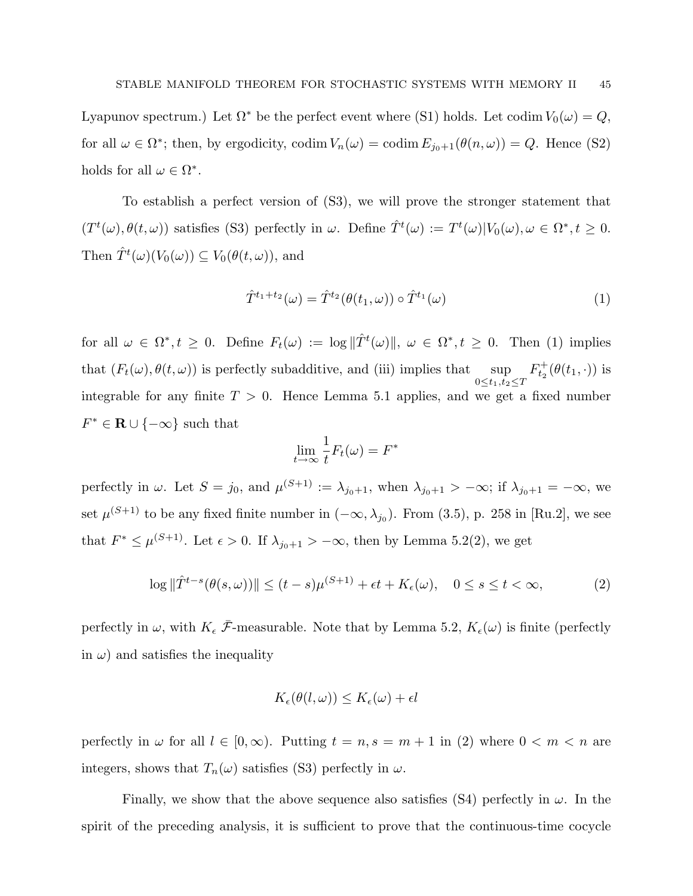Lyapunov spectrum.) Let  $\Omega^*$  be the perfect event where (S1) holds. Let codim  $V_0(\omega) = Q$ , for all  $\omega \in \Omega^*$ ; then, by ergodicity, codim  $V_n(\omega) = \text{codim } E_{j_0+1}(\theta(n,\omega)) = Q$ . Hence (S2) holds for all  $\omega \in \Omega^*$ .

To establish a perfect version of (S3), we will prove the stronger statement that  $(T^t(\omega), \theta(t, \omega))$  satisfies (S3) perfectly in  $\omega$ . Define  $\hat{T}^t(\omega) := T^t(\omega)|V_0(\omega), \omega \in \Omega^*, t \geq 0$ . Then  $\hat{T}^t(\omega)(V_0(\omega)) \subseteq V_0(\theta(t,\omega))$ , and

$$
\hat{T}^{t_1+t_2}(\omega) = \hat{T}^{t_2}(\theta(t_1,\omega)) \circ \hat{T}^{t_1}(\omega)
$$
\n
$$
(1)
$$

for all  $\omega \in \Omega^*, t \geq 0$ . Define  $F_t(\omega) := \log ||\hat{T}^t(\omega)||, \ \omega \in \Omega^*, t \geq 0$ . Then (1) implies that  $(F_t(\omega), \theta(t, \omega))$  is perfectly subadditive, and (iii) implies that sup  $0 \le t_1, t_2 \le T$  $F_{t_0}^+$  $t_{2}^{+}(\theta(t_{1},\cdot))$  is integrable for any finite  $T > 0$ . Hence Lemma 5.1 applies, and we get a fixed number  $F^* \in \mathbf{R} \cup \{-\infty\}$  such that

$$
\lim_{t \to \infty} \frac{1}{t} F_t(\omega) = F^*
$$

perfectly in  $\omega$ . Let  $S = j_0$ , and  $\mu^{(S+1)} := \lambda_{j_0+1}$ , when  $\lambda_{j_0+1} > -\infty$ ; if  $\lambda_{j_0+1} = -\infty$ , we set  $\mu^{(S+1)}$  to be any fixed finite number in  $(-\infty, \lambda_{j_0})$ . From  $(3.5)$ , p. 258 in [Ru.2], we see that  $F^* \leq \mu^{(S+1)}$ . Let  $\epsilon > 0$ . If  $\lambda_{j_0+1} > -\infty$ , then by Lemma 5.2(2), we get

$$
\log \|\hat{T}^{t-s}(\theta(s,\omega))\| \le (t-s)\mu^{(S+1)} + \epsilon t + K_{\epsilon}(\omega), \quad 0 \le s \le t < \infty,
$$
 (2)

perfectly in  $\omega$ , with  $K_{\epsilon}$   $\bar{\mathcal{F}}$ -measurable. Note that by Lemma 5.2,  $K_{\epsilon}(\omega)$  is finite (perfectly in  $\omega$ ) and satisfies the inequality

$$
K_{\epsilon}(\theta(l,\omega)) \leq K_{\epsilon}(\omega) + \epsilon l
$$

perfectly in  $\omega$  for all  $l \in [0,\infty)$ . Putting  $t = n, s = m + 1$  in (2) where  $0 < m < n$  are integers, shows that  $T_n(\omega)$  satisfies (S3) perfectly in  $\omega$ .

Finally, we show that the above sequence also satisfies (S4) perfectly in  $\omega$ . In the spirit of the preceding analysis, it is sufficient to prove that the continuous-time cocycle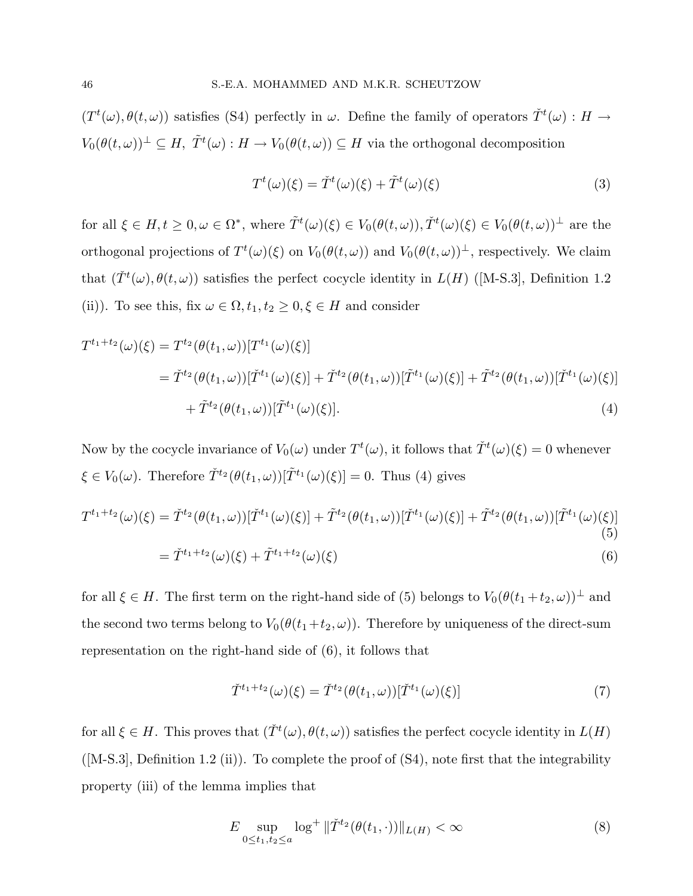$(T^t(\omega), \theta(t, \omega))$  satisfies (S4) perfectly in  $\omega$ . Define the family of operators  $\check{T}^t(\omega) : H \to$  $V_0(\theta(t,\omega))^{\perp} \subseteq H$ ,  $\tilde{T}^t(\omega) : H \to V_0(\theta(t,\omega)) \subseteq H$  via the orthogonal decomposition

$$
T^{t}(\omega)(\xi) = \check{T}^{t}(\omega)(\xi) + \tilde{T}^{t}(\omega)(\xi)
$$
\n(3)

for all  $\xi \in H, t \geq 0, \omega \in \Omega^*$ , where  $\tilde{T}^t(\omega)(\xi) \in V_0(\theta(t,\omega)), \tilde{T}^t(\omega)(\xi) \in V_0(\theta(t,\omega))^{\perp}$  are the orthogonal projections of  $T^t(\omega)(\xi)$  on  $V_0(\theta(t,\omega))$  and  $V_0(\theta(t,\omega))^{\perp}$ , respectively. We claim that  $(\check{T}^t(\omega), \theta(t, \omega))$  satisfies the perfect cocycle identity in  $L(H)$  ([M-S.3], Definition 1.2 (ii)). To see this, fix  $\omega \in \Omega, t_1, t_2 \geq 0, \xi \in H$  and consider

$$
T^{t_1+t_2}(\omega)(\xi) = T^{t_2}(\theta(t_1,\omega))[T^{t_1}(\omega)(\xi)]
$$
  
=  $\check{T}^{t_2}(\theta(t_1,\omega))[T^{t_1}(\omega)(\xi)] + \check{T}^{t_2}(\theta(t_1,\omega))[T^{t_1}(\omega)(\xi)] + \tilde{T}^{t_2}(\theta(t_1,\omega))[T^{t_1}(\omega)(\xi)]$   
+  $\tilde{T}^{t_2}(\theta(t_1,\omega))[T^{t_1}(\omega)(\xi)].$  (4)

Now by the cocycle invariance of  $V_0(\omega)$  under  $T^t(\omega)$ , it follows that  $\check{T}^t(\omega)(\xi) = 0$  whenever  $\xi \in V_0(\omega)$ . Therefore  $\check{T}^{t_2}(\theta(t_1,\omega))[\tilde{T}^{t_1}(\omega)(\xi)] = 0$ . Thus (4) gives

$$
T^{t_1+t_2}(\omega)(\xi) = \check{T}^{t_2}(\theta(t_1,\omega))[\check{T}^{t_1}(\omega)(\xi)] + \tilde{T}^{t_2}(\theta(t_1,\omega))[\check{T}^{t_1}(\omega)(\xi)] + \tilde{T}^{t_2}(\theta(t_1,\omega))[\tilde{T}^{t_1}(\omega)(\xi)]
$$
\n
$$
= \check{T}^{t_1+t_2}(\omega)(\xi) + \tilde{T}^{t_1+t_2}(\omega)(\xi)
$$
\n(6)

for all  $\xi \in H$ . The first term on the right-hand side of (5) belongs to  $V_0(\theta(t_1+t_2,\omega))^{\perp}$  and the second two terms belong to  $V_0(\theta(t_1+t_2,\omega))$ . Therefore by uniqueness of the direct-sum representation on the right-hand side of (6), it follows that

$$
\check{T}^{t_1+t_2}(\omega)(\xi) = \check{T}^{t_2}(\theta(t_1,\omega))[\check{T}^{t_1}(\omega)(\xi)]
$$
\n(7)

for all  $\xi \in H$ . This proves that  $(\check{T}^t(\omega), \theta(t, \omega))$  satisfies the perfect cocycle identity in  $L(H)$  $([M-S.3],$  Definition 1.2 (ii)). To complete the proof of  $(S4)$ , note first that the integrability property (iii) of the lemma implies that

$$
E \sup_{0 \le t_1, t_2 \le a} \log^+ \| \check{T}^{t_2}(\theta(t_1, \cdot)) \|_{L(H)} < \infty \tag{8}
$$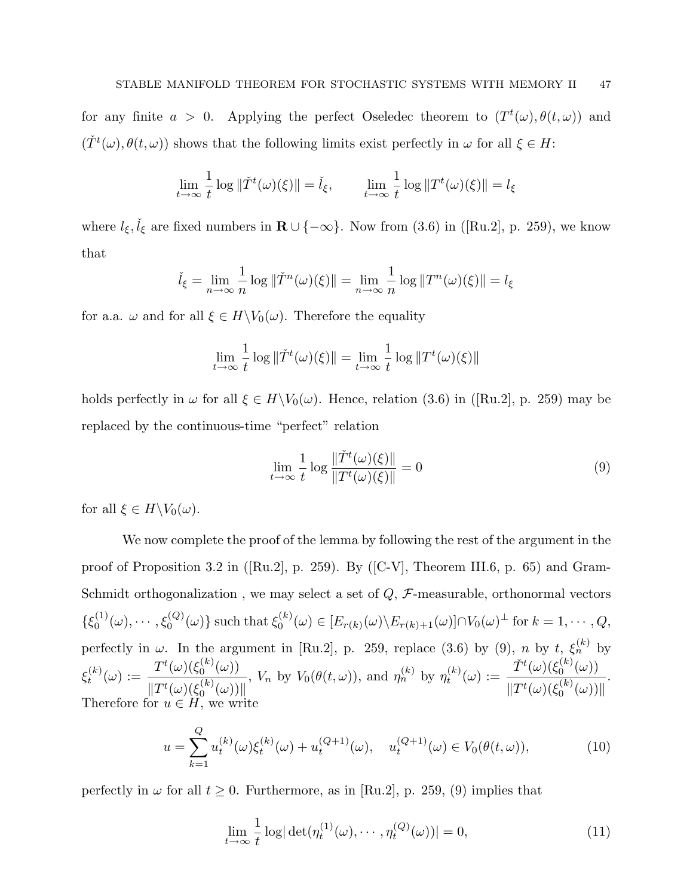for any finite  $a > 0$ . Applying the perfect Oseledec theorem to  $(T^t(\omega), \theta(t, \omega))$  and  $(\check{T}^t(\omega), \theta(t, \omega))$  shows that the following limits exist perfectly in  $\omega$  for all  $\xi \in H$ :

$$
\lim_{t \to \infty} \frac{1}{t} \log \| \check{T}^t(\omega)(\xi) \| = \check{l}_{\xi}, \qquad \lim_{t \to \infty} \frac{1}{t} \log \| T^t(\omega)(\xi) \| = l_{\xi}
$$

where  $l_{\xi}, \tilde{l}_{\xi}$  are fixed numbers in  $\mathbf{R} \cup \{-\infty\}$ . Now from (3.6) in ([Ru.2], p. 259), we know that

$$
\check{l}_{\xi} = \lim_{n \to \infty} \frac{1}{n} \log \|\check{T}^n(\omega)(\xi)\| = \lim_{n \to \infty} \frac{1}{n} \log \|T^n(\omega)(\xi)\| = l_{\xi}
$$

for a.a.  $\omega$  and for all  $\xi \in H \backslash V_0(\omega)$ . Therefore the equality

$$
\lim_{t \to \infty} \frac{1}{t} \log \| \check{T}^t(\omega)(\xi) \| = \lim_{t \to \infty} \frac{1}{t} \log \| T^t(\omega)(\xi) \|
$$

holds perfectly in  $\omega$  for all  $\xi \in H\backslash V_0(\omega)$ . Hence, relation (3.6) in ([Ru.2], p. 259) may be replaced by the continuous-time "perfect" relation

$$
\lim_{t \to \infty} \frac{1}{t} \log \frac{\|\check{T}^t(\omega)(\xi)\|}{\|T^t(\omega)(\xi)\|} = 0
$$
\n(9)

for all  $\xi \in H \backslash V_0(\omega)$ .

We now complete the proof of the lemma by following the rest of the argument in the proof of Proposition 3.2 in ([Ru.2], p. 259). By ([C-V], Theorem III.6, p. 65) and Gram-Schmidt orthogonalization, we may select a set of  $Q, \mathcal{F}$ -measurable, orthonormal vectors  $\{\xi_0^{(1)}\}$  $\mathcal{S}_0^{(1)}(\omega), \cdots, \mathcal{E}_0^{(Q)}(\omega)\}$  such that  $\mathcal{E}_0^{(k)}$  $\mathcal{O}_0^{(k)}(\omega) \in [E_{r(k)}(\omega) \backslash E_{r(k)+1}(\omega)] \cap V_0(\omega)^\perp \text{ for } k = 1, \cdots, Q,$ perfectly in  $\omega$ . In the argument in [Ru.2], p. 259, replace (3.6) by (9), n by t,  $\xi_n^{(k)}$  by  $\xi_t^{(k)}$  $t^{(k)}_t(\omega):=\frac{T^t(\omega)(\xi_0^{(k)})}{\mathbb{I}(\mathcal{I}(t),\xi_0^{(k)})}$  $\binom{\kappa}{0}(\omega)$  $\|T^t(\omega)(\xi_0^{(k)})\|$  $\binom{k}{0}(\omega)$ ,  $V_n$  by  $V_0(\theta(t,\omega))$ , and  $\eta_n^{(k)}$  by  $\eta_t^{(k)}$  $\check{T}^{(k)}_t(\omega) := \frac{\check{T}^{t}(\omega)(\xi_0^{(k)})}{\|\nabla \mathcal{H}(\omega)\|(\xi_0^{(k)})}$  $\binom{(\kappa)}{0}(\omega)$  $\|T^t(\omega)(\xi_0^{(k)})\|$  $\binom{(\kappa)}{0}(\omega)$ . Therefore for  $u \in H$ , we write

$$
u = \sum_{k=1}^{Q} u_t^{(k)}(\omega) \xi_t^{(k)}(\omega) + u_t^{(Q+1)}(\omega), \quad u_t^{(Q+1)}(\omega) \in V_0(\theta(t, \omega)), \tag{10}
$$

perfectly in  $\omega$  for all  $t \geq 0$ . Furthermore, as in [Ru.2], p. 259, (9) implies that

$$
\lim_{t \to \infty} \frac{1}{t} \log |\det(\eta_t^{(1)}(\omega), \cdots, \eta_t^{(Q)}(\omega))| = 0,
$$
\n(11)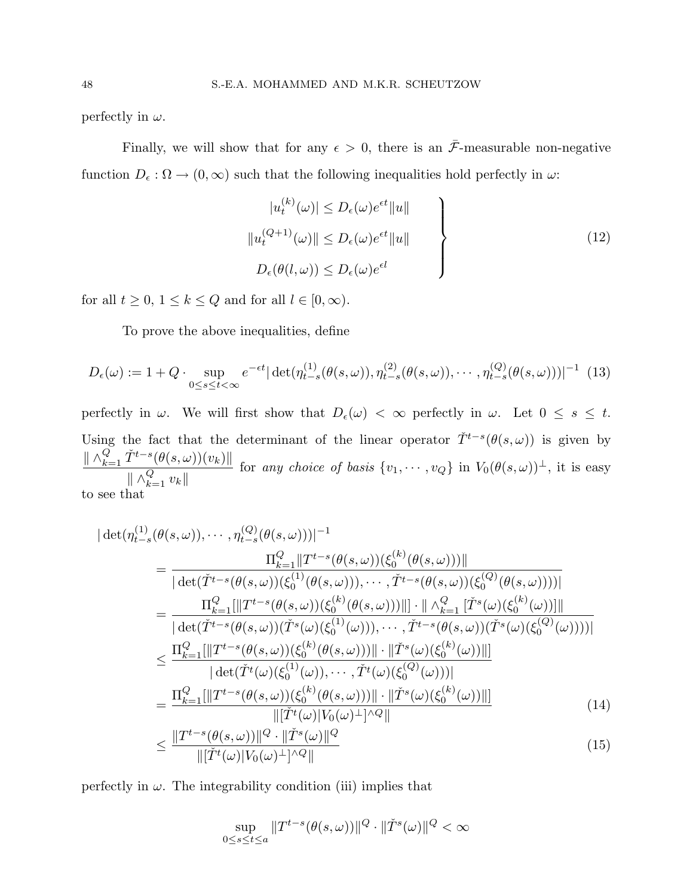perfectly in  $\omega$ .

Finally, we will show that for any  $\epsilon > 0$ , there is an  $\bar{\mathcal{F}}$ -measurable non-negative function  $D_{\epsilon} : \Omega \to (0, \infty)$  such that the following inequalities hold perfectly in  $\omega$ :

$$
|u_t^{(k)}(\omega)| \le D_{\epsilon}(\omega)e^{\epsilon t} ||u||
$$
  

$$
||u_t^{(Q+1)}(\omega)|| \le D_{\epsilon}(\omega)e^{\epsilon t} ||u||
$$
  

$$
D_{\epsilon}(\theta(l,\omega)) \le D_{\epsilon}(\omega)e^{\epsilon l}
$$
 (12)

for all  $t \geq 0$ ,  $1 \leq k \leq Q$  and for all  $l \in [0, \infty)$ .

To prove the above inequalities, define

$$
D_{\epsilon}(\omega) := 1 + Q \cdot \sup_{0 \le s \le t < \infty} e^{-\epsilon t} |\det(\eta_{t-s}^{(1)}(\theta(s,\omega)), \eta_{t-s}^{(2)}(\theta(s,\omega)), \cdots, \eta_{t-s}^{(Q)}(\theta(s,\omega)))|^{-1} (13)
$$

perfectly in  $\omega$ . We will first show that  $D_{\epsilon}(\omega) < \infty$  perfectly in  $\omega$ . Let  $0 \leq s \leq t$ . Using the fact that the determinant of the linear operator  $\check{T}^{t-s}(\theta(s,\omega))$  is given by  $\parallel \wedge_{k=1}^Q \check{T}^{t-s}(\theta(s,\omega))(v_k) \parallel$  $\parallel \wedge_{k=1}^Q v_k \parallel$ for any choice of basis  $\{v_1, \dots, v_Q\}$  in  $V_0(\theta(s, \omega))^\perp$ , it is easy

to see that

$$
|\det(\eta_{t-s}^{(1)}(\theta(s,\omega)),\cdots,\eta_{t-s}^{(Q)}(\theta(s,\omega)))|^{-1} \n= \frac{\Pi_{k=1}^{Q}||T^{t-s}(\theta(s,\omega))(\xi_{0}^{(k)}(\theta(s,\omega)))||}{|\det(\tilde{T}^{t-s}(\theta(s,\omega))(\xi_{0}^{(1)}(\theta(s,\omega))),\cdots,\tilde{T}^{t-s}(\theta(s,\omega))(\xi_{0}^{(Q)}(\theta(s,\omega))))|} \n= \frac{\Pi_{k=1}^{Q}||T^{t-s}(\theta(s,\omega))(\xi_{0}^{(k)}(\theta(s,\omega)))||\cdot|| \wedge_{k=1}^{Q} [\tilde{T}^{s}(\omega)(\xi_{0}^{(k)}(\omega))]]|}{|\det(\tilde{T}^{t-s}(\theta(s,\omega))(\tilde{T}^{s}(\omega)(\xi_{0}^{(1)}(\omega))),\cdots,\tilde{T}^{t-s}(\theta(s,\omega))(\tilde{T}^{s}(\omega)(\xi_{0}^{(Q)}(\omega))))|} \n\leq \frac{\Pi_{k=1}^{Q}[||T^{t-s}(\theta(s,\omega))(\xi_{0}^{(k)}(\theta(s,\omega)))||\cdot||\tilde{T}^{s}(\omega)(\xi_{0}^{(k)}(\omega))|||}{|\det(\tilde{T}^{t}(\omega)(\xi_{0}^{(1)}(\omega)),\cdots,\tilde{T}^{t}(\omega)(\xi_{0}^{(Q)}(\omega)))|} \n= \frac{\Pi_{k=1}^{Q}[||T^{t-s}(\theta(s,\omega))(\xi_{0}^{(k)}(\theta(s,\omega)))||\cdot||\tilde{T}^{s}(\omega)(\xi_{0}^{(k)}(\omega))|||}{||[\tilde{T}^{t}(\omega)|V_{0}(\omega)^{\perp}]\wedge Q||} \qquad (14)
$$

$$
\leq \frac{\|I - \langle \theta(s, \omega) \rangle\|^2 \cdot \|I - \langle \omega \rangle\|^2}{\|[\check{T}^t(\omega)|V_0(\omega)^\perp]^{|\wedge Q}\|}\tag{15}
$$

perfectly in  $\omega$ . The integrability condition (iii) implies that

$$
\sup_{0 \le s \le t \le a} \|T^{t-s}(\theta(s,\omega))\|^Q \cdot \|\check{T}^s(\omega)\|^Q < \infty
$$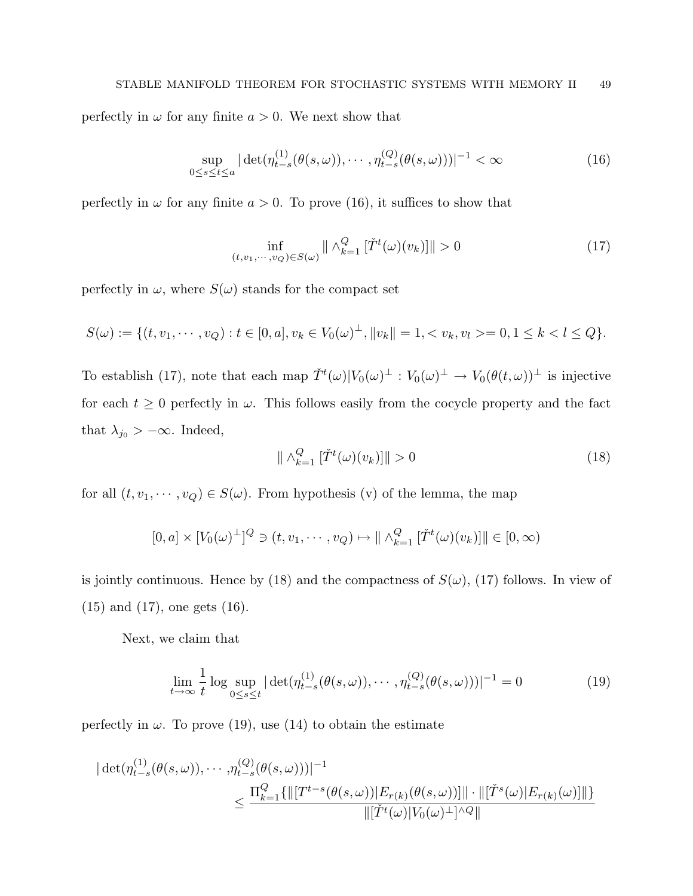perfectly in  $\omega$  for any finite  $a > 0$ . We next show that

$$
\sup_{0 \le s \le t \le a} |\det(\eta_{t-s}^{(1)}(\theta(s,\omega)), \cdots, \eta_{t-s}^{(Q)}(\theta(s,\omega)))|^{-1} < \infty
$$
 (16)

perfectly in  $\omega$  for any finite  $a > 0$ . To prove (16), it suffices to show that

$$
\inf_{(t,v_1,\cdots,v_Q)\in S(\omega)} \|\wedge_{k=1}^Q \left[\tilde{T}^t(\omega)(v_k)\right]\| > 0 \tag{17}
$$

perfectly in  $\omega$ , where  $S(\omega)$  stands for the compact set

$$
S(\omega) := \{ (t, v_1, \cdots, v_Q) : t \in [0, a], v_k \in V_0(\omega)^{\perp}, ||v_k|| = 1, < v_k, v_l \ge 0, 1 \le k < l \le Q \}.
$$

To establish (17), note that each map  $\check{T}^t(\omega)|V_0(\omega)^\perp : V_0(\omega)^\perp \to V_0(\theta(t,\omega))^\perp$  is injective for each  $t \geq 0$  perfectly in  $\omega$ . This follows easily from the cocycle property and the fact that  $\lambda_{j_0} > -\infty$ . Indeed,

$$
\|\wedge_{k=1}^Q \left[\check{T}^t(\omega)(v_k)\right]\| > 0\tag{18}
$$

for all  $(t, v_1, \dots, v_Q) \in S(\omega)$ . From hypothesis (v) of the lemma, the map

$$
[0, a] \times [V_0(\omega)^{\perp}]^Q \ni (t, v_1, \cdots, v_Q) \mapsto || \wedge_{k=1}^Q [\check{T}^t(\omega)(v_k)] || \in [0, \infty)
$$

is jointly continuous. Hence by (18) and the compactness of  $S(\omega)$ , (17) follows. In view of (15) and (17), one gets (16).

Next, we claim that

$$
\lim_{t \to \infty} \frac{1}{t} \log \sup_{0 \le s \le t} |\det(\eta_{t-s}^{(1)}(\theta(s,\omega)), \cdots, \eta_{t-s}^{(Q)}(\theta(s,\omega)))|^{-1} = 0
$$
\n(19)

perfectly in  $\omega$ . To prove (19), use (14) to obtain the estimate

$$
\begin{aligned} \|\det(\eta_{t-s}^{(1)}(\theta(s,\omega)),\cdots,\eta_{t-s}^{(Q)}(\theta(s,\omega)))\|^{-1} \\ &\leq \frac{\Pi_{k=1}^{Q}\{\|[T^{t-s}(\theta(s,\omega))|E_{r(k)}(\theta(s,\omega))]\| \cdot \|[\check{T}^{s}(\omega)|E_{r(k)}(\omega)]\| \}}{\|[\check{T}^{t}(\omega)|V_{0}(\omega)^{\perp}]^{\wedge Q}\|} \end{aligned}
$$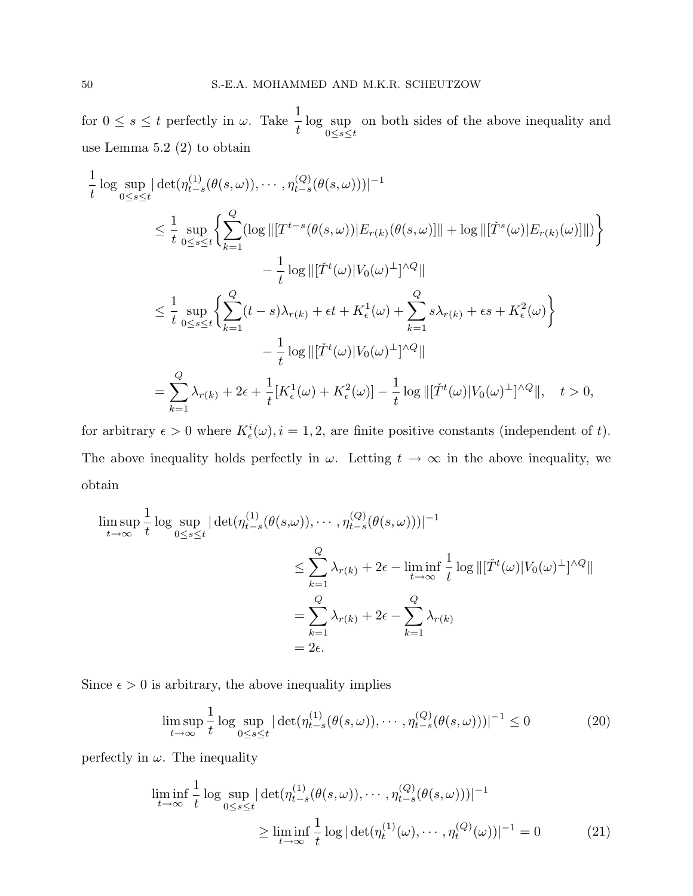for  $0 \leq s \leq t$  perfectly in  $\omega$ . Take  $\frac{1}{t}$ t log sup  $0 < s < t$ on both sides of the above inequality and use Lemma 5.2 (2) to obtain

$$
\frac{1}{t} \log \sup_{0 \le s \le t} |\det(\eta_{t-s}^{(1)}(\theta(s,\omega)), \cdots, \eta_{t-s}^{(Q)}(\theta(s,\omega)))|^{-1} \n\le \frac{1}{t} \sup_{0 \le s \le t} \left\{ \sum_{k=1}^{Q} (\log ||[T^{t-s}(\theta(s,\omega))|E_{r(k)}(\theta(s,\omega)||] + \log ||[\tilde{T}^{s}(\omega)|E_{r(k)}(\omega)]||) \right\} \n- \frac{1}{t} \log ||[\tilde{T}^{t}(\omega)|V_{0}(\omega)^{\perp}]^{\wedge Q}|| \n\le \frac{1}{t} \sup_{0 \le s \le t} \left\{ \sum_{k=1}^{Q} (t-s)\lambda_{r(k)} + \epsilon t + K_{\epsilon}^{1}(\omega) + \sum_{k=1}^{Q} s\lambda_{r(k)} + \epsilon s + K_{\epsilon}^{2}(\omega) \right\} \n- \frac{1}{t} \log ||[\tilde{T}^{t}(\omega)|V_{0}(\omega)^{\perp}]^{\wedge Q}|| \n= \sum_{k=1}^{Q} \lambda_{r(k)} + 2\epsilon + \frac{1}{t} [K_{\epsilon}^{1}(\omega) + K_{\epsilon}^{2}(\omega)] - \frac{1}{t} \log ||[\tilde{T}^{t}(\omega)|V_{0}(\omega)^{\perp}]^{\wedge Q}||, \quad t > 0,
$$

for arbitrary  $\epsilon > 0$  where  $K_{\epsilon}^{i}(\omega), i = 1, 2$ , are finite positive constants (independent of t). The above inequality holds perfectly in  $\omega$ . Letting  $t \to \infty$  in the above inequality, we obtain

$$
\limsup_{t \to \infty} \frac{1}{t} \log \sup_{0 \le s \le t} |\det(\eta_{t-s}^{(1)}(\theta(s,\omega)), \cdots, \eta_{t-s}^{(Q)}(\theta(s,\omega)))|^{-1}
$$
\n
$$
\le \sum_{k=1}^{Q} \lambda_{r(k)} + 2\epsilon - \liminf_{t \to \infty} \frac{1}{t} \log ||[\check{T}^{t}(\omega)|V_{0}(\omega)^{\perp}]^{\wedge Q}||
$$
\n
$$
= \sum_{k=1}^{Q} \lambda_{r(k)} + 2\epsilon - \sum_{k=1}^{Q} \lambda_{r(k)}
$$
\n
$$
= 2\epsilon.
$$

Since  $\epsilon > 0$  is arbitrary, the above inequality implies

$$
\limsup_{t \to \infty} \frac{1}{t} \log \sup_{0 \le s \le t} |\det(\eta_{t-s}^{(1)}(\theta(s,\omega)), \cdots, \eta_{t-s}^{(Q)}(\theta(s,\omega)))|^{-1} \le 0
$$
 (20)

perfectly in  $\omega$ . The inequality

$$
\liminf_{t \to \infty} \frac{1}{t} \log \sup_{0 \le s \le t} |\det(\eta_{t-s}^{(1)}(\theta(s,\omega)), \cdots, \eta_{t-s}^{(Q)}(\theta(s,\omega)))|^{-1}
$$

$$
\ge \liminf_{t \to \infty} \frac{1}{t} \log |\det(\eta_t^{(1)}(\omega), \cdots, \eta_t^{(Q)}(\omega))|^{-1} = 0 \tag{21}
$$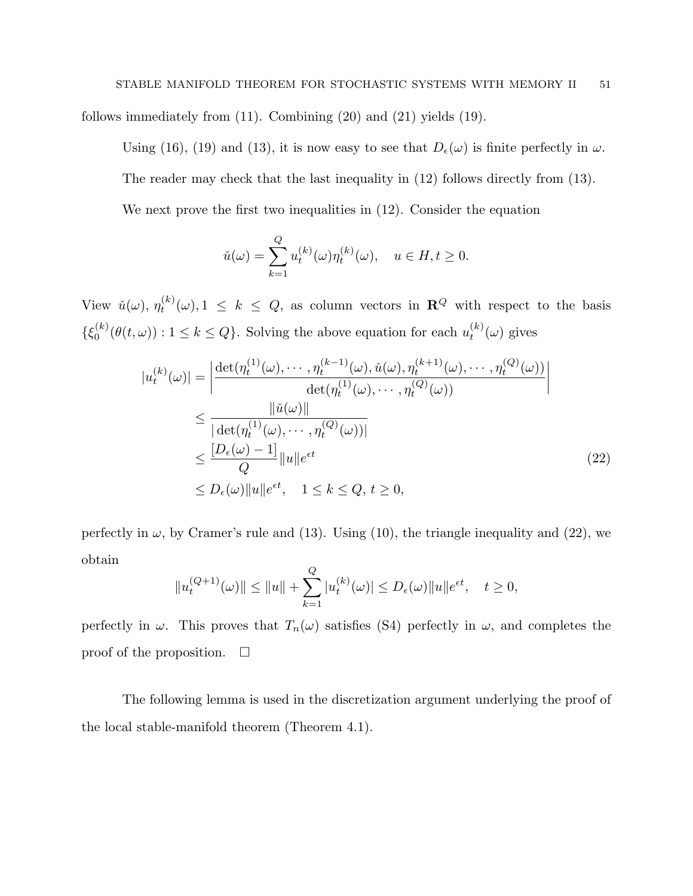follows immediately from (11). Combining (20) and (21) yields (19).

Using (16), (19) and (13), it is now easy to see that  $D_{\epsilon}(\omega)$  is finite perfectly in  $\omega$ .

The reader may check that the last inequality in (12) follows directly from (13).

We next prove the first two inequalities in (12). Consider the equation

$$
\check{u}(\omega) = \sum_{k=1}^{Q} u_t^{(k)}(\omega) \eta_t^{(k)}(\omega), \quad u \in H, t \ge 0.
$$

View  $\check{u}(\omega), \eta_t^{(k)}$  $t_k^{(k)}(\omega), 1 \leq k \leq Q$ , as column vectors in  $\mathbb{R}^Q$  with respect to the basis  $\{\xi_0^{(k)}\}$  $\Theta_0^{(k)}(\theta(t,\omega))$ :  $1 \leq k \leq Q$ . Solving the above equation for each  $u_t^{(k)}$  $t^{(\kappa)}(\omega)$  gives

$$
|u_t^{(k)}(\omega)| = \left| \frac{\det(\eta_t^{(1)}(\omega), \cdots, \eta_t^{(k-1)}(\omega), \check{u}(\omega), \eta_t^{(k+1)}(\omega), \cdots, \eta_t^{(Q)}(\omega))}{\det(\eta_t^{(1)}(\omega), \cdots, \eta_t^{(Q)}(\omega))} \right|
$$
  

$$
\leq \frac{||\check{u}(\omega)||}{|\det(\eta_t^{(1)}(\omega), \cdots, \eta_t^{(Q)}(\omega))|}
$$
  

$$
\leq \frac{[D_{\epsilon}(\omega) - 1]}{Q} ||u|| e^{\epsilon t}
$$
  

$$
\leq D_{\epsilon}(\omega) ||u|| e^{\epsilon t}, \quad 1 \leq k \leq Q, t \geq 0,
$$
 (22)

perfectly in  $\omega$ , by Cramer's rule and (13). Using (10), the triangle inequality and (22), we obtain

$$
||u_t^{(Q+1)}(\omega)|| \le ||u|| + \sum_{k=1}^Q |u_t^{(k)}(\omega)| \le D_{\epsilon}(\omega)||u||e^{\epsilon t}, \quad t \ge 0,
$$

perfectly in  $\omega$ . This proves that  $T_n(\omega)$  satisfies (S4) perfectly in  $\omega$ , and completes the proof of the proposition.  $\Box$ 

The following lemma is used in the discretization argument underlying the proof of the local stable-manifold theorem (Theorem 4.1).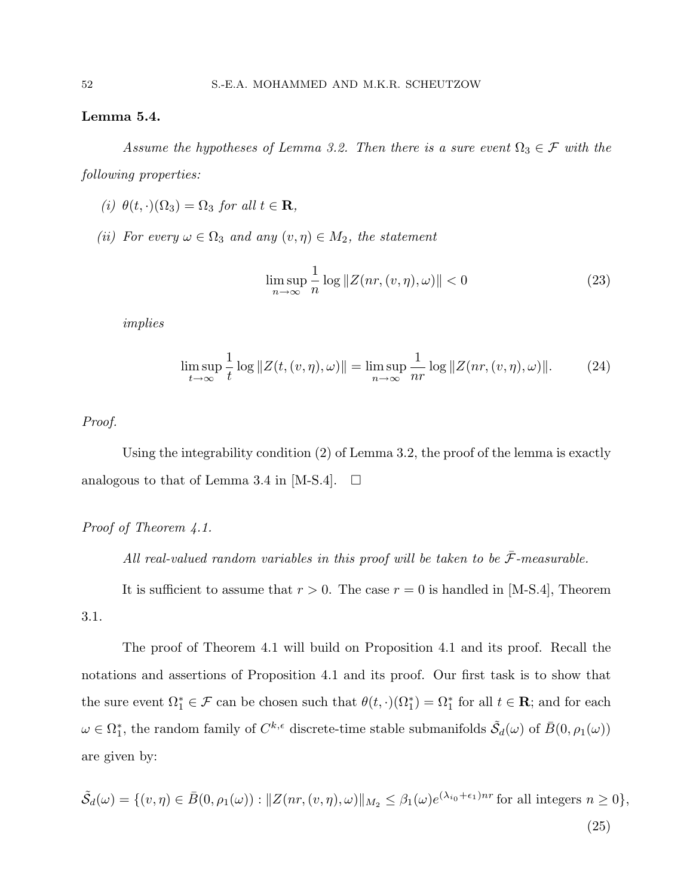#### Lemma 5.4.

Assume the hypotheses of Lemma 3.2. Then there is a sure event  $\Omega_3 \in \mathcal{F}$  with the following properties:

- (i)  $\theta(t, \cdot)(\Omega_3) = \Omega_3$  for all  $t \in \mathbf{R}$ ,
- (ii) For every  $\omega \in \Omega_3$  and any  $(v, \eta) \in M_2$ , the statement

$$
\limsup_{n \to \infty} \frac{1}{n} \log \|Z(nr, (v, \eta), \omega)\| < 0 \tag{23}
$$

implies

$$
\limsup_{t \to \infty} \frac{1}{t} \log \|Z(t, (v, \eta), \omega)\| = \limsup_{n \to \infty} \frac{1}{nr} \log \|Z(nr, (v, \eta), \omega)\|.
$$
 (24)

#### Proof.

Using the integrability condition (2) of Lemma 3.2, the proof of the lemma is exactly analogous to that of Lemma 3.4 in [M-S.4].  $\Box$ 

#### Proof of Theorem 4.1.

All real-valued random variables in this proof will be taken to be  $\bar{\mathcal{F}}$ -measurable.

It is sufficient to assume that  $r > 0$ . The case  $r = 0$  is handled in [M-S.4], Theorem 3.1.

The proof of Theorem 4.1 will build on Proposition 4.1 and its proof. Recall the notations and assertions of Proposition 4.1 and its proof. Our first task is to show that the sure event  $\Omega_1^* \in \mathcal{F}$  can be chosen such that  $\theta(t, \cdot)(\Omega_1^*) = \Omega_1^*$  for all  $t \in \mathbb{R}$ ; and for each  $\omega \in \Omega_1^*$ , the random family of  $C^{k,\epsilon}$  discrete-time stable submanifolds  $\tilde{\mathcal{S}}_d(\omega)$  of  $\bar{B}(0,\rho_1(\omega))$ are given by:

$$
\tilde{S}_d(\omega) = \{(v, \eta) \in \bar{B}(0, \rho_1(\omega)) : ||Z(nr, (v, \eta), \omega)||_{M_2} \leq \beta_1(\omega) e^{(\lambda_{i_0} + \epsilon_1)nr} \text{ for all integers } n \geq 0\},\
$$

(25)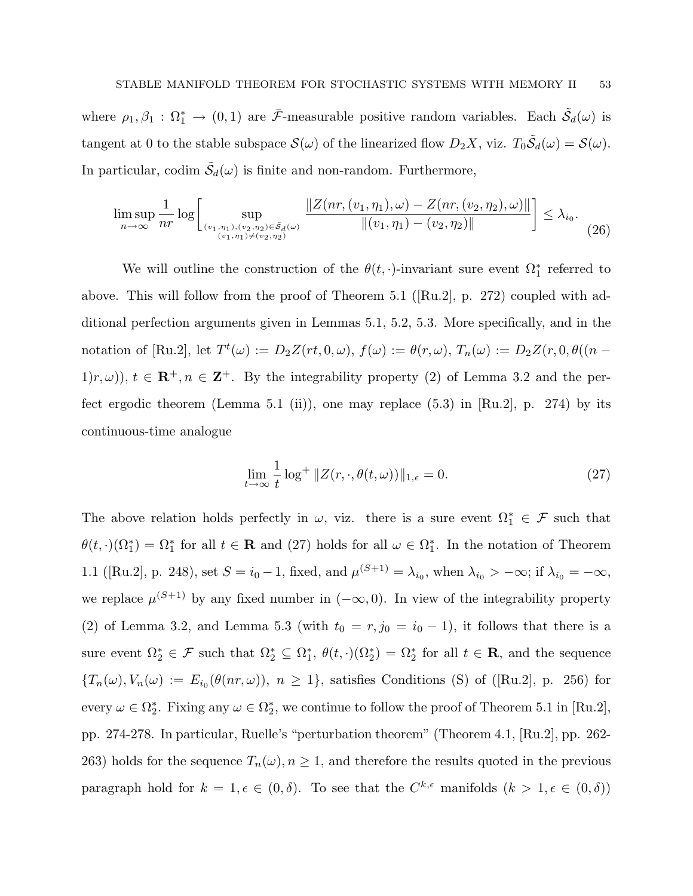where  $\rho_1, \beta_1 : \Omega_1^* \to (0,1)$  are  $\bar{\mathcal{F}}$ -measurable positive random variables. Each  $\tilde{\mathcal{S}}_d(\omega)$  is tangent at 0 to the stable subspace  $\mathcal{S}(\omega)$  of the linearized flow  $D_2X$ , viz.  $T_0\tilde{\mathcal{S}}_d(\omega)=\mathcal{S}(\omega)$ . In particular, codim  $\tilde{S}_d(\omega)$  is finite and non-random. Furthermore,

$$
\limsup_{n \to \infty} \frac{1}{n r} \log \left[ \sup_{(v_1, \eta_1), (v_2, \eta_2) \in \tilde{\mathcal{S}}_d(\omega)} \frac{\|Z(nr, (v_1, \eta_1), \omega) - Z(nr, (v_2, \eta_2), \omega)\|}{\|(v_1, \eta_1) - (v_2, \eta_2)\|} \right] \leq \lambda_{i_0}.
$$
\n(26)

We will outline the construction of the  $\theta(t, \cdot)$ -invariant sure event  $\Omega_1^*$  referred to above. This will follow from the proof of Theorem 5.1 ([Ru.2], p. 272) coupled with additional perfection arguments given in Lemmas 5.1, 5.2, 5.3. More specifically, and in the notation of [Ru.2], let  $T^t(\omega) := D_2 Z(rt, 0, \omega)$ ,  $f(\omega) := \theta(r, \omega)$ ,  $T_n(\omega) := D_2 Z(r, 0, \theta((n - \omega))$  $(1)r,\omega$ ),  $t \in \mathbb{R}^+, n \in \mathbb{Z}^+$ . By the integrability property (2) of Lemma 3.2 and the perfect ergodic theorem (Lemma 5.1 (ii)), one may replace  $(5.3)$  in [Ru.2], p. 274) by its continuous-time analogue

$$
\lim_{t \to \infty} \frac{1}{t} \log^+ \|Z(r, \cdot, \theta(t, \omega))\|_{1, \epsilon} = 0.
$$
\n(27)

The above relation holds perfectly in  $\omega$ , viz. there is a sure event  $\Omega_1^* \in \mathcal{F}$  such that  $\theta(t, \cdot)(\Omega_1^*) = \Omega_1^*$  for all  $t \in \mathbf{R}$  and (27) holds for all  $\omega \in \Omega_1^*$ . In the notation of Theorem 1.1 ([Ru.2], p. 248), set  $S = i_0 - 1$ , fixed, and  $\mu^{(S+1)} = \lambda_{i_0}$ , when  $\lambda_{i_0} > -\infty$ ; if  $\lambda_{i_0} = -\infty$ , we replace  $\mu^{(S+1)}$  by any fixed number in  $(-\infty, 0)$ . In view of the integrability property (2) of Lemma 3.2, and Lemma 5.3 (with  $t_0 = r$ ,  $j_0 = i_0 - 1$ ), it follows that there is a sure event  $\Omega_2^* \in \mathcal{F}$  such that  $\Omega_2^* \subseteq \Omega_1^*, \theta(t, \cdot)(\Omega_2^*) = \Omega_2^*$  for all  $t \in \mathbb{R}$ , and the sequence  ${T_n(\omega), V_n(\omega) := E_{i_0}(\theta(nr,\omega))}, n \ge 1$ , satisfies Conditions (S) of ([Ru.2], p. 256) for every  $\omega \in \Omega_2^*$ . Fixing any  $\omega \in \Omega_2^*$ , we continue to follow the proof of Theorem 5.1 in [Ru.2], pp. 274-278. In particular, Ruelle's "perturbation theorem" (Theorem 4.1, [Ru.2], pp. 262- 263) holds for the sequence  $T_n(\omega), n \geq 1$ , and therefore the results quoted in the previous paragraph hold for  $k = 1, \epsilon \in (0, \delta)$ . To see that the  $C^{k,\epsilon}$  manifolds  $(k > 1, \epsilon \in (0, \delta))$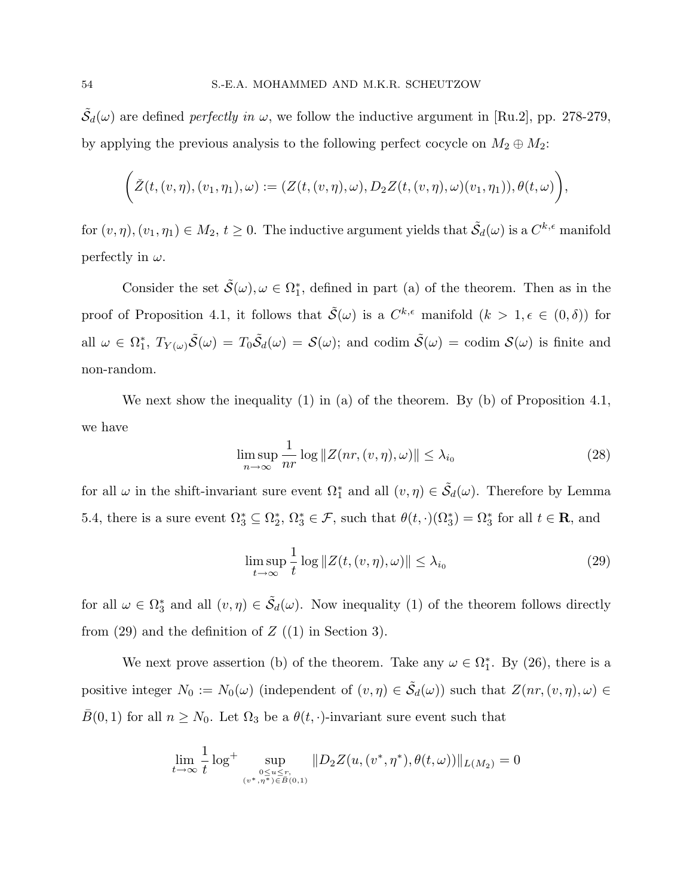$\tilde{S}_d(\omega)$  are defined *perfectly in*  $\omega$ , we follow the inductive argument in [Ru.2], pp. 278-279, by applying the previous analysis to the following perfect cocycle on  $M_2 \oplus M_2$ :

$$
\left(\check{Z}(t,(v,\eta),(v_1,\eta_1),\omega):=(Z(t,(v,\eta),\omega),D_2Z(t,(v,\eta),\omega)(v_1,\eta_1)),\theta(t,\omega)\right),
$$

for  $(v, \eta), (v_1, \eta_1) \in M_2$ ,  $t \geq 0$ . The inductive argument yields that  $\tilde{S}_d(\omega)$  is a  $C^{k,\epsilon}$  manifold perfectly in  $\omega$ .

Consider the set  $\tilde{S}(\omega), \omega \in \Omega_1^*$ , defined in part (a) of the theorem. Then as in the proof of Proposition 4.1, it follows that  $\tilde{S}(\omega)$  is a  $C^{k,\epsilon}$  manifold  $(k > 1, \epsilon \in (0,\delta))$  for all  $\omega \in \Omega_1^*, T_{Y(\omega)}\tilde{\mathcal{S}}(\omega) = T_0\tilde{\mathcal{S}}_d(\omega) = \mathcal{S}(\omega)$ ; and codim  $\tilde{\mathcal{S}}(\omega) = \text{codim }\mathcal{S}(\omega)$  is finite and non-random.

We next show the inequality (1) in (a) of the theorem. By (b) of Proposition 4.1, we have

$$
\limsup_{n \to \infty} \frac{1}{n r} \log \| Z(nr, (v, \eta), \omega) \| \le \lambda_{i_0}
$$
\n(28)

for all  $\omega$  in the shift-invariant sure event  $\Omega_1^*$  and all  $(v, \eta) \in \tilde{\mathcal{S}}_d(\omega)$ . Therefore by Lemma 5.4, there is a sure event  $\Omega_3^* \subseteq \Omega_2^*, \Omega_3^* \in \mathcal{F}$ , such that  $\theta(t, \cdot)(\Omega_3^*) = \Omega_3^*$  for all  $t \in \mathbb{R}$ , and

$$
\limsup_{t \to \infty} \frac{1}{t} \log \| Z(t, (v, \eta), \omega) \| \le \lambda_{i_0}
$$
\n(29)

for all  $\omega \in \Omega_3^*$  and all  $(v, \eta) \in \tilde{\mathcal{S}}_d(\omega)$ . Now inequality (1) of the theorem follows directly from  $(29)$  and the definition of  $Z(1)$  in Section 3).

We next prove assertion (b) of the theorem. Take any  $\omega \in \Omega_1^*$ . By (26), there is a positive integer  $N_0 := N_0(\omega)$  (independent of  $(v, \eta) \in \tilde{S}_d(\omega)$ ) such that  $Z(nr, (v, \eta), \omega) \in$  $B(0, 1)$  for all  $n \geq N_0$ . Let  $\Omega_3$  be a  $\theta(t, \cdot)$ -invariant sure event such that

$$
\lim_{t \to \infty} \frac{1}{t} \log^+ \sup_{\substack{0 \le u \le r, \\ (v^*, \eta^*) \in \bar{B}(0,1)}} \|D_2 Z(u, (v^*, \eta^*), \theta(t, \omega))\|_{L(M_2)} = 0
$$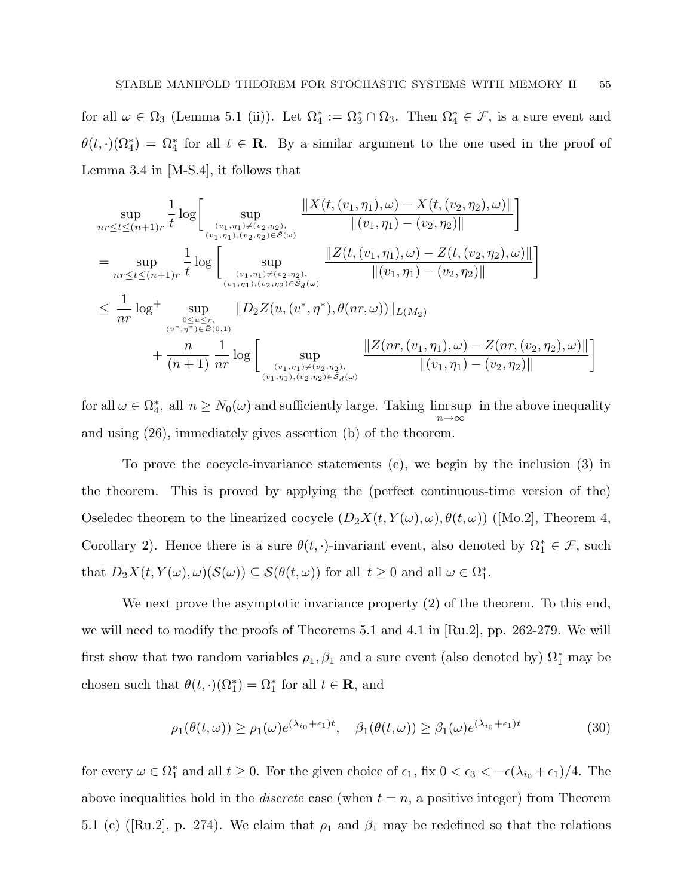for all  $\omega \in \Omega_3$  (Lemma 5.1 (ii)). Let  $\Omega_4^* := \Omega_3^* \cap \Omega_3$ . Then  $\Omega_4^* \in \mathcal{F}$ , is a sure event and  $\theta(t, \cdot)(\Omega_4^*) = \Omega_4^*$  for all  $t \in \mathbb{R}$ . By a similar argument to the one used in the proof of Lemma 3.4 in [M-S.4], it follows that

$$
\sup_{nr \leq t \leq (n+1)r} \frac{1}{t} \log \Bigg[ \sup_{(v_1, \eta_1) \neq (v_2, \eta_2)} \frac{\|X(t, (v_1, \eta_1), \omega) - X(t, (v_2, \eta_2), \omega)\|}{\|(v_1, \eta_1) - (v_2, \eta_2)\|} \Bigg]
$$
\n
$$
= \sup_{nr \leq t \leq (n+1)r} \frac{1}{t} \log \Bigg[ \sup_{(v_1, \eta_1), (v_2, \eta_2) \in \tilde{S}(\omega)} \frac{\|Z(t, (v_1, \eta_1), \omega) - Z(t, (v_2, \eta_2), \omega)\|}{\|(v_1, \eta_1) - (v_2, \eta_2)\|} \Bigg]
$$
\n
$$
\leq \frac{1}{nr} \log^{+} \sup_{(v_{\ast}, \eta^*) \in \tilde{B}(0, 1)} \|D_2 Z(u, (v^*, \eta^*), \theta(nr, \omega))\|_{L(M_2)}
$$
\n
$$
+ \frac{n}{(n+1)} \frac{1}{nr} \log \Bigg[ \sup_{(v_1, \eta_1) \neq (v_2, \eta_2),} \frac{\|Z(nr, (\omega))\|_{L(M_2)}}{\|(v_1, \eta_1) \neq (v_2, \eta_2),} \frac{\|Z(nr, (\nu_1, \eta_1), \omega) - Z(nr, (\nu_2, \eta_2), \omega)\|}{\|(v_1, \eta_1) - (v_2, \eta_2)\|} \Bigg]
$$

for all  $\omega \in \Omega_4^*$ , all  $n \geq N_0(\omega)$  and sufficiently large. Taking  $\limsup_{n \to \infty}$ in the above inequality and using (26), immediately gives assertion (b) of the theorem.

To prove the cocycle-invariance statements (c), we begin by the inclusion (3) in the theorem. This is proved by applying the (perfect continuous-time version of the) Oseledec theorem to the linearized cocycle  $(D_2X(t, Y(\omega), \omega), \theta(t, \omega))$  ([Mo.2], Theorem 4, Corollary 2). Hence there is a sure  $\theta(t, \cdot)$ -invariant event, also denoted by  $\Omega_1^* \in \mathcal{F}$ , such that  $D_2X(t, Y(\omega), \omega)(\mathcal{S}(\omega)) \subseteq \mathcal{S}(\theta(t, \omega))$  for all  $t \geq 0$  and all  $\omega \in \Omega_1^*$ .

We next prove the asymptotic invariance property (2) of the theorem. To this end, we will need to modify the proofs of Theorems 5.1 and 4.1 in [Ru.2], pp. 262-279. We will first show that two random variables  $\rho_1, \beta_1$  and a sure event (also denoted by)  $\Omega_1^*$  may be chosen such that  $\theta(t, \cdot)(\Omega_1^*) = \Omega_1^*$  for all  $t \in \mathbb{R}$ , and

$$
\rho_1(\theta(t,\omega)) \ge \rho_1(\omega)e^{(\lambda_{i_0} + \epsilon_1)t}, \quad \beta_1(\theta(t,\omega)) \ge \beta_1(\omega)e^{(\lambda_{i_0} + \epsilon_1)t} \tag{30}
$$

for every  $\omega \in \Omega_1^*$  and all  $t \geq 0$ . For the given choice of  $\epsilon_1$ , fix  $0 < \epsilon_3 < -\epsilon(\lambda_{i_0} + \epsilon_1)/4$ . The above inequalities hold in the *discrete* case (when  $t = n$ , a positive integer) from Theorem 5.1 (c) ([Ru.2], p. 274). We claim that  $\rho_1$  and  $\beta_1$  may be redefined so that the relations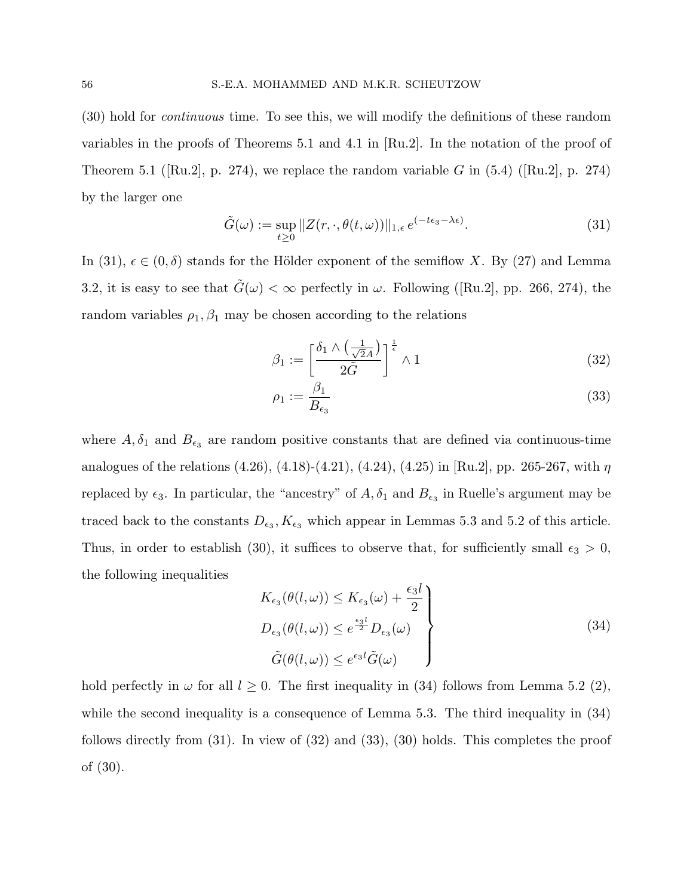(30) hold for continuous time. To see this, we will modify the definitions of these random variables in the proofs of Theorems 5.1 and 4.1 in [Ru.2]. In the notation of the proof of Theorem 5.1 ([Ru.2], p. 274), we replace the random variable G in  $(5.4)$  ([Ru.2], p. 274) by the larger one

$$
\tilde{G}(\omega) := \sup_{t \ge 0} \| Z(r, \cdot, \theta(t, \omega)) \|_{1, \epsilon} e^{(-t \epsilon_3 - \lambda \epsilon)}.
$$
\n(31)

In (31),  $\epsilon \in (0, \delta)$  stands for the Hölder exponent of the semiflow X. By (27) and Lemma 3.2, it is easy to see that  $G(\omega) < \infty$  perfectly in  $\omega$ . Following ([Ru.2], pp. 266, 274), the random variables  $\rho_1$ ,  $\beta_1$  may be chosen according to the relations

$$
\beta_1 := \left[\frac{\delta_1 \wedge \left(\frac{1}{\sqrt{2}A}\right)}{2\tilde{G}}\right]^{\frac{1}{\epsilon}} \wedge 1 \tag{32}
$$

$$
\rho_1 := \frac{\beta_1}{B_{\epsilon_3}}\tag{33}
$$

where  $A, \delta_1$  and  $B_{\epsilon_3}$  are random positive constants that are defined via continuous-time analogues of the relations  $(4.26)$ ,  $(4.18)$ - $(4.21)$ ,  $(4.24)$ ,  $(4.25)$  in [Ru.2], pp. 265-267, with  $\eta$ replaced by  $\epsilon_3$ . In particular, the "ancestry" of  $A, \delta_1$  and  $B_{\epsilon_3}$  in Ruelle's argument may be traced back to the constants  $D_{\epsilon_3}, K_{\epsilon_3}$  which appear in Lemmas 5.3 and 5.2 of this article. Thus, in order to establish (30), it suffices to observe that, for sufficiently small  $\epsilon_3 > 0$ , the following inequalities  $\mathbf{r}$ 

$$
K_{\epsilon_3}(\theta(l,\omega)) \le K_{\epsilon_3}(\omega) + \frac{\epsilon_3 l}{2}
$$
  
\n
$$
D_{\epsilon_3}(\theta(l,\omega)) \le e^{\frac{\epsilon_3 l}{2}} D_{\epsilon_3}(\omega)
$$
  
\n
$$
\tilde{G}(\theta(l,\omega)) \le e^{\epsilon_3 l} \tilde{G}(\omega)
$$
\n(34)

hold perfectly in  $\omega$  for all  $l \geq 0$ . The first inequality in (34) follows from Lemma 5.2 (2), while the second inequality is a consequence of Lemma 5.3. The third inequality in  $(34)$ follows directly from (31). In view of (32) and (33), (30) holds. This completes the proof of (30).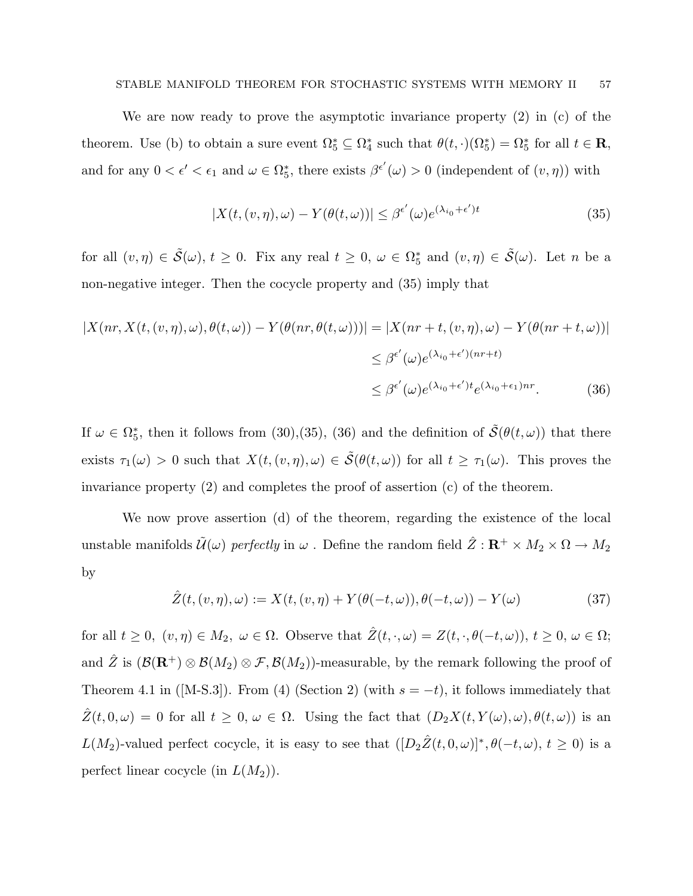We are now ready to prove the asymptotic invariance property (2) in (c) of the theorem. Use (b) to obtain a sure event  $\Omega_5^* \subseteq \Omega_4^*$  such that  $\theta(t, \cdot)(\Omega_5^*) = \Omega_5^*$  for all  $t \in \mathbb{R}$ , and for any  $0 < \epsilon' < \epsilon_1$  and  $\omega \in \Omega_5^*$ , there exists  $\beta^{\epsilon'}(\omega) > 0$  (independent of  $(v, \eta)$ ) with

$$
|X(t, (v, \eta), \omega) - Y(\theta(t, \omega))| \le \beta^{\epsilon'}(\omega) e^{(\lambda_{i_0} + \epsilon')t}
$$
\n(35)

for all  $(v, \eta) \in \tilde{S}(\omega)$ ,  $t \geq 0$ . Fix any real  $t \geq 0$ ,  $\omega \in \Omega_5^*$  and  $(v, \eta) \in \tilde{S}(\omega)$ . Let n be a non-negative integer. Then the cocycle property and (35) imply that

$$
|X(nr, X(t, (v, \eta), \omega), \theta(t, \omega)) - Y(\theta(nr, \theta(t, \omega)))| = |X(nr + t, (v, \eta), \omega) - Y(\theta(nr + t, \omega))|
$$
  

$$
\leq \beta^{\epsilon'}(\omega)e^{(\lambda_{i_0} + \epsilon')(nr + t)}
$$
  

$$
\leq \beta^{\epsilon'}(\omega)e^{(\lambda_{i_0} + \epsilon')t}e^{(\lambda_{i_0} + \epsilon_1)nr}.
$$
 (36)

If  $\omega \in \Omega_5^*$ , then it follows from (30),(35), (36) and the definition of  $\tilde{\mathcal{S}}(\theta(t,\omega))$  that there exists  $\tau_1(\omega) > 0$  such that  $X(t,(v,\eta),\omega) \in \tilde{\mathcal{S}}(\theta(t,\omega))$  for all  $t \geq \tau_1(\omega)$ . This proves the invariance property (2) and completes the proof of assertion (c) of the theorem.

We now prove assertion (d) of the theorem, regarding the existence of the local unstable manifolds  $\tilde{U}(\omega)$  perfectly in  $\omega$  . Define the random field  $\hat{Z}: \mathbf{R}^+ \times M_2 \times \Omega \to M_2$ by

$$
\hat{Z}(t,(v,\eta),\omega) := X(t,(v,\eta) + Y(\theta(-t,\omega)),\theta(-t,\omega)) - Y(\omega)
$$
\n(37)

for all  $t \geq 0$ ,  $(v, \eta) \in M_2$ ,  $\omega \in \Omega$ . Observe that  $\hat{Z}(t, \cdot, \omega) = Z(t, \cdot, \theta(-t, \omega))$ ,  $t \geq 0$ ,  $\omega \in \Omega$ ; and  $\hat{Z}$  is  $(\mathcal{B}(\mathbf{R}^+) \otimes \mathcal{B}(M_2) \otimes \mathcal{F}, \mathcal{B}(M_2))$ -measurable, by the remark following the proof of Theorem 4.1 in ([M-S.3]). From (4) (Section 2) (with  $s = -t$ ), it follows immediately that  $\hat{Z}(t, 0, \omega) = 0$  for all  $t \geq 0, \omega \in \Omega$ . Using the fact that  $(D_2X(t, Y(\omega), \omega), \theta(t, \omega))$  is an  $L(M_2)$ -valued perfect cocycle, it is easy to see that  $([D_2\hat{Z}(t,0,\omega)]^*,\theta(-t,\omega), t\geq 0)$  is a perfect linear cocycle (in  $L(M_2)$ ).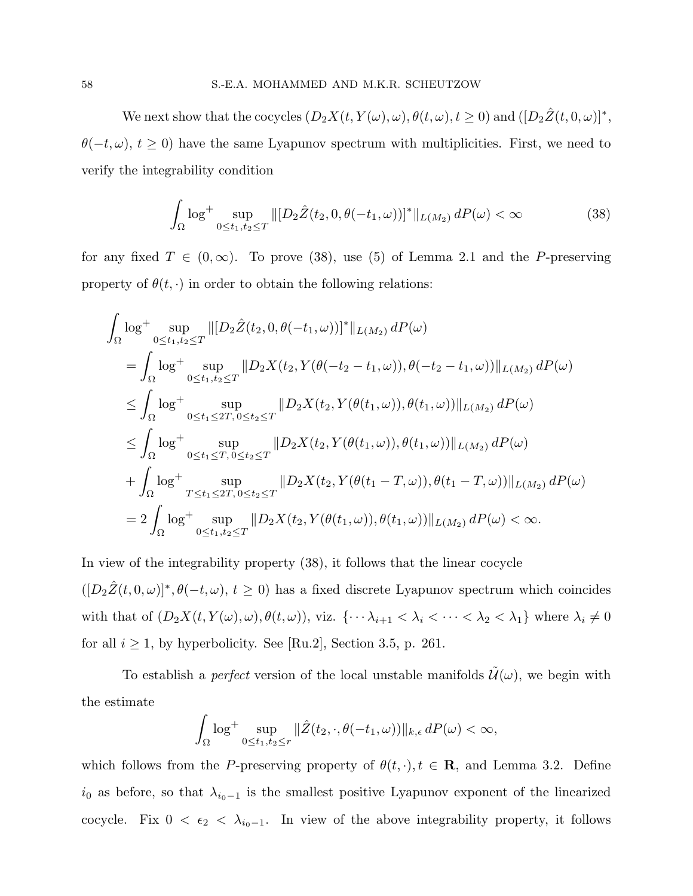We next show that the cocycles  $(D_2X(t, Y(\omega), \omega), \theta(t, \omega), t \ge 0)$  and  $([D_2\hat{Z}(t, 0, \omega)]^*$ ,  $\theta(-t,\omega), t \geq 0$  have the same Lyapunov spectrum with multiplicities. First, we need to verify the integrability condition

$$
\int_{\Omega} \log^{+} \sup_{0 \le t_1, t_2 \le T} \|[D_2 \hat{Z}(t_2, 0, \theta(-t_1, \omega))]^*\|_{L(M_2)} dP(\omega) < \infty
$$
\n(38)

for any fixed  $T \in (0,\infty)$ . To prove (38), use (5) of Lemma 2.1 and the P-preserving property of  $\theta(t, \cdot)$  in order to obtain the following relations:

$$
\int_{\Omega} \log^{+} \sup_{0 \leq t_{1}, t_{2} \leq T} ||[D_{2}\hat{Z}(t_{2}, 0, \theta(-t_{1}, \omega))]^{*}||_{L(M_{2})} dP(\omega)
$$
\n
$$
= \int_{\Omega} \log^{+} \sup_{0 \leq t_{1}, t_{2} \leq T} ||D_{2}X(t_{2}, Y(\theta(-t_{2} - t_{1}, \omega)), \theta(-t_{2} - t_{1}, \omega))||_{L(M_{2})} dP(\omega)
$$
\n
$$
\leq \int_{\Omega} \log^{+} \sup_{0 \leq t_{1} \leq 2T, 0 \leq t_{2} \leq T} ||D_{2}X(t_{2}, Y(\theta(t_{1}, \omega)), \theta(t_{1}, \omega))||_{L(M_{2})} dP(\omega)
$$
\n
$$
\leq \int_{\Omega} \log^{+} \sup_{0 \leq t_{1} \leq T, 0 \leq t_{2} \leq T} ||D_{2}X(t_{2}, Y(\theta(t_{1}, \omega)), \theta(t_{1}, \omega))||_{L(M_{2})} dP(\omega)
$$
\n
$$
+ \int_{\Omega} \log^{+} \sup_{T \leq t_{1} \leq 2T, 0 \leq t_{2} \leq T} ||D_{2}X(t_{2}, Y(\theta(t_{1} - T, \omega)), \theta(t_{1} - T, \omega))||_{L(M_{2})} dP(\omega)
$$
\n
$$
= 2 \int_{\Omega} \log^{+} \sup_{0 \leq t_{1}, t_{2} \leq T} ||D_{2}X(t_{2}, Y(\theta(t_{1}, \omega)), \theta(t_{1}, \omega))||_{L(M_{2})} dP(\omega) < \infty.
$$

In view of the integrability property (38), it follows that the linear cocycle  $([D_2\hat{Z}(t,0,\omega)]^*,\theta(-t,\omega), t\geq 0)$  has a fixed discrete Lyapunov spectrum which coincides with that of  $(D_2X(t, Y(\omega), \omega), \theta(t, \omega))$ , viz.  $\{\cdots \lambda_{i+1} < \lambda_i < \cdots < \lambda_2 < \lambda_1\}$  where  $\lambda_i \neq 0$ for all  $i \geq 1$ , by hyperbolicity. See [Ru.2], Section 3.5, p. 261.

To establish a *perfect* version of the local unstable manifolds  $\tilde{\mathcal{U}}(\omega)$ , we begin with the estimate

$$
\int_{\Omega} \log^{+} \sup_{0 \le t_1, t_2 \le r} \| \hat{Z}(t_2, \cdot, \theta(-t_1, \omega)) \|_{k, \epsilon} dP(\omega) < \infty,
$$

which follows from the P-preserving property of  $\theta(t, \cdot), t \in \mathbb{R}$ , and Lemma 3.2. Define  $i_0$  as before, so that  $\lambda_{i_0-1}$  is the smallest positive Lyapunov exponent of the linearized cocycle. Fix  $0 < \epsilon_2 < \lambda_{i_0-1}$ . In view of the above integrability property, it follows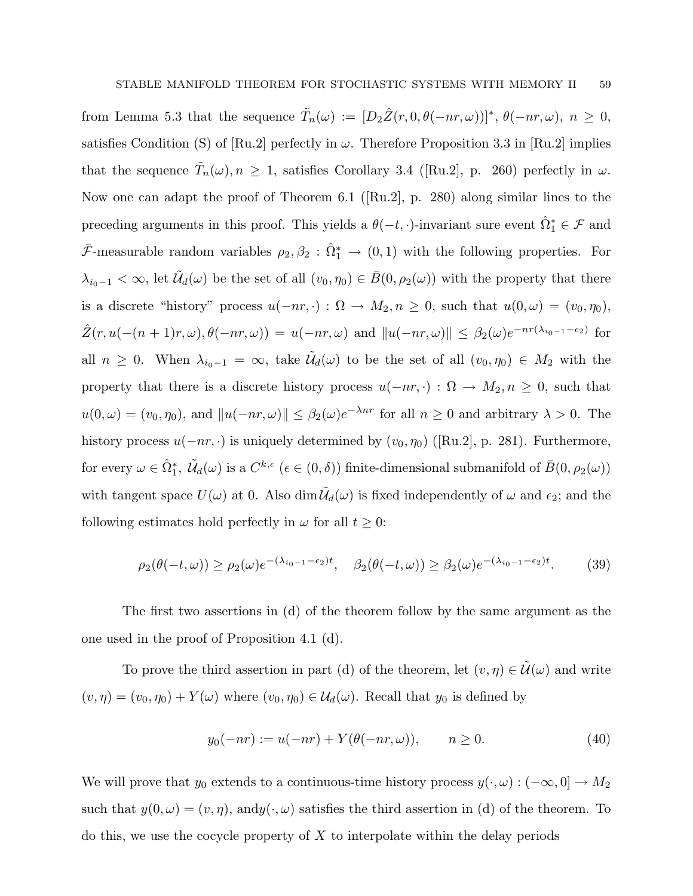from Lemma 5.3 that the sequence  $\tilde{T}_n(\omega) := [D_2 \hat{Z}(r, 0, \theta(-nr, \omega))]^*, \theta(-nr, \omega), n \geq 0,$ satisfies Condition (S) of [Ru.2] perfectly in  $\omega$ . Therefore Proposition 3.3 in [Ru.2] implies that the sequence  $\tilde{T}_n(\omega), n \geq 1$ , satisfies Corollary 3.4 ([Ru.2], p. 260) perfectly in  $\omega$ . Now one can adapt the proof of Theorem 6.1 ([Ru.2], p. 280) along similar lines to the preceding arguments in this proof. This yields a  $\theta(-t, \cdot)$ -invariant sure event  $\hat{\Omega}^*_1 \in \mathcal{F}$  and  $\bar{\mathcal{F}}$ -measurable random variables  $\rho_2, \beta_2 : \hat{\Omega}_1^* \to (0,1)$  with the following properties. For  $\lambda_{i_0-1} < \infty$ , let  $\tilde{\mathcal{U}}_d(\omega)$  be the set of all  $(v_0, \eta_0) \in \bar{B}(0, \rho_2(\omega))$  with the property that there is a discrete "history" process  $u(-nr, \cdot) : \Omega \to M_2, n \ge 0$ , such that  $u(0, \omega) = (v_0, \eta_0)$ ,  $\hat{Z}(r, u(-(n+1)r, \omega), \theta(-nr, \omega)) = u(-nr, \omega)$  and  $||u(-nr, \omega)|| \leq \beta_2(\omega)e^{-nr(\lambda_{i_0-1}-\epsilon_2)}$  for all  $n \geq 0$ . When  $\lambda_{i_0-1} = \infty$ , take  $\tilde{\mathcal{U}}_d(\omega)$  to be the set of all  $(v_0, \eta_0) \in M_2$  with the property that there is a discrete history process  $u(-nr, \cdot) : \Omega \to M_2, n \geq 0$ , such that  $u(0,\omega) = (v_0, \eta_0)$ , and  $||u(-nr,\omega)|| \leq \beta_2(\omega)e^{-\lambda nr}$  for all  $n \geq 0$  and arbitrary  $\lambda > 0$ . The history process  $u(-nr, \cdot)$  is uniquely determined by  $(v_0, \eta_0)$  ([Ru.2], p. 281). Furthermore, for every  $\omega \in \hat{\Omega}_1^*$ ,  $\tilde{\mathcal{U}}_d(\omega)$  is a  $C^{k,\epsilon}$   $(\epsilon \in (0,\delta))$  finite-dimensional submanifold of  $\bar{B}(0,\rho_2(\omega))$ with tangent space  $U(\omega)$  at 0. Also  $\dim \tilde{\mathcal{U}}_d(\omega)$  is fixed independently of  $\omega$  and  $\epsilon_2$ ; and the following estimates hold perfectly in  $\omega$  for all  $t \geq 0$ :

$$
\rho_2(\theta(-t,\omega)) \ge \rho_2(\omega)e^{-(\lambda_{i_0-1}-\epsilon_2)t}, \quad \beta_2(\theta(-t,\omega)) \ge \beta_2(\omega)e^{-(\lambda_{i_0-1}-\epsilon_2)t}.\tag{39}
$$

The first two assertions in (d) of the theorem follow by the same argument as the one used in the proof of Proposition 4.1 (d).

To prove the third assertion in part (d) of the theorem, let  $(v, \eta) \in \mathcal{U}(\omega)$  and write  $(v, \eta) = (v_0, \eta_0) + Y(\omega)$  where  $(v_0, \eta_0) \in \mathcal{U}_d(\omega)$ . Recall that  $y_0$  is defined by

$$
y_0(-nr) := u(-nr) + Y(\theta(-nr, \omega)), \qquad n \ge 0.
$$
 (40)

We will prove that  $y_0$  extends to a continuous-time history process  $y(\cdot, \omega) : (-\infty, 0] \to M_2$ such that  $y(0, \omega) = (v, \eta)$ , and  $y(\cdot, \omega)$  satisfies the third assertion in (d) of the theorem. To  $\phi$  do this, we use the cocycle property of X to interpolate within the delay periods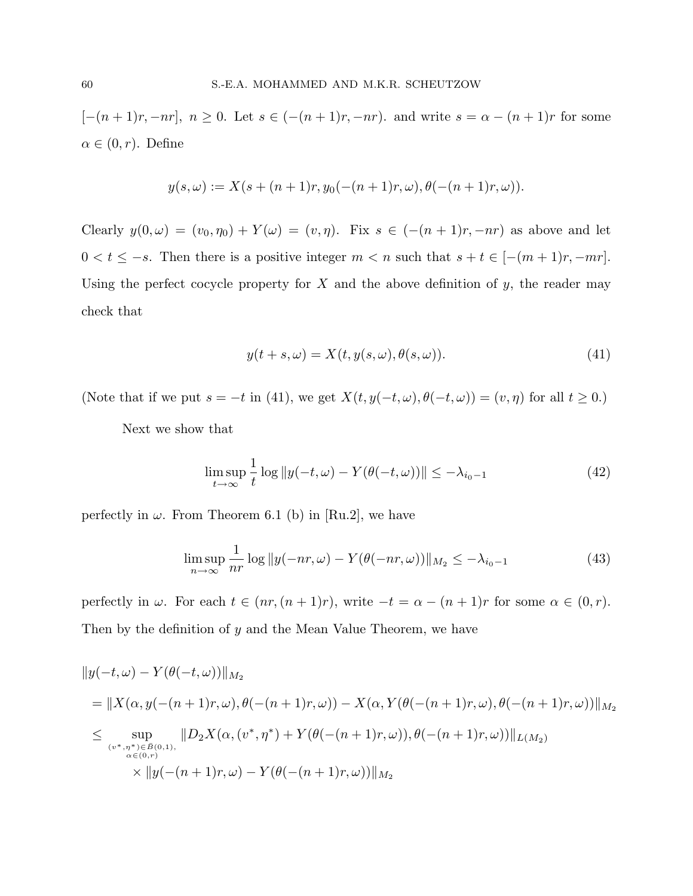[- $(n+1)r, -nr$ ],  $n \ge 0$ . Let  $s \in (-\frac{n+1}{r}, -nr)$ . and write  $s = \alpha - (n+1)r$  for some  $\alpha \in (0, r)$ . Define

$$
y(s,\omega) := X(s + (n+1)r, y_0(-(n+1)r, \omega), \theta(-(n+1)r, \omega)).
$$

Clearly  $y(0, \omega) = (v_0, \eta_0) + Y(\omega) = (v, \eta)$ . Fix  $s \in \left(-\frac{(n+1)r}{n}, -\frac{nr}{n}\right)$  as above and let  $0 < t \leq -s$ . Then there is a positive integer  $m < n$  such that  $s + t \in [-(m+1)r, -mr]$ . Using the perfect cocycle property for  $X$  and the above definition of  $y$ , the reader may check that

$$
y(t+s,\omega) = X(t, y(s,\omega), \theta(s,\omega)).
$$
\n(41)

(Note that if we put  $s = -t$  in (41), we get  $X(t, y(-t, \omega), \theta(-t, \omega)) = (v, \eta)$  for all  $t \ge 0$ .)

Next we show that

$$
\limsup_{t \to \infty} \frac{1}{t} \log \|y(-t,\omega) - Y(\theta(-t,\omega))\| \le -\lambda_{i_0 - 1} \tag{42}
$$

perfectly in  $\omega$ . From Theorem 6.1 (b) in [Ru.2], we have

$$
\limsup_{n \to \infty} \frac{1}{nr} \log ||y(-nr, \omega) - Y(\theta(-nr, \omega))||_{M_2} \le -\lambda_{i_0 - 1}
$$
\n(43)

perfectly in  $\omega$ . For each  $t \in (nr, (n + 1)r)$ , write  $-t = \alpha - (n + 1)r$  for some  $\alpha \in (0, r)$ . Then by the definition of  $y$  and the Mean Value Theorem, we have

$$
||y(-t,\omega) - Y(\theta(-t,\omega))||_{M_2}
$$
  
=  $||X(\alpha, y(-n+1)r, \omega), \theta(-(n+1)r, \omega)) - X(\alpha, Y(\theta(-(n+1)r, \omega), \theta(-(n+1)r, \omega))||_{M_2}$   
 $\leq \sup_{(v^*, n^*) \in \bar{B}(0,1), \atop \alpha \in (0,r)} ||D_2X(\alpha, (v^*, n^*) + Y(\theta(-(n+1)r, \omega)), \theta(-(n+1)r, \omega))||_{L(M_2)}$   
 $\times ||y(-(n+1)r, \omega) - Y(\theta(-(n+1)r, \omega))||_{M_2}$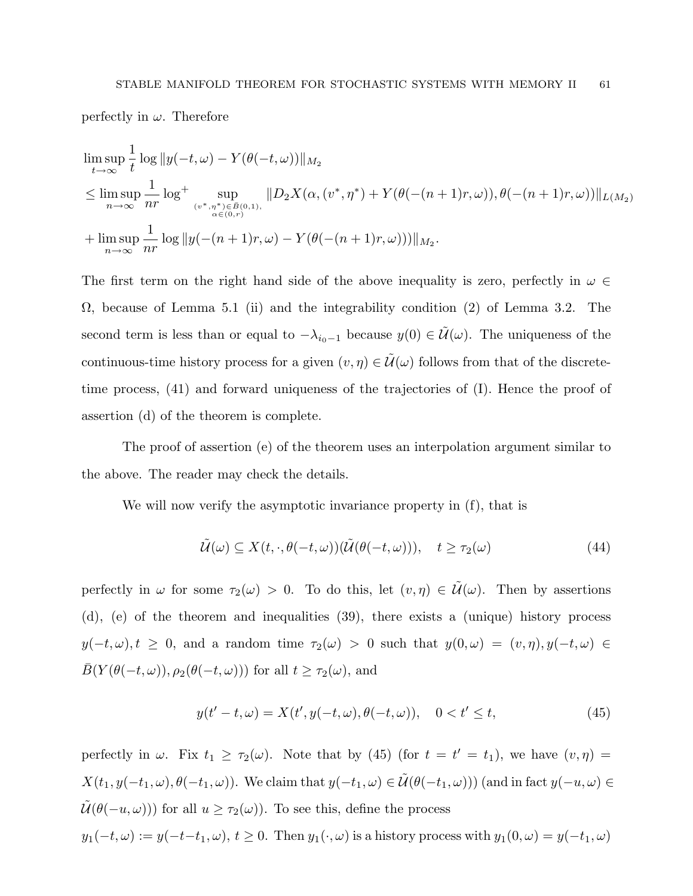perfectly in  $\omega$ . Therefore

$$
\limsup_{t \to \infty} \frac{1}{t} \log ||y(-t,\omega) - Y(\theta(-t,\omega))||_{M_2} \n\leq \limsup_{n \to \infty} \frac{1}{n r} \log^+ \sup_{(v^*, \eta^*) \in \bar{B}(0,1), \atop \alpha \in (0,r)} ||D_2 X(\alpha, (v^*, \eta^*) + Y(\theta(-(n+1)r, \omega)), \theta(-(n+1)r, \omega))||_{L(M_2)} \n+ \limsup_{n \to \infty} \frac{1}{n r} \log ||y(-(n+1)r, \omega) - Y(\theta(-(n+1)r, \omega)))||_{M_2}.
$$

The first term on the right hand side of the above inequality is zero, perfectly in  $\omega \in$  $\Omega$ , because of Lemma 5.1 (ii) and the integrability condition (2) of Lemma 3.2. The second term is less than or equal to  $-\lambda_{i_0-1}$  because  $y(0) \in \mathcal{U}(\omega)$ . The uniqueness of the continuous-time history process for a given  $(v, \eta) \in \tilde{\mathcal{U}}(\omega)$  follows from that of the discretetime process, (41) and forward uniqueness of the trajectories of (I). Hence the proof of assertion (d) of the theorem is complete.

The proof of assertion (e) of the theorem uses an interpolation argument similar to the above. The reader may check the details.

We will now verify the asymptotic invariance property in (f), that is

$$
\tilde{\mathcal{U}}(\omega) \subseteq X(t, \cdot, \theta(-t, \omega))(\tilde{\mathcal{U}}(\theta(-t, \omega))), \quad t \ge \tau_2(\omega) \tag{44}
$$

perfectly in  $\omega$  for some  $\tau_2(\omega) > 0$ . To do this, let  $(v, \eta) \in \tilde{\mathcal{U}}(\omega)$ . Then by assertions (d), (e) of the theorem and inequalities (39), there exists a (unique) history process  $y(-t, \omega), t \geq 0$ , and a random time  $\tau_2(\omega) > 0$  such that  $y(0, \omega) = (v, \eta), y(-t, \omega) \in$  $\bar{B}(Y(\theta(-t,\omega)), \rho_2(\theta(-t,\omega)))$  for all  $t \ge \tau_2(\omega)$ , and

$$
y(t'-t, \omega) = X(t', y(-t, \omega), \theta(-t, \omega)), \quad 0 < t' \le t,
$$
\n(45)

perfectly in  $\omega$ . Fix  $t_1 \geq \tau_2(\omega)$ . Note that by (45) (for  $t = t' = t_1$ ), we have  $(v, \eta) =$  $X(t_1, y(-t_1, \omega), \theta(-t_1, \omega))$ . We claim that  $y(-t_1, \omega) \in \widetilde{\mathcal{U}}(\theta(-t_1, \omega))$  (and in fact  $y(-u, \omega) \in$  $\tilde{\mathcal{U}}(\theta(-u,\omega)))$  for all  $u \geq \tau_2(\omega)$ ). To see this, define the process  $y_1(-t, \omega) := y(-t-t_1, \omega), t \ge 0$ . Then  $y_1(\cdot, \omega)$  is a history process with  $y_1(0, \omega) = y(-t_1, \omega)$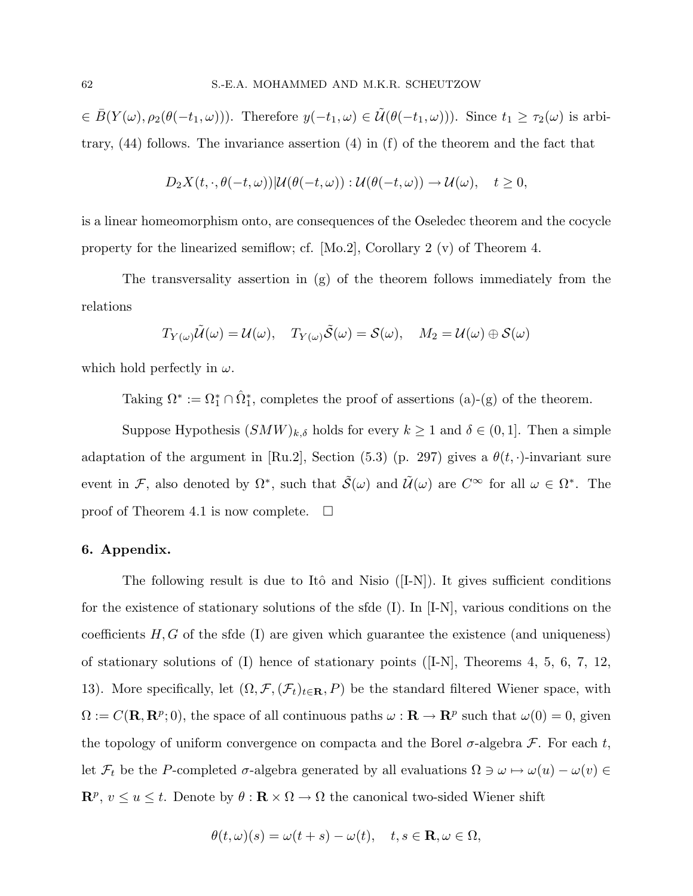$\in \overline{B}(Y(\omega), \rho_2(\theta(-t_1, \omega)))$ . Therefore  $y(-t_1, \omega) \in \widetilde{\mathcal{U}}(\theta(-t_1, \omega))$ . Since  $t_1 \geq \tau_2(\omega)$  is arbitrary,  $(44)$  follows. The invariance assertion  $(4)$  in  $(f)$  of the theorem and the fact that

$$
D_2X(t,\cdot,\theta(-t,\omega))|\mathcal{U}(\theta(-t,\omega)):\mathcal{U}(\theta(-t,\omega))\to\mathcal{U}(\omega),\quad t\geq 0,
$$

is a linear homeomorphism onto, are consequences of the Oseledec theorem and the cocycle property for the linearized semiflow; cf. [Mo.2], Corollary 2 (v) of Theorem 4.

The transversality assertion in  $(g)$  of the theorem follows immediately from the relations

$$
T_{Y(\omega)}\tilde{\mathcal{U}}(\omega)=\mathcal{U}(\omega),\quad T_{Y(\omega)}\tilde{\mathcal{S}}(\omega)=\mathcal{S}(\omega),\quad M_2=\mathcal{U}(\omega)\oplus\mathcal{S}(\omega)
$$

which hold perfectly in  $\omega$ .

Taking  $\Omega^* := \Omega_1^* \cap \hat{\Omega}_1^*$ , completes the proof of assertions (a)-(g) of the theorem.

Suppose Hypothesis  $(SMW)_{k,\delta}$  holds for every  $k \geq 1$  and  $\delta \in (0,1]$ . Then a simple adaptation of the argument in [Ru.2], Section (5.3) (p. 297) gives a  $\theta(t, \cdot)$ -invariant sure event in F, also denoted by  $\Omega^*$ , such that  $\tilde{\mathcal{S}}(\omega)$  and  $\tilde{\mathcal{U}}(\omega)$  are  $C^{\infty}$  for all  $\omega \in \Omega^*$ . The proof of Theorem 4.1 is now complete.  $\Box$ 

#### 6. Appendix.

The following result is due to Itô and Nisio  $([I-N])$ . It gives sufficient conditions for the existence of stationary solutions of the sfde (I). In [I-N], various conditions on the coefficients  $H, G$  of the sfde  $(I)$  are given which guarantee the existence (and uniqueness) of stationary solutions of (I) hence of stationary points ([I-N], Theorems 4, 5, 6, 7, 12, 13). More specifically, let  $(\Omega, \mathcal{F}, (\mathcal{F}_t)_{t \in \mathbf{R}}, P)$  be the standard filtered Wiener space, with  $\Omega := C(\mathbf{R}, \mathbf{R}^p; 0)$ , the space of all continuous paths  $\omega : \mathbf{R} \to \mathbf{R}^p$  such that  $\omega(0) = 0$ , given the topology of uniform convergence on compacta and the Borel  $\sigma$ -algebra  $\mathcal F$ . For each t, let  $\mathcal{F}_t$  be the P-completed  $\sigma$ -algebra generated by all evaluations  $\Omega \ni \omega \mapsto \omega(u) - \omega(v) \in$  $\mathbf{R}^p, v \leq u \leq t$ . Denote by  $\theta : \mathbf{R} \times \Omega \to \Omega$  the canonical two-sided Wiener shift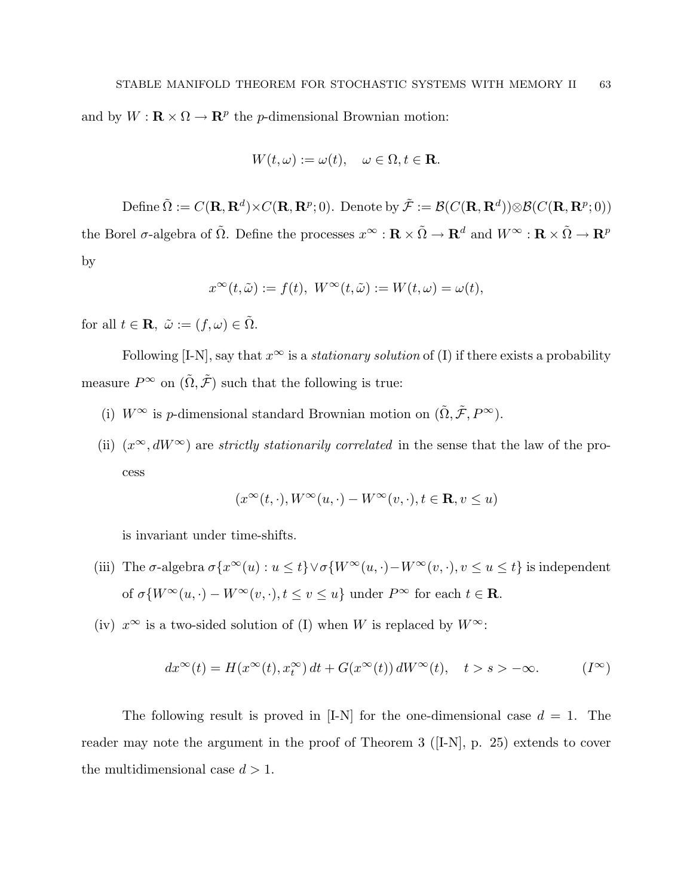and by  $W: \mathbf{R} \times \Omega \to \mathbf{R}^p$  the *p*-dimensional Brownian motion:

$$
W(t, \omega) := \omega(t), \quad \omega \in \Omega, t \in \mathbf{R}.
$$

Define  $\tilde{\Omega} := C(\mathbf{R}, \mathbf{R}^d) \times C(\mathbf{R}, \mathbf{R}^p; 0)$ . Denote by  $\tilde{\mathcal{F}} := \mathcal{B}(C(\mathbf{R}, \mathbf{R}^d)) \otimes \mathcal{B}(C(\mathbf{R}, \mathbf{R}^p; 0))$ the Borel  $\sigma$ -algebra of  $\tilde{\Omega}$ . Define the processes  $x^{\infty} : \mathbf{R} \times \tilde{\Omega} \to \mathbf{R}^{d}$  and  $W^{\infty} : \mathbf{R} \times \tilde{\Omega} \to \mathbf{R}^{p}$ by

$$
x^\infty(t,\tilde\omega):=f(t),\ W^\infty(t,\tilde\omega):=W(t,\omega)=\omega(t),
$$

for all  $t \in \mathbf{R}$ ,  $\tilde{\omega} := (f, \omega) \in \tilde{\Omega}$ .

Following [I-N], say that  $x^{\infty}$  is a *stationary solution* of (I) if there exists a probability measure  $P^{\infty}$  on  $(\tilde{\Omega}, \tilde{\mathcal{F}})$  such that the following is true:

- (i)  $W^{\infty}$  is p-dimensional standard Brownian motion on  $(\tilde{\Omega}, \tilde{\mathcal{F}}, P^{\infty})$ .
- (ii)  $(x^{\infty}, dW^{\infty})$  are *strictly stationarily correlated* in the sense that the law of the process

$$
(x^{\infty}(t,\cdot), W^{\infty}(u,\cdot) - W^{\infty}(v,\cdot), t \in \mathbf{R}, v \le u)
$$

is invariant under time-shifts.

- (iii) The  $\sigma$ -algebra  $\sigma\{x^{\infty}(u): u \leq t\} \vee \sigma\{W^{\infty}(u, \cdot) W^{\infty}(v, \cdot), v \leq u \leq t\}$  is independent of  $\sigma \{W^{\infty}(u, \cdot) - W^{\infty}(v, \cdot), t \leq v \leq u\}$  under  $P^{\infty}$  for each  $t \in \mathbb{R}$ .
- (iv)  $x^{\infty}$  is a two-sided solution of (I) when W is replaced by  $W^{\infty}$ :

$$
dx^{\infty}(t)=H(x^{\infty}(t),x^{\infty}_t)\,dt+G(x^{\infty}(t))\,dW^{\infty}(t),\quad t>s>-\infty. \qquad \qquad (I^{\infty})
$$

The following result is proved in [I-N] for the one-dimensional case  $d = 1$ . The reader may note the argument in the proof of Theorem 3 ([I-N], p. 25) extends to cover the multidimensional case  $d > 1$ .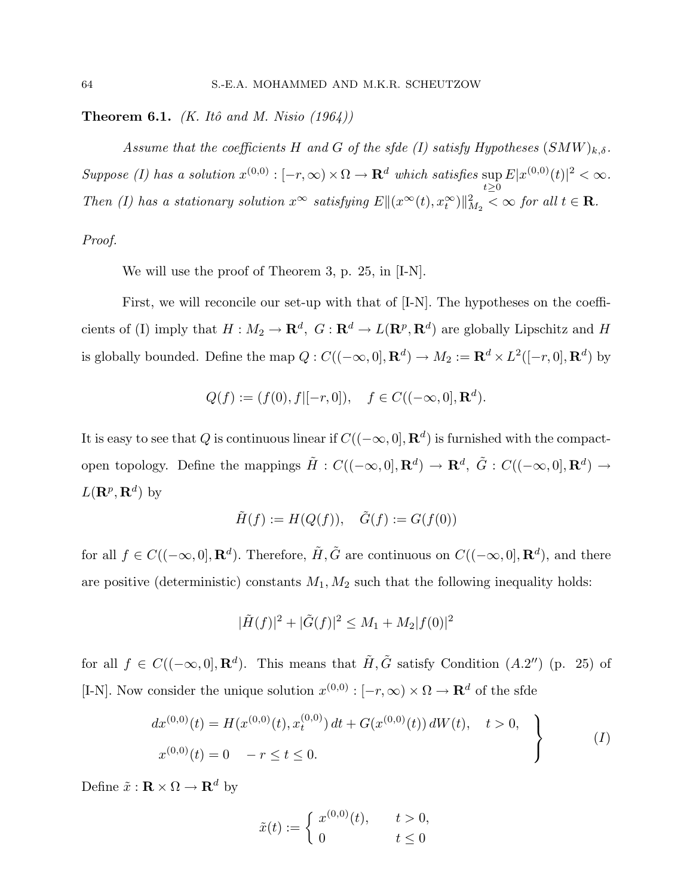**Theorem 6.1.** *(K. Itô and M. Nisio (1964))* 

Assume that the coefficients H and G of the sfde (I) satisfy Hypotheses  $(SMW)_{k,\delta}$ . Suppose (I) has a solution  $x^{(0,0)} : [-r,\infty) \times \Omega \to \mathbf{R}^d$  which satisfies  $\sup E_x^{(0,0)}(t) \vert^2 < \infty$ .  $t\geq 0$ Then (I) has a stationary solution  $x^{\infty}$  satisfying  $E\|(x^{\infty}(t), x^{\infty}_{t})\|_{M_2}^2 < \infty$  for all  $t \in \mathbb{R}$ .

#### Proof.

We will use the proof of Theorem 3, p. 25, in [I-N].

First, we will reconcile our set-up with that of [I-N]. The hypotheses on the coefficients of (I) imply that  $H: M_2 \to \mathbf{R}^d$ ,  $G: \mathbf{R}^d \to L(\mathbf{R}^p, \mathbf{R}^d)$  are globally Lipschitz and H is globally bounded. Define the map  $Q: C((-\infty, 0], \mathbf{R}^d) \to M_2 := \mathbf{R}^d \times L^2([-r, 0], \mathbf{R}^d)$  by

$$
Q(f) := (f(0), f|[-r, 0]), \quad f \in C((-\infty, 0], \mathbf{R}^d).
$$

It is easy to see that Q is continuous linear if  $C((-\infty,0],\mathbf{R}^d)$  is furnished with the compactopen topology. Define the mappings  $\tilde{H}: C((-\infty,0], \mathbf{R}^d) \to \mathbf{R}^d$ ,  $\tilde{G}: C((-\infty,0], \mathbf{R}^d) \to$  $L(\mathbf{R}^p, \mathbf{R}^d)$  by

$$
\tilde{H}(f) := H(Q(f)), \quad \tilde{G}(f) := G(f(0))
$$

for all  $f \in C((-\infty,0],\mathbf{R}^d)$ . Therefore,  $\tilde{H},\tilde{G}$  are continuous on  $C((-\infty,0],\mathbf{R}^d)$ , and there are positive (deterministic) constants  $M_1, M_2$  such that the following inequality holds:

$$
|\tilde{H}(f)|^2 + |\tilde{G}(f)|^2 \le M_1 + M_2 |f(0)|^2
$$

for all  $f \in C((-\infty,0],\mathbf{R}^d)$ . This means that  $\tilde{H},\tilde{G}$  satisfy Condition  $(A.2'')$  (p. 25) of [I-N]. Now consider the unique solution  $x^{(0,0)} : [-r,\infty) \times \Omega \to \mathbf{R}^d$  of the sfde

$$
dx^{(0,0)}(t) = H(x^{(0,0)}(t), x_t^{(0,0)}) dt + G(x^{(0,0)}(t)) dW(t), \quad t > 0,
$$
  

$$
x^{(0,0)}(t) = 0 \quad -r \le t \le 0.
$$
 (I)

Define  $\tilde{x} : \mathbf{R} \times \Omega \to \mathbf{R}^d$  by

$$
\tilde{x}(t) := \begin{cases} x^{(0,0)}(t), & t > 0, \\ 0 & t \le 0 \end{cases}
$$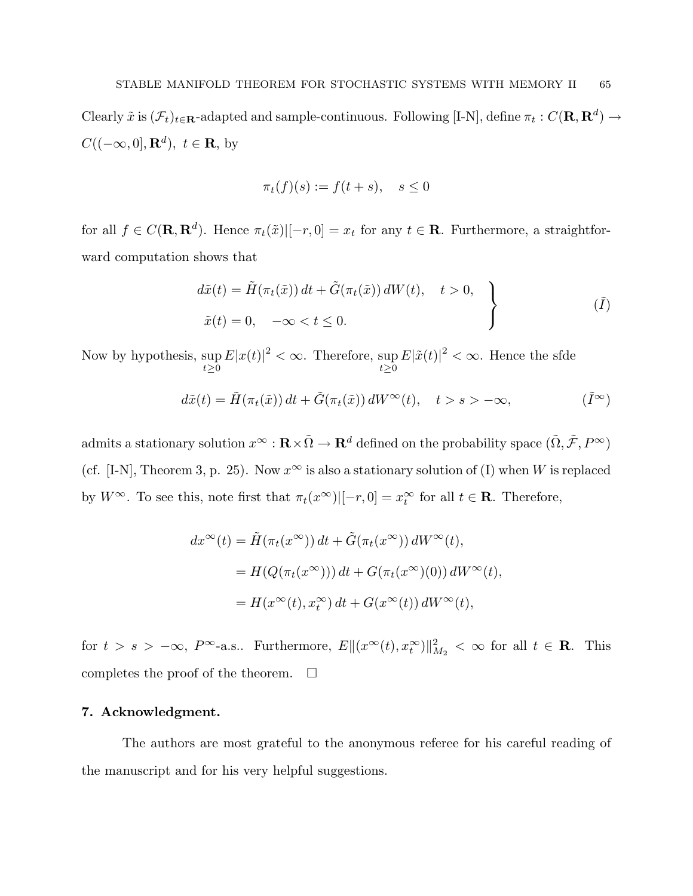Clearly  $\tilde{x}$  is  $(\mathcal{F}_t)_{t\in \mathbf{R}}$ -adapted and sample-continuous. Following [I-N], define  $\pi_t : C(\mathbf{R}, \mathbf{R}^d) \to$  $C((-\infty,0],\mathbf{R}^d), t \in \mathbf{R}$ , by

$$
\pi_t(f)(s) := f(t+s), \quad s \le 0
$$

for all  $f \in C(\mathbf{R}, \mathbf{R}^d)$ . Hence  $\pi_t(\tilde{x})|[-r, 0] = x_t$  for any  $t \in \mathbf{R}$ . Furthermore, a straightforward computation shows that

$$
d\tilde{x}(t) = \tilde{H}(\pi_t(\tilde{x})) dt + \tilde{G}(\pi_t(\tilde{x})) dW(t), \quad t > 0,
$$
  

$$
\tilde{x}(t) = 0, \quad -\infty < t \le 0.
$$
 (I)

Now by hypothesis, sup  $t\geq 0$  $E|x(t)|^2 < \infty$ . Therefore, sup  $t\geq 0$  $E|\tilde{x}(t)|^2 < \infty$ . Hence the sfde

$$
d\tilde{x}(t) = \tilde{H}(\pi_t(\tilde{x})) dt + \tilde{G}(\pi_t(\tilde{x})) dW^{\infty}(t), \quad t > s > -\infty,
$$
 (I<sup>∞</sup>)

admits a stationary solution  $x^{\infty}$  :  $\mathbf{R} \times \tilde{\Omega} \to \mathbf{R}^d$  defined on the probability space  $(\tilde{\Omega}, \tilde{\mathcal{F}}, P^{\infty})$ (cf. [I-N], Theorem 3, p. 25). Now  $x^{\infty}$  is also a stationary solution of (I) when W is replaced by  $W^{\infty}$ . To see this, note first that  $\pi_t(x^{\infty})|[-r,0] = x_t^{\infty}$  for all  $t \in \mathbf{R}$ . Therefore,

$$
dx^{\infty}(t) = \tilde{H}(\pi_t(x^{\infty})) dt + \tilde{G}(\pi_t(x^{\infty})) dW^{\infty}(t),
$$
  
=  $H(Q(\pi_t(x^{\infty}))) dt + G(\pi_t(x^{\infty})(0)) dW^{\infty}(t),$   
=  $H(x^{\infty}(t), x_t^{\infty}) dt + G(x^{\infty}(t)) dW^{\infty}(t),$ 

for  $t > s > -\infty$ ,  $P^{\infty}$ -a.s.. Furthermore,  $E\|(x^{\infty}(t), x_t^{\infty})\|_{M_2}^2 < \infty$  for all  $t \in \mathbb{R}$ . This completes the proof of the theorem.  $\Box$ 

#### 7. Acknowledgment.

The authors are most grateful to the anonymous referee for his careful reading of the manuscript and for his very helpful suggestions.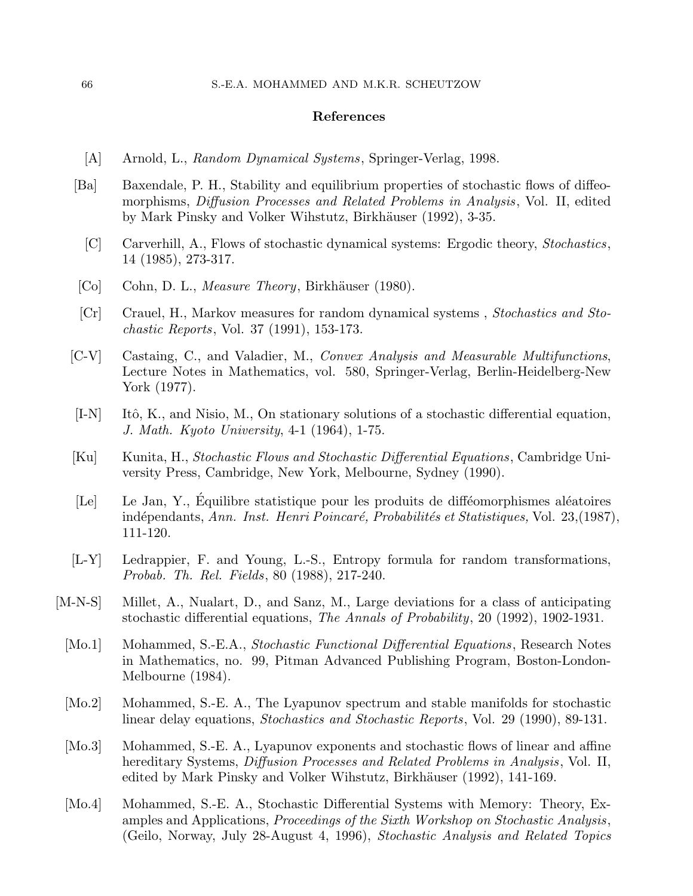#### References

- [A] Arnold, L., Random Dynamical Systems, Springer-Verlag, 1998.
- [Ba] Baxendale, P. H., Stability and equilibrium properties of stochastic flows of diffeomorphisms, Diffusion Processes and Related Problems in Analysis, Vol. II, edited by Mark Pinsky and Volker Wihstutz, Birkhäuser (1992), 3-35.
	- [C] Carverhill, A., Flows of stochastic dynamical systems: Ergodic theory, Stochastics, 14 (1985), 273-317.
- [Co] Cohn, D. L., *Measure Theory*, Birkhäuser (1980).
- [Cr] Crauel, H., Markov measures for random dynamical systems , Stochastics and Stochastic Reports, Vol. 37 (1991), 153-173.
- [C-V] Castaing, C., and Valadier, M., Convex Analysis and Measurable Multifunctions, Lecture Notes in Mathematics, vol. 580, Springer-Verlag, Berlin-Heidelberg-New York (1977).
- [I-N] Itô, K., and Nisio, M., On stationary solutions of a stochastic differential equation, J. Math. Kyoto University, 4-1 (1964), 1-75.
- [Ku] Kunita, H., Stochastic Flows and Stochastic Differential Equations, Cambridge University Press, Cambridge, New York, Melbourne, Sydney (1990).
- [Le] Le Jan, Y., Équilibre statistique pour les produits de difféomorphismes aléatoires indépendants, Ann. Inst. Henri Poincaré, Probabilités et Statistiques, Vol. 23,(1987), 111-120.
- [L-Y] Ledrappier, F. and Young, L.-S., Entropy formula for random transformations, Probab. Th. Rel. Fields, 80 (1988), 217-240.
- [M-N-S] Millet, A., Nualart, D., and Sanz, M., Large deviations for a class of anticipating stochastic differential equations, The Annals of Probability, 20 (1992), 1902-1931.
	- [Mo.1] Mohammed, S.-E.A., Stochastic Functional Differential Equations, Research Notes in Mathematics, no. 99, Pitman Advanced Publishing Program, Boston-London-Melbourne (1984).
	- [Mo.2] Mohammed, S.-E. A., The Lyapunov spectrum and stable manifolds for stochastic linear delay equations, Stochastics and Stochastic Reports, Vol. 29 (1990), 89-131.
	- [Mo.3] Mohammed, S.-E. A., Lyapunov exponents and stochastic flows of linear and affine hereditary Systems, Diffusion Processes and Related Problems in Analysis, Vol. II, edited by Mark Pinsky and Volker Wihstutz, Birkhäuser (1992), 141-169.
	- [Mo.4] Mohammed, S.-E. A., Stochastic Differential Systems with Memory: Theory, Examples and Applications, Proceedings of the Sixth Workshop on Stochastic Analysis, (Geilo, Norway, July 28-August 4, 1996), Stochastic Analysis and Related Topics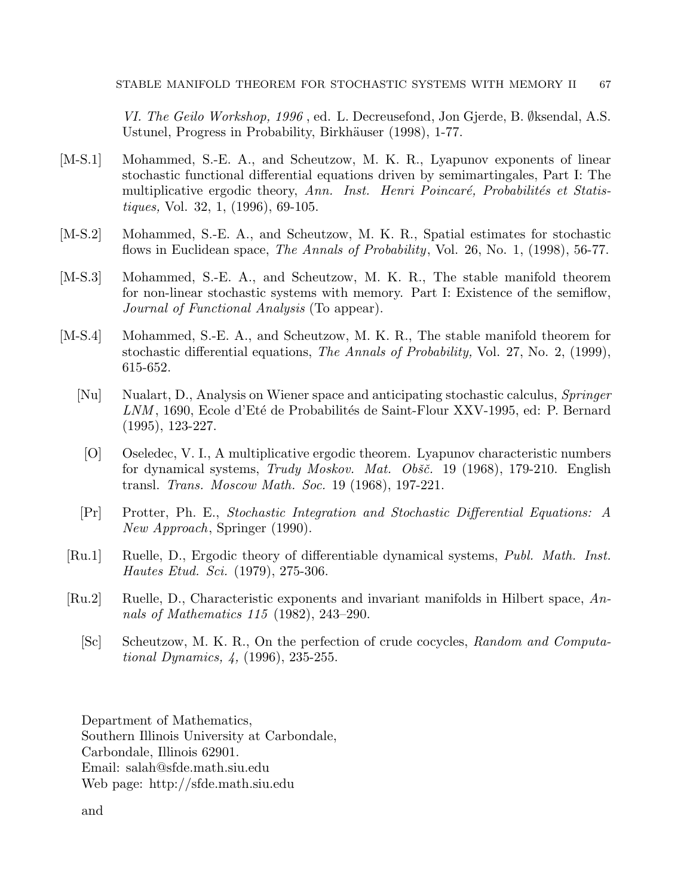VI. The Geilo Workshop, 1996 , ed. L. Decreusefond, Jon Gjerde, B. ∅ksendal, A.S. Ustunel, Progress in Probability, Birkhäuser (1998), 1-77.

- [M-S.1] Mohammed, S.-E. A., and Scheutzow, M. K. R., Lyapunov exponents of linear stochastic functional differential equations driven by semimartingales, Part I: The multiplicative ergodic theory, Ann. Inst. Henri Poincaré, Probabilités et Statistiques, Vol. 32, 1, (1996), 69-105.
- [M-S.2] Mohammed, S.-E. A., and Scheutzow, M. K. R., Spatial estimates for stochastic flows in Euclidean space, *The Annals of Probability*, Vol. 26, No. 1, (1998), 56-77.
- [M-S.3] Mohammed, S.-E. A., and Scheutzow, M. K. R., The stable manifold theorem for non-linear stochastic systems with memory. Part I: Existence of the semiflow, Journal of Functional Analysis (To appear).
- [M-S.4] Mohammed, S.-E. A., and Scheutzow, M. K. R., The stable manifold theorem for stochastic differential equations, The Annals of Probability, Vol. 27, No. 2, (1999), 615-652.
	- [Nu] Nualart, D., Analysis on Wiener space and anticipating stochastic calculus, Springer LNM, 1690, Ecole d'Eté de Probabilités de Saint-Flour XXV-1995, ed: P. Bernard (1995), 123-227.
		- [O] Oseledec, V. I., A multiplicative ergodic theorem. Lyapunov characteristic numbers for dynamical systems,  $Trudy Moskov. Mat. Obšč.$  19 (1968), 179-210. English transl. Trans. Moscow Math. Soc. 19 (1968), 197-221.
	- [Pr] Protter, Ph. E., Stochastic Integration and Stochastic Differential Equations: A New Approach, Springer (1990).
- [Ru.1] Ruelle, D., Ergodic theory of differentiable dynamical systems, Publ. Math. Inst. Hautes Etud. Sci. (1979), 275-306.
- [Ru.2] Ruelle, D., Characteristic exponents and invariant manifolds in Hilbert space, Annals of Mathematics 115 (1982), 243–290.
	- [Sc] Scheutzow, M. K. R., On the perfection of crude cocycles, Random and Computational Dynamics, 4, (1996), 235-255.

Department of Mathematics, Southern Illinois University at Carbondale, Carbondale, Illinois 62901. Email: salah@sfde.math.siu.edu Web page: http://sfde.math.siu.edu

and